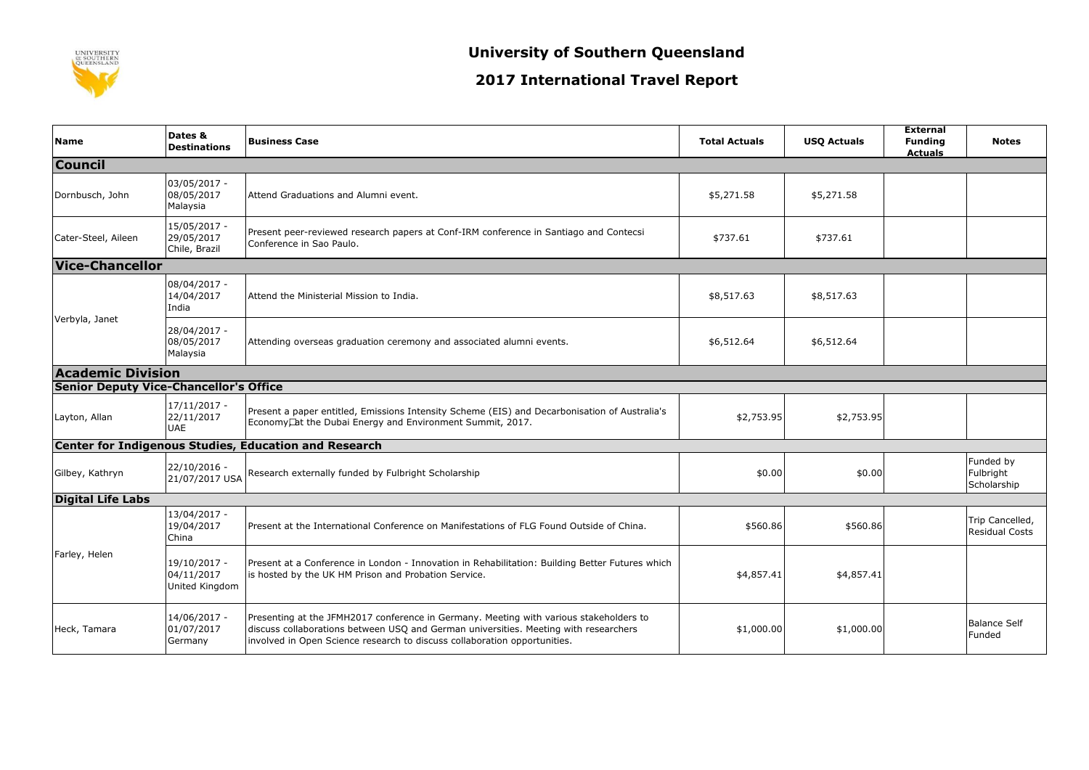

## **2017 International Travel Report**

| <b>Name</b>                                   | Dates &<br><b>Destinations</b>               | <b>Business Case</b>                                                                                                                                                                                                                                        | <b>Total Actuals</b> | <b>USQ Actuals</b> | <b>External</b><br><b>Funding</b><br><b>Actuals</b> | <b>Notes</b>                             |  |
|-----------------------------------------------|----------------------------------------------|-------------------------------------------------------------------------------------------------------------------------------------------------------------------------------------------------------------------------------------------------------------|----------------------|--------------------|-----------------------------------------------------|------------------------------------------|--|
| <b>Council</b>                                |                                              |                                                                                                                                                                                                                                                             |                      |                    |                                                     |                                          |  |
| Dornbusch, John                               | 03/05/2017 -<br>08/05/2017<br>Malaysia       | Attend Graduations and Alumni event.                                                                                                                                                                                                                        | \$5,271.58           | \$5,271.58         |                                                     |                                          |  |
| Cater-Steel, Aileen                           | 15/05/2017 -<br>29/05/2017<br>Chile, Brazil  | Present peer-reviewed research papers at Conf-IRM conference in Santiago and Contecsi<br>Conference in Sao Paulo.                                                                                                                                           | \$737.61             | \$737.61           |                                                     |                                          |  |
| <b>Vice-Chancellor</b>                        |                                              |                                                                                                                                                                                                                                                             |                      |                    |                                                     |                                          |  |
| Verbyla, Janet                                | 08/04/2017 -<br>14/04/2017<br>India          | Attend the Ministerial Mission to India.                                                                                                                                                                                                                    | \$8,517.63           | \$8,517.63         |                                                     |                                          |  |
|                                               | 28/04/2017 -<br>08/05/2017<br>Malaysia       | Attending overseas graduation ceremony and associated alumni events.                                                                                                                                                                                        | \$6,512.64           | \$6,512.64         |                                                     |                                          |  |
| <b>Academic Division</b>                      |                                              |                                                                                                                                                                                                                                                             |                      |                    |                                                     |                                          |  |
| <b>Senior Deputy Vice-Chancellor's Office</b> |                                              |                                                                                                                                                                                                                                                             |                      |                    |                                                     |                                          |  |
| Layton, Allan                                 | 17/11/2017 -<br>22/11/2017<br><b>UAE</b>     | Present a paper entitled, Emissions Intensity Scheme (EIS) and Decarbonisation of Australia's<br>Economy, at the Dubai Energy and Environment Summit, 2017.                                                                                                 | \$2,753.95           | \$2,753.95         |                                                     |                                          |  |
|                                               |                                              | <b>Center for Indigenous Studies, Education and Research</b>                                                                                                                                                                                                |                      |                    |                                                     |                                          |  |
| Gilbey, Kathryn                               | $22/10/2016 -$<br>21/07/2017 USA             | Research externally funded by Fulbright Scholarship                                                                                                                                                                                                         | \$0.00               | \$0.00             |                                                     | Funded by<br>Fulbright<br>Scholarship    |  |
| <b>Digital Life Labs</b>                      |                                              |                                                                                                                                                                                                                                                             |                      |                    |                                                     |                                          |  |
|                                               | 13/04/2017 -<br>19/04/2017<br>China          | Present at the International Conference on Manifestations of FLG Found Outside of China.                                                                                                                                                                    | \$560.86             | \$560.86           |                                                     | Trip Cancelled,<br><b>Residual Costs</b> |  |
| Farley, Helen                                 | 19/10/2017 -<br>04/11/2017<br>United Kingdom | Present at a Conference in London - Innovation in Rehabilitation: Building Better Futures which<br>is hosted by the UK HM Prison and Probation Service.                                                                                                     | \$4,857.41           | \$4,857.41         |                                                     |                                          |  |
| Heck, Tamara                                  | 14/06/2017 -<br>01/07/2017<br>Germany        | Presenting at the JFMH2017 conference in Germany. Meeting with various stakeholders to<br>discuss collaborations between USO and German universities. Meeting with researchers<br>involved in Open Science research to discuss collaboration opportunities. | \$1,000.00           | \$1,000.00         |                                                     | <b>Balance Self</b><br>Funded            |  |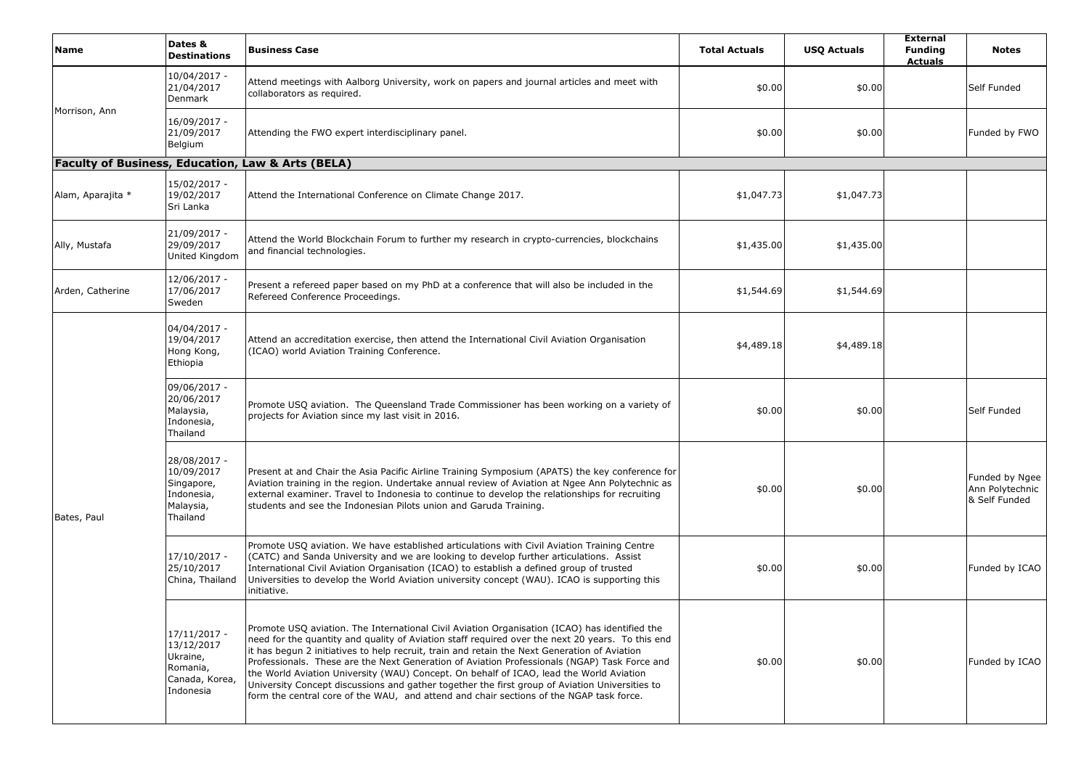| Name                                                         | Dates &<br><b>Destinations</b>                                                    | <b>Business Case</b>                                                                                                                                                                                                                                                                                                                                                                                                                                                                                                                                                                                                                                                                      | <b>Total Actuals</b> | <b>USQ Actuals</b> | <b>External</b><br><b>Funding</b><br><b>Actuals</b> | <b>Notes</b>                                       |
|--------------------------------------------------------------|-----------------------------------------------------------------------------------|-------------------------------------------------------------------------------------------------------------------------------------------------------------------------------------------------------------------------------------------------------------------------------------------------------------------------------------------------------------------------------------------------------------------------------------------------------------------------------------------------------------------------------------------------------------------------------------------------------------------------------------------------------------------------------------------|----------------------|--------------------|-----------------------------------------------------|----------------------------------------------------|
|                                                              | 10/04/2017 -<br>21/04/2017<br>Denmark                                             | Attend meetings with Aalborg University, work on papers and journal articles and meet with<br>collaborators as required.                                                                                                                                                                                                                                                                                                                                                                                                                                                                                                                                                                  | \$0.00               | \$0.00             |                                                     | Self Funded                                        |
| Morrison, Ann                                                | 16/09/2017 -<br>21/09/2017<br>Belgium                                             | Attending the FWO expert interdisciplinary panel.                                                                                                                                                                                                                                                                                                                                                                                                                                                                                                                                                                                                                                         | \$0.00               | \$0.00             |                                                     | Funded by FWO                                      |
| <b>Faculty of Business, Education, Law &amp; Arts (BELA)</b> |                                                                                   |                                                                                                                                                                                                                                                                                                                                                                                                                                                                                                                                                                                                                                                                                           |                      |                    |                                                     |                                                    |
| Alam, Aparajita *                                            | 15/02/2017 -<br>19/02/2017<br>Sri Lanka                                           | Attend the International Conference on Climate Change 2017.                                                                                                                                                                                                                                                                                                                                                                                                                                                                                                                                                                                                                               | \$1,047.73           | \$1,047.73         |                                                     |                                                    |
| Ally, Mustafa                                                | 21/09/2017 -<br>29/09/2017<br>United Kingdom                                      | Attend the World Blockchain Forum to further my research in crypto-currencies, blockchains<br>and financial technologies.                                                                                                                                                                                                                                                                                                                                                                                                                                                                                                                                                                 | \$1,435.00           | \$1,435.00         |                                                     |                                                    |
| Arden, Catherine                                             | 12/06/2017 -<br>17/06/2017<br>Sweden                                              | Present a refereed paper based on my PhD at a conference that will also be included in the<br>Refereed Conference Proceedings.                                                                                                                                                                                                                                                                                                                                                                                                                                                                                                                                                            | \$1,544.69           | \$1,544.69         |                                                     |                                                    |
|                                                              | 04/04/2017 -<br>19/04/2017<br>Hong Kong,<br>Ethiopia                              | Attend an accreditation exercise, then attend the International Civil Aviation Organisation<br>(ICAO) world Aviation Training Conference.                                                                                                                                                                                                                                                                                                                                                                                                                                                                                                                                                 | \$4,489.18           | \$4,489.18         |                                                     |                                                    |
|                                                              | 09/06/2017 -<br>20/06/2017<br>Malaysia,<br>Indonesia,<br>Thailand                 | Promote USQ aviation. The Queensland Trade Commissioner has been working on a variety of<br>projects for Aviation since my last visit in 2016.                                                                                                                                                                                                                                                                                                                                                                                                                                                                                                                                            | \$0.00               | \$0.00             |                                                     | Self Funded                                        |
| Bates, Paul                                                  | 28/08/2017 -<br>10/09/2017<br>Singapore,<br>Indonesia,<br>Malaysia,<br>Thailand   | Present at and Chair the Asia Pacific Airline Training Symposium (APATS) the key conference for<br>Aviation training in the region. Undertake annual review of Aviation at Ngee Ann Polytechnic as<br>external examiner. Travel to Indonesia to continue to develop the relationships for recruiting<br>students and see the Indonesian Pilots union and Garuda Training.                                                                                                                                                                                                                                                                                                                 | \$0.00               | \$0.00             |                                                     | Funded by Ngee<br>Ann Polytechnic<br>& Self Funded |
|                                                              | 17/10/2017 -<br>25/10/2017<br>China, Thailand                                     | Promote USQ aviation. We have established articulations with Civil Aviation Training Centre<br>(CATC) and Sanda University and we are looking to develop further articulations. Assist<br>International Civil Aviation Organisation (ICAO) to establish a defined group of trusted<br>Universities to develop the World Aviation university concept (WAU). ICAO is supporting this<br>initiative.                                                                                                                                                                                                                                                                                         | \$0.00               | \$0.00             |                                                     | Funded by ICAO                                     |
|                                                              | 17/11/2017 -<br>13/12/2017<br>Ukraine,<br>Romania,<br>Canada, Korea,<br>Indonesia | Promote USQ aviation. The International Civil Aviation Organisation (ICAO) has identified the<br>need for the quantity and quality of Aviation staff required over the next 20 years. To this end<br>it has begun 2 initiatives to help recruit, train and retain the Next Generation of Aviation<br>Professionals. These are the Next Generation of Aviation Professionals (NGAP) Task Force and<br>the World Aviation University (WAU) Concept. On behalf of ICAO, lead the World Aviation<br>University Concept discussions and gather together the first group of Aviation Universities to<br>form the central core of the WAU, and attend and chair sections of the NGAP task force. | \$0.00               | \$0.00             |                                                     | Funded by ICAO                                     |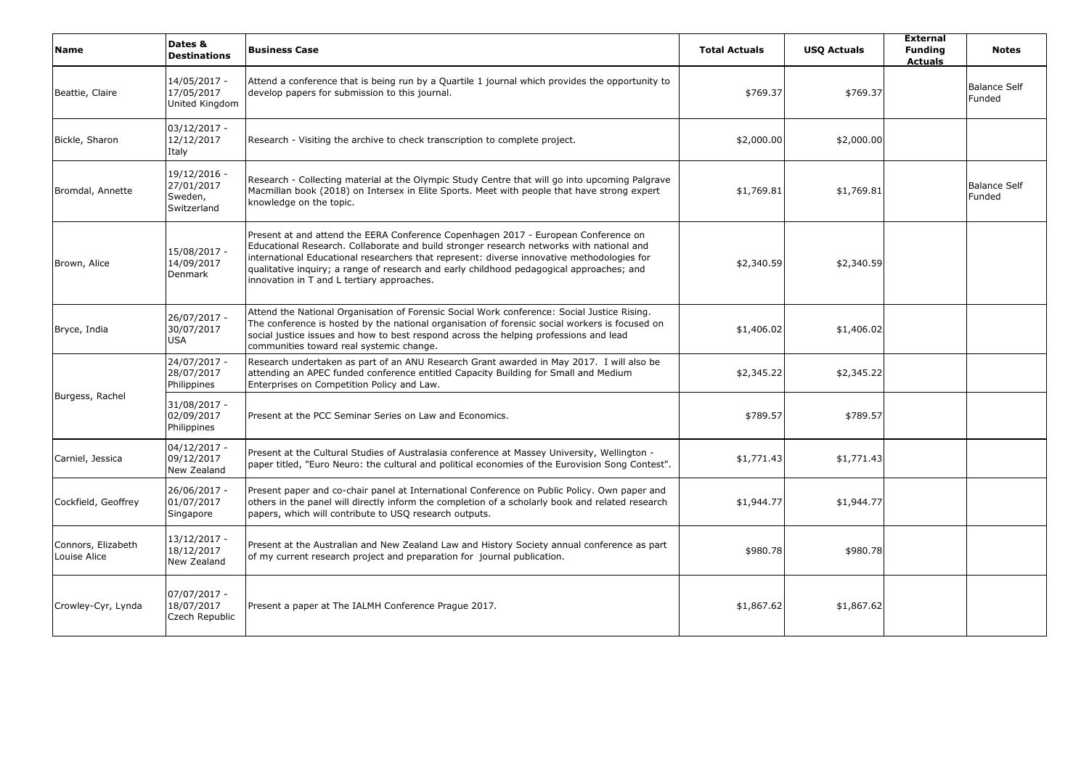| <b>Name</b>                        | Dates &<br><b>Destinations</b>                       | <b>Business Case</b>                                                                                                                                                                                                                                                                                                                                                                                                   | <b>Total Actuals</b> | <b>USQ Actuals</b> | <b>External</b><br><b>Funding</b><br><b>Actuals</b> | <b>Notes</b>                  |
|------------------------------------|------------------------------------------------------|------------------------------------------------------------------------------------------------------------------------------------------------------------------------------------------------------------------------------------------------------------------------------------------------------------------------------------------------------------------------------------------------------------------------|----------------------|--------------------|-----------------------------------------------------|-------------------------------|
| Beattie, Claire                    | 14/05/2017 -<br>17/05/2017<br>United Kingdom         | Attend a conference that is being run by a Quartile 1 journal which provides the opportunity to<br>develop papers for submission to this journal.                                                                                                                                                                                                                                                                      | \$769.37             | \$769.37           |                                                     | <b>Balance Self</b><br>Funded |
| Bickle, Sharon                     | $03/12/2017 -$<br>12/12/2017<br>Italy                | Research - Visiting the archive to check transcription to complete project.                                                                                                                                                                                                                                                                                                                                            | \$2,000.00           | \$2,000.00         |                                                     |                               |
| Bromdal, Annette                   | 19/12/2016 -<br>27/01/2017<br>Sweden,<br>Switzerland | Research - Collecting material at the Olympic Study Centre that will go into upcoming Palgrave<br>Macmillan book (2018) on Intersex in Elite Sports. Meet with people that have strong expert<br>knowledge on the topic.                                                                                                                                                                                               | \$1,769.81           | \$1,769.81         |                                                     | Balance Self<br>Funded        |
| Brown, Alice                       | 15/08/2017 -<br>14/09/2017<br>Denmark                | Present at and attend the EERA Conference Copenhagen 2017 - European Conference on<br>Educational Research. Collaborate and build stronger research networks with national and<br>international Educational researchers that represent: diverse innovative methodologies for<br>qualitative inguiry; a range of research and early childhood pedagogical approaches; and<br>innovation in T and L tertiary approaches. | \$2,340.59           | \$2,340.59         |                                                     |                               |
| Bryce, India                       | 26/07/2017 -<br>30/07/2017<br><b>USA</b>             | Attend the National Organisation of Forensic Social Work conference: Social Justice Rising.<br>The conference is hosted by the national organisation of forensic social workers is focused on<br>social justice issues and how to best respond across the helping professions and lead<br>communities toward real systemic change.                                                                                     | \$1,406.02           | \$1,406.02         |                                                     |                               |
|                                    | 24/07/2017 -<br>28/07/2017<br>Philippines            | Research undertaken as part of an ANU Research Grant awarded in May 2017. I will also be<br>attending an APEC funded conference entitled Capacity Building for Small and Medium<br>Enterprises on Competition Policy and Law.                                                                                                                                                                                          | \$2,345.22           | \$2,345.22         |                                                     |                               |
| Burgess, Rachel                    | 31/08/2017 -<br>02/09/2017<br>Philippines            | Present at the PCC Seminar Series on Law and Economics.                                                                                                                                                                                                                                                                                                                                                                | \$789.57             | \$789.57           |                                                     |                               |
| Carniel, Jessica                   | $04/12/2017 -$<br>09/12/2017<br>New Zealand          | Present at the Cultural Studies of Australasia conference at Massey University, Wellington -<br>paper titled, "Euro Neuro: the cultural and political economies of the Eurovision Song Contest".                                                                                                                                                                                                                       | \$1,771.43           | \$1,771.43         |                                                     |                               |
| Cockfield, Geoffrey                | 26/06/2017 -<br>01/07/2017<br>Singapore              | Present paper and co-chair panel at International Conference on Public Policy. Own paper and<br>others in the panel will directly inform the completion of a scholarly book and related research<br>papers, which will contribute to USQ research outputs.                                                                                                                                                             | \$1,944.77           | \$1,944.77         |                                                     |                               |
| Connors, Elizabeth<br>Louise Alice | 13/12/2017 -<br>18/12/2017<br>New Zealand            | Present at the Australian and New Zealand Law and History Society annual conference as part<br>of my current research project and preparation for journal publication.                                                                                                                                                                                                                                                 | \$980.78             | \$980.78           |                                                     |                               |
| Crowley-Cyr, Lynda                 | 07/07/2017 -<br>18/07/2017<br>Czech Republic         | Present a paper at The IALMH Conference Prague 2017.                                                                                                                                                                                                                                                                                                                                                                   | \$1,867.62           | \$1,867.62         |                                                     |                               |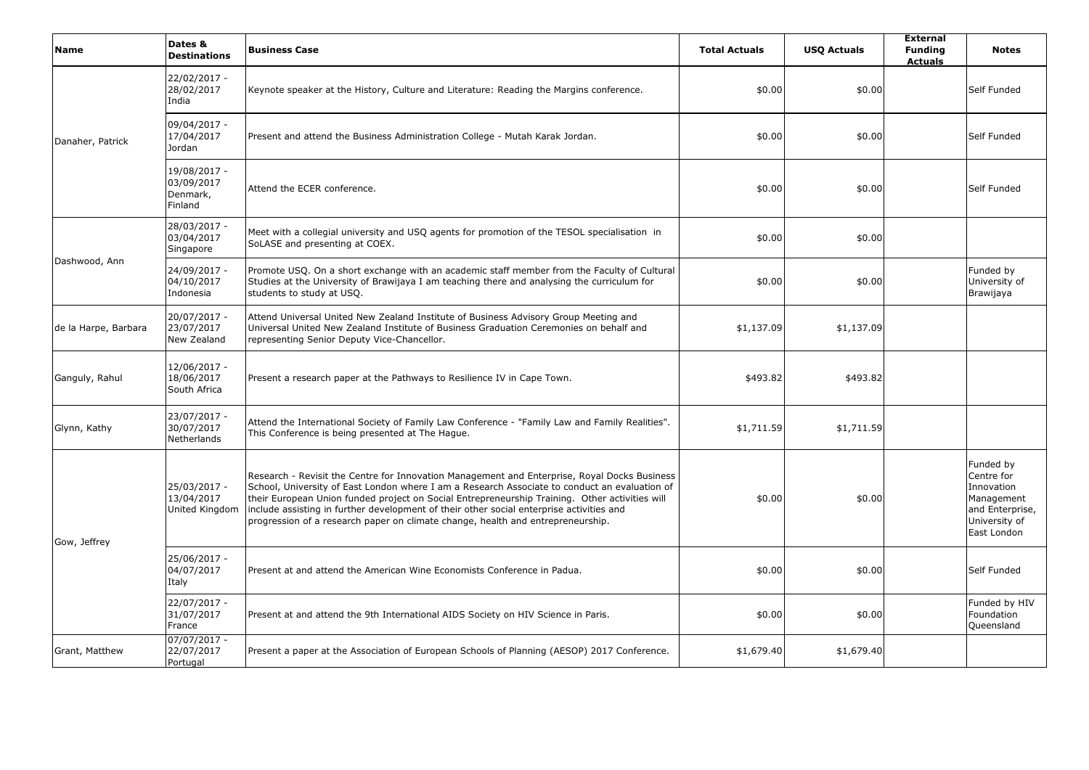| <b>Name</b>          | Dates &<br><b>Destinations</b>                    | <b>Business Case</b>                                                                                                                                                                                                                                                                                                                                                                                                                                                           | <b>Total Actuals</b> | <b>USQ Actuals</b> | <b>External</b><br><b>Funding</b><br><b>Actuals</b> | <b>Notes</b>                                                                                           |
|----------------------|---------------------------------------------------|--------------------------------------------------------------------------------------------------------------------------------------------------------------------------------------------------------------------------------------------------------------------------------------------------------------------------------------------------------------------------------------------------------------------------------------------------------------------------------|----------------------|--------------------|-----------------------------------------------------|--------------------------------------------------------------------------------------------------------|
|                      | 22/02/2017 -<br>28/02/2017<br>India               | Keynote speaker at the History, Culture and Literature: Reading the Margins conference.                                                                                                                                                                                                                                                                                                                                                                                        | \$0.00               | \$0.00             |                                                     | Self Funded                                                                                            |
| Danaher, Patrick     | 09/04/2017 -<br>17/04/2017<br>Jordan              | Present and attend the Business Administration College - Mutah Karak Jordan.                                                                                                                                                                                                                                                                                                                                                                                                   | \$0.00               | \$0.00             |                                                     | Self Funded                                                                                            |
|                      | 19/08/2017 -<br>03/09/2017<br>Denmark,<br>Finland | Attend the ECER conference.                                                                                                                                                                                                                                                                                                                                                                                                                                                    | \$0.00               | \$0.00             |                                                     | Self Funded                                                                                            |
| Dashwood, Ann        | 28/03/2017 -<br>03/04/2017<br>Singapore           | Meet with a collegial university and USQ agents for promotion of the TESOL specialisation in<br>SoLASE and presenting at COEX.                                                                                                                                                                                                                                                                                                                                                 | \$0.00               | \$0.00             |                                                     |                                                                                                        |
|                      | 24/09/2017 -<br>04/10/2017<br>Indonesia           | Promote USQ. On a short exchange with an academic staff member from the Faculty of Cultural<br>Studies at the University of Brawijaya I am teaching there and analysing the curriculum for<br>students to study at USQ.                                                                                                                                                                                                                                                        | \$0.00               | \$0.00             |                                                     | Funded by<br>University of<br>Brawijaya                                                                |
| de la Harpe, Barbara | 20/07/2017 -<br>23/07/2017<br>New Zealand         | Attend Universal United New Zealand Institute of Business Advisory Group Meeting and<br>Universal United New Zealand Institute of Business Graduation Ceremonies on behalf and<br>representing Senior Deputy Vice-Chancellor.                                                                                                                                                                                                                                                  | \$1,137.09           | \$1,137.09         |                                                     |                                                                                                        |
| Ganguly, Rahul       | 12/06/2017 -<br>18/06/2017<br>South Africa        | Present a research paper at the Pathways to Resilience IV in Cape Town.                                                                                                                                                                                                                                                                                                                                                                                                        | \$493.82             | \$493.82           |                                                     |                                                                                                        |
| Glynn, Kathy         | 23/07/2017 -<br>30/07/2017<br>Netherlands         | Attend the International Society of Family Law Conference - "Family Law and Family Realities".<br>This Conference is being presented at The Hague.                                                                                                                                                                                                                                                                                                                             | \$1,711.59           | \$1,711.59         |                                                     |                                                                                                        |
| Gow, Jeffrey         | 25/03/2017 -<br>13/04/2017<br>United Kingdom      | Research - Revisit the Centre for Innovation Management and Enterprise, Royal Docks Business<br>School, University of East London where I am a Research Associate to conduct an evaluation of<br>their European Union funded project on Social Entrepreneurship Training. Other activities will<br>include assisting in further development of their other social enterprise activities and<br>progression of a research paper on climate change, health and entrepreneurship. | \$0.00               | \$0.00             |                                                     | Funded by<br>Centre for<br>Innovation<br>Management<br>and Enterprise,<br>University of<br>East London |
|                      | 25/06/2017 -<br>04/07/2017<br>Italy               | Present at and attend the American Wine Economists Conference in Padua.                                                                                                                                                                                                                                                                                                                                                                                                        | \$0.00               | \$0.00             |                                                     | Self Funded                                                                                            |
|                      | 22/07/2017 -<br>31/07/2017<br>France              | Present at and attend the 9th International AIDS Society on HIV Science in Paris.                                                                                                                                                                                                                                                                                                                                                                                              | \$0.00               | \$0.00             |                                                     | Funded by HIV<br>Foundation<br>Queensland                                                              |
| Grant, Matthew       | $07/07/2017 -$<br>22/07/2017<br>Portugal          | Present a paper at the Association of European Schools of Planning (AESOP) 2017 Conference.                                                                                                                                                                                                                                                                                                                                                                                    | \$1,679.40           | \$1,679.40         |                                                     |                                                                                                        |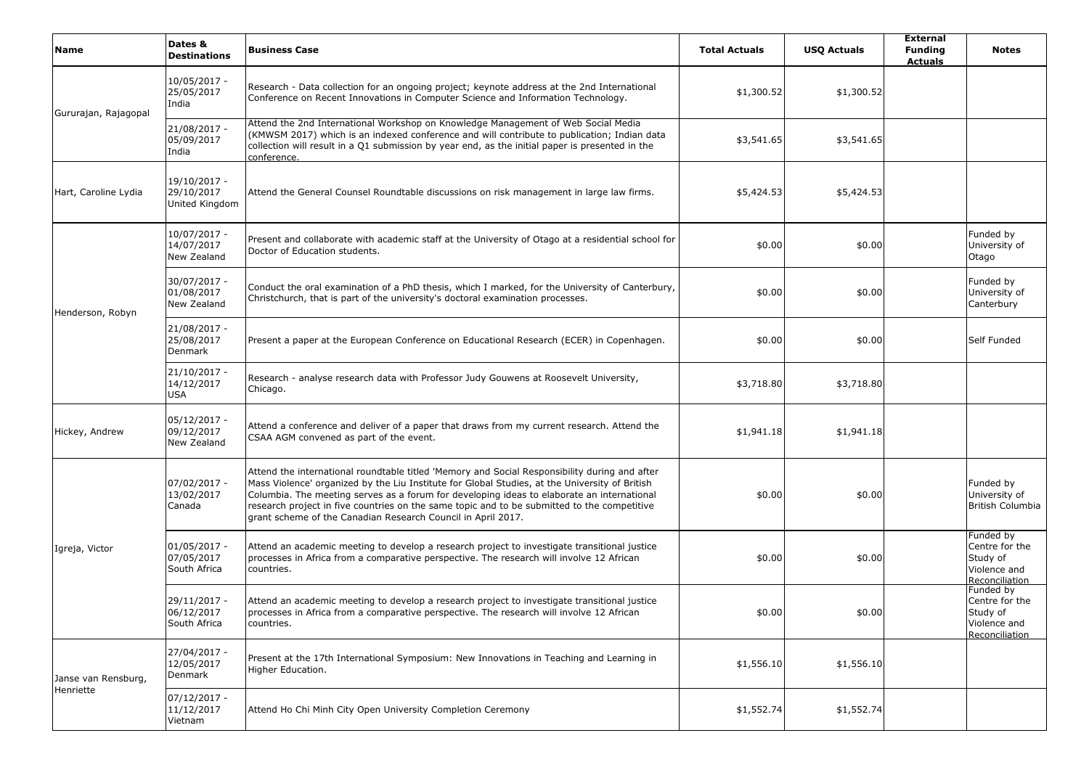| <b>Name</b>          | Dates &<br><b>Destinations</b>               | <b>Business Case</b>                                                                                                                                                                                                                                                                                                                                                                                                                                         | <b>Total Actuals</b> | <b>USQ Actuals</b> | <b>External</b><br><b>Funding</b><br><b>Actuals</b> | <b>Notes</b>                                                              |
|----------------------|----------------------------------------------|--------------------------------------------------------------------------------------------------------------------------------------------------------------------------------------------------------------------------------------------------------------------------------------------------------------------------------------------------------------------------------------------------------------------------------------------------------------|----------------------|--------------------|-----------------------------------------------------|---------------------------------------------------------------------------|
| Gururajan, Rajagopal | 10/05/2017 -<br>25/05/2017<br>India          | Research - Data collection for an ongoing project; keynote address at the 2nd International<br>Conference on Recent Innovations in Computer Science and Information Technology.                                                                                                                                                                                                                                                                              | \$1,300.52           | \$1,300.52         |                                                     |                                                                           |
|                      | 21/08/2017 -<br>05/09/2017<br>India          | Attend the 2nd International Workshop on Knowledge Management of Web Social Media<br>(KMWSM 2017) which is an indexed conference and will contribute to publication; Indian data<br>collection will result in a Q1 submission by year end, as the initial paper is presented in the<br>conference.                                                                                                                                                           | \$3,541.65           | \$3,541.65         |                                                     |                                                                           |
| Hart, Caroline Lydia | 19/10/2017 -<br>29/10/2017<br>United Kingdom | Attend the General Counsel Roundtable discussions on risk management in large law firms.                                                                                                                                                                                                                                                                                                                                                                     | \$5,424.53           | \$5,424.53         |                                                     |                                                                           |
| Henderson, Robyn     | 10/07/2017 -<br>14/07/2017<br>New Zealand    | Present and collaborate with academic staff at the University of Otago at a residential school for<br>Doctor of Education students.                                                                                                                                                                                                                                                                                                                          | \$0.00               | \$0.00             |                                                     | Funded by<br>University of<br>Otago                                       |
|                      | 30/07/2017 -<br>01/08/2017<br>New Zealand    | Conduct the oral examination of a PhD thesis, which I marked, for the University of Canterbury,<br>Christchurch, that is part of the university's doctoral examination processes.                                                                                                                                                                                                                                                                            | \$0.00               | \$0.00             |                                                     | Funded by<br>University of<br>Canterbury                                  |
|                      | 21/08/2017 -<br>25/08/2017<br>Denmark        | Present a paper at the European Conference on Educational Research (ECER) in Copenhagen.                                                                                                                                                                                                                                                                                                                                                                     | \$0.00               | \$0.00             |                                                     | Self Funded                                                               |
|                      | $21/10/2017 -$<br>14/12/2017<br>USA          | Research - analyse research data with Professor Judy Gouwens at Roosevelt University,<br>Chicago.                                                                                                                                                                                                                                                                                                                                                            | \$3,718.80           | \$3,718.80         |                                                     |                                                                           |
| Hickey, Andrew       | 05/12/2017 -<br>09/12/2017<br>New Zealand    | Attend a conference and deliver of a paper that draws from my current research. Attend the<br>CSAA AGM convened as part of the event.                                                                                                                                                                                                                                                                                                                        | \$1,941.18           | \$1,941.18         |                                                     |                                                                           |
|                      | 07/02/2017 -<br>13/02/2017<br>Canada         | Attend the international roundtable titled 'Memory and Social Responsibility during and after<br>Mass Violence' organized by the Liu Institute for Global Studies, at the University of British<br>Columbia. The meeting serves as a forum for developing ideas to elaborate an international<br>research project in five countries on the same topic and to be submitted to the competitive<br>grant scheme of the Canadian Research Council in April 2017. | \$0.00               | \$0.00             |                                                     | Funded by<br>University of<br>British Columbia                            |
| Igreja, Victor       | 01/05/2017 -<br>07/05/2017<br>South Africa   | Attend an academic meeting to develop a research project to investigate transitional justice<br>processes in Africa from a comparative perspective. The research will involve 12 African<br>countries.                                                                                                                                                                                                                                                       | \$0.00               | \$0.00             |                                                     | Funded by<br>Centre for the<br>Study of<br>Violence and<br>Reconciliation |
|                      | 29/11/2017 -<br>06/12/2017<br>South Africa   | Attend an academic meeting to develop a research project to investigate transitional justice<br>processes in Africa from a comparative perspective. The research will involve 12 African<br>countries.                                                                                                                                                                                                                                                       | \$0.00               | \$0.00             |                                                     | Funded by<br>Centre for the<br>Study of<br>Violence and<br>Reconciliation |
| Janse van Rensburg,  | 27/04/2017 -<br>12/05/2017<br>Denmark        | Present at the 17th International Symposium: New Innovations in Teaching and Learning in<br>Higher Education.                                                                                                                                                                                                                                                                                                                                                | \$1,556.10           | \$1,556.10         |                                                     |                                                                           |
| Henriette            | $07/12/2017 -$<br>11/12/2017<br>Vietnam      | Attend Ho Chi Minh City Open University Completion Ceremony                                                                                                                                                                                                                                                                                                                                                                                                  | \$1,552.74           | \$1,552.74         |                                                     |                                                                           |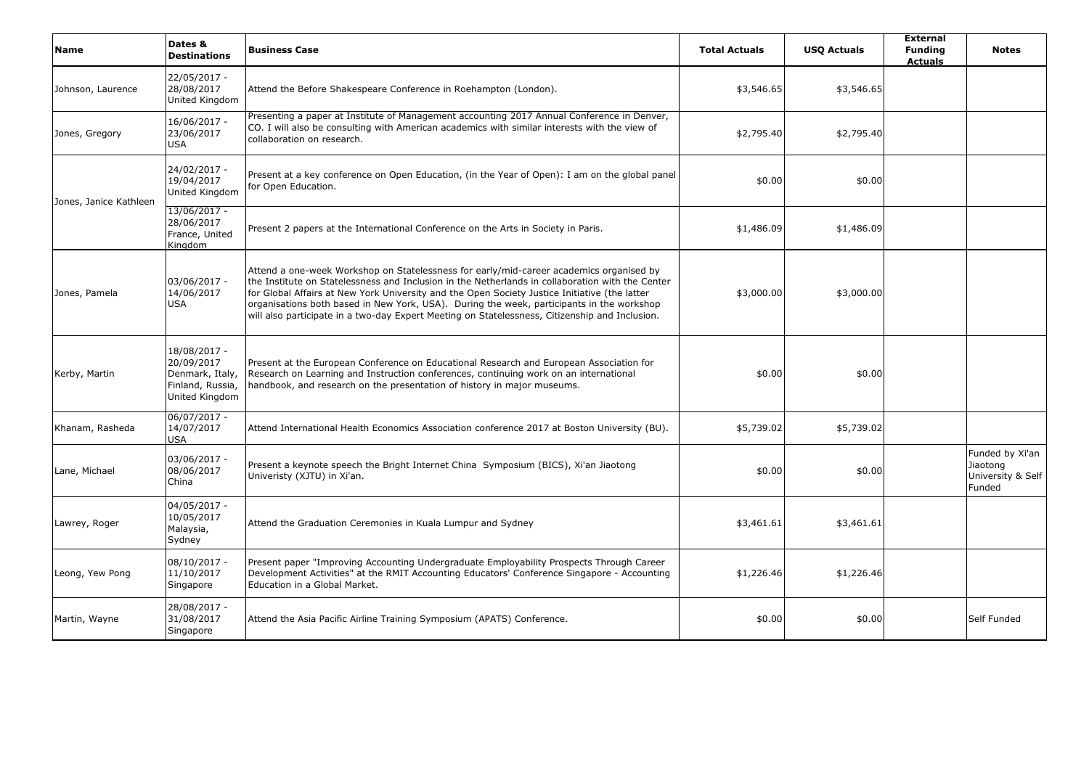| Name                   | Dates &<br><b>Destinations</b>                                                      | <b>Business Case</b>                                                                                                                                                                                                                                                                                                                                                                                                                                                                        | <b>Total Actuals</b> | <b>USQ Actuals</b> | <b>External</b><br><b>Funding</b><br><b>Actuals</b> | <b>Notes</b>                                               |
|------------------------|-------------------------------------------------------------------------------------|---------------------------------------------------------------------------------------------------------------------------------------------------------------------------------------------------------------------------------------------------------------------------------------------------------------------------------------------------------------------------------------------------------------------------------------------------------------------------------------------|----------------------|--------------------|-----------------------------------------------------|------------------------------------------------------------|
| Johnson, Laurence      | 22/05/2017 -<br>28/08/2017<br>United Kingdom                                        | Attend the Before Shakespeare Conference in Roehampton (London).                                                                                                                                                                                                                                                                                                                                                                                                                            | \$3,546.65           | \$3,546.65         |                                                     |                                                            |
| Jones, Gregory         | 16/06/2017 -<br>23/06/2017<br>USA                                                   | Presenting a paper at Institute of Management accounting 2017 Annual Conference in Denver,<br>CO. I will also be consulting with American academics with similar interests with the view of<br>collaboration on research.                                                                                                                                                                                                                                                                   | \$2,795.40           | \$2,795.40         |                                                     |                                                            |
| Jones, Janice Kathleen | 24/02/2017 -<br>19/04/2017<br>United Kingdom                                        | Present at a key conference on Open Education, (in the Year of Open): I am on the global panel<br>for Open Education.                                                                                                                                                                                                                                                                                                                                                                       | \$0.00               | \$0.00             |                                                     |                                                            |
|                        | 13/06/2017 -<br>28/06/2017<br>France, United<br>Kingdom                             | Present 2 papers at the International Conference on the Arts in Society in Paris.                                                                                                                                                                                                                                                                                                                                                                                                           | \$1,486.09           | \$1,486.09         |                                                     |                                                            |
| Jones, Pamela          | 03/06/2017 -<br>14/06/2017<br><b>USA</b>                                            | Attend a one-week Workshop on Statelessness for early/mid-career academics organised by<br>the Institute on Statelessness and Inclusion in the Netherlands in collaboration with the Center<br>for Global Affairs at New York University and the Open Society Justice Initiative (the latter<br>organisations both based in New York, USA). During the week, participants in the workshop<br>will also participate in a two-day Expert Meeting on Statelessness, Citizenship and Inclusion. | \$3,000.00           | \$3,000.00         |                                                     |                                                            |
| Kerby, Martin          | 18/08/2017 -<br>20/09/2017<br>Denmark, Italy,<br>Finland, Russia,<br>United Kingdom | Present at the European Conference on Educational Research and European Association for<br>Research on Learning and Instruction conferences, continuing work on an international<br>handbook, and research on the presentation of history in major museums.                                                                                                                                                                                                                                 | \$0.00               | \$0.00             |                                                     |                                                            |
| Khanam, Rasheda        | 06/07/2017 -<br>14/07/2017<br>USA                                                   | Attend International Health Economics Association conference 2017 at Boston University (BU).                                                                                                                                                                                                                                                                                                                                                                                                | \$5,739.02           | \$5,739.02         |                                                     |                                                            |
| Lane, Michael          | 03/06/2017 -<br>08/06/2017<br>China                                                 | Present a keynote speech the Bright Internet China Symposium (BICS), Xi'an Jiaotong<br>Univeristy (XJTU) in Xi'an.                                                                                                                                                                                                                                                                                                                                                                          | \$0.00               | \$0.00             |                                                     | Funded by Xi'an<br>Jiaotong<br>University & Self<br>Funded |
| Lawrey, Roger          | 04/05/2017 -<br>10/05/2017<br>Malaysia,<br>Sydney                                   | Attend the Graduation Ceremonies in Kuala Lumpur and Sydney                                                                                                                                                                                                                                                                                                                                                                                                                                 | \$3,461.61           | \$3,461.61         |                                                     |                                                            |
| Leong, Yew Pong        | 08/10/2017 -<br>11/10/2017<br>Singapore                                             | Present paper "Improving Accounting Undergraduate Employability Prospects Through Career<br>Development Activities" at the RMIT Accounting Educators' Conference Singapore - Accounting<br>Education in a Global Market.                                                                                                                                                                                                                                                                    | \$1,226.46           | \$1,226.46         |                                                     |                                                            |
| Martin, Wayne          | 28/08/2017 -<br>31/08/2017<br>Singapore                                             | Attend the Asia Pacific Airline Training Symposium (APATS) Conference.                                                                                                                                                                                                                                                                                                                                                                                                                      | \$0.00               | \$0.00             |                                                     | Self Funded                                                |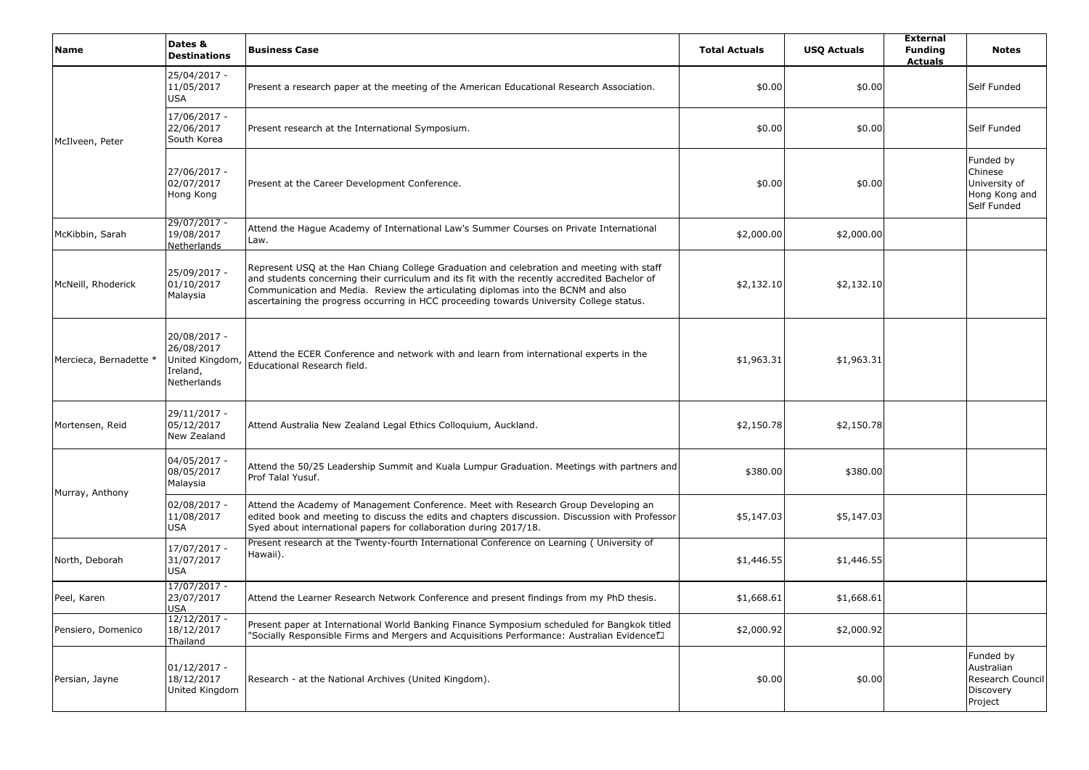| Name                   | Dates &<br><b>Destinations</b>                                          | <b>Business Case</b>                                                                                                                                                                                                                                                                                                                                                       | <b>Total Actuals</b> | <b>USQ Actuals</b> | <b>External</b><br><b>Funding</b><br><b>Actuals</b> | <b>Notes</b>                                                          |
|------------------------|-------------------------------------------------------------------------|----------------------------------------------------------------------------------------------------------------------------------------------------------------------------------------------------------------------------------------------------------------------------------------------------------------------------------------------------------------------------|----------------------|--------------------|-----------------------------------------------------|-----------------------------------------------------------------------|
|                        | 25/04/2017 -<br>11/05/2017<br>USA                                       | Present a research paper at the meeting of the American Educational Research Association.                                                                                                                                                                                                                                                                                  | \$0.00               | \$0.00             |                                                     | Self Funded                                                           |
| McIlveen, Peter        | 17/06/2017 -<br>22/06/2017<br>South Korea                               | Present research at the International Symposium.                                                                                                                                                                                                                                                                                                                           | \$0.00               | \$0.00             |                                                     | Self Funded                                                           |
|                        | 27/06/2017 -<br>02/07/2017<br>Hong Kong                                 | Present at the Career Development Conference.                                                                                                                                                                                                                                                                                                                              | \$0.00               | \$0.00             |                                                     | Funded by<br>Chinese<br>University of<br>Hong Kong and<br>Self Funded |
| McKibbin, Sarah        | 29/07/2017 -<br>19/08/2017<br>Netherlands                               | Attend the Hague Academy of International Law's Summer Courses on Private International<br>Law.                                                                                                                                                                                                                                                                            | \$2,000.00           | \$2,000.00         |                                                     |                                                                       |
| McNeill, Rhoderick     | 25/09/2017 -<br>01/10/2017<br>Malaysia                                  | Represent USQ at the Han Chiang College Graduation and celebration and meeting with staff<br>and students concerning their curriculum and its fit with the recently accredited Bachelor of<br>Communication and Media. Review the articulating diplomas into the BCNM and also<br>ascertaining the progress occurring in HCC proceeding towards University College status. | \$2,132.10           | \$2,132.10         |                                                     |                                                                       |
| Mercieca, Bernadette * | 20/08/2017 -<br>26/08/2017<br>United Kingdom<br>Ireland,<br>Netherlands | Attend the ECER Conference and network with and learn from international experts in the<br>Educational Research field.                                                                                                                                                                                                                                                     | \$1,963.31           | \$1,963.31         |                                                     |                                                                       |
| Mortensen, Reid        | 29/11/2017 -<br>05/12/2017<br>New Zealand                               | Attend Australia New Zealand Legal Ethics Colloquium, Auckland.                                                                                                                                                                                                                                                                                                            | \$2,150.78           | \$2,150.78         |                                                     |                                                                       |
| Murray, Anthony        | 04/05/2017 -<br>08/05/2017<br>Malaysia                                  | Attend the 50/25 Leadership Summit and Kuala Lumpur Graduation. Meetings with partners and<br>Prof Talal Yusuf.                                                                                                                                                                                                                                                            | \$380.00             | \$380.00           |                                                     |                                                                       |
|                        | 02/08/2017 -<br>11/08/2017<br>USA                                       | Attend the Academy of Management Conference. Meet with Research Group Developing an<br>edited book and meeting to discuss the edits and chapters discussion. Discussion with Professor<br>Syed about international papers for collaboration during 2017/18.                                                                                                                | \$5,147.03           | \$5,147.03         |                                                     |                                                                       |
| North, Deborah         | 17/07/2017 -<br>31/07/2017<br>USA                                       | Present research at the Twenty-fourth International Conference on Learning ( University of<br>Hawaii).                                                                                                                                                                                                                                                                     | \$1,446.55           | \$1,446.55         |                                                     |                                                                       |
| Peel, Karen            | $17/07/2017 -$<br>23/07/2017<br>USA                                     | Attend the Learner Research Network Conference and present findings from my PhD thesis.                                                                                                                                                                                                                                                                                    | \$1,668.61           | \$1,668.61         |                                                     |                                                                       |
| Pensiero, Domenico     | $12/12/2017 -$<br>18/12/2017<br>Thailand                                | Present paper at International World Banking Finance Symposium scheduled for Bangkok titled<br>"Socially Responsible Firms and Mergers and Acquisitions Performance: Australian Evidence".                                                                                                                                                                                 | \$2,000.92           | \$2,000.92         |                                                     |                                                                       |
| Persian, Jayne         | $01/12/2017 -$<br>18/12/2017<br>United Kingdom                          | Research - at the National Archives (United Kingdom).                                                                                                                                                                                                                                                                                                                      | \$0.00               | \$0.00             |                                                     | Funded by<br>Australian<br>Research Council<br>Discovery<br>Project   |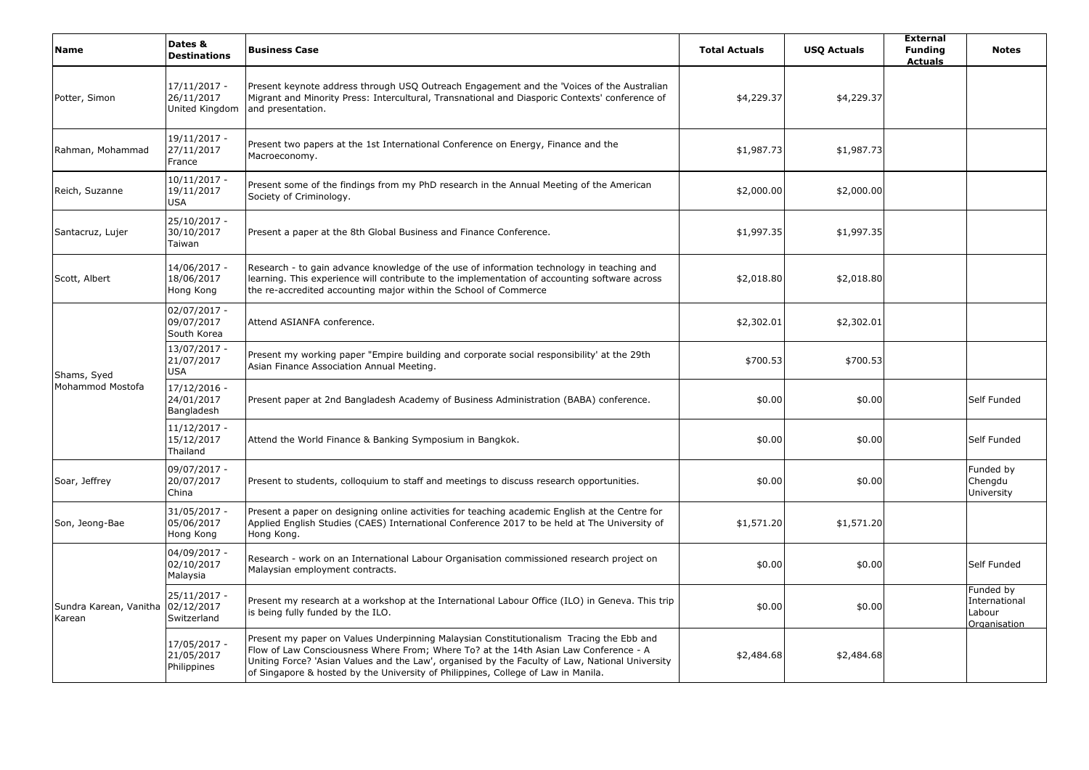| Name                             | Dates &<br><b>Destinations</b>                 | <b>Business Case</b>                                                                                                                                                                                                                                                                                                                                                    | <b>Total Actuals</b> | <b>USQ Actuals</b> | <b>External</b><br><b>Funding</b><br><b>Actuals</b> | <b>Notes</b>                                                |
|----------------------------------|------------------------------------------------|-------------------------------------------------------------------------------------------------------------------------------------------------------------------------------------------------------------------------------------------------------------------------------------------------------------------------------------------------------------------------|----------------------|--------------------|-----------------------------------------------------|-------------------------------------------------------------|
| Potter, Simon                    | $17/11/2017 -$<br>26/11/2017<br>United Kingdom | Present keynote address through USQ Outreach Engagement and the 'Voices of the Australian<br>Migrant and Minority Press: Intercultural, Transnational and Diasporic Contexts' conference of<br>and presentation.                                                                                                                                                        | \$4,229.37           | \$4,229.37         |                                                     |                                                             |
| Rahman, Mohammad                 | 19/11/2017 -<br>27/11/2017<br>France           | Present two papers at the 1st International Conference on Energy, Finance and the<br>Macroeconomy.                                                                                                                                                                                                                                                                      | \$1,987.73           | \$1,987.73         |                                                     |                                                             |
| Reich, Suzanne                   | $10/11/2017 -$<br>19/11/2017<br><b>USA</b>     | Present some of the findings from my PhD research in the Annual Meeting of the American<br>Society of Criminology.                                                                                                                                                                                                                                                      | \$2,000.00           | \$2,000.00         |                                                     |                                                             |
| Santacruz, Lujer                 | 25/10/2017 -<br>30/10/2017<br>Taiwan           | Present a paper at the 8th Global Business and Finance Conference.                                                                                                                                                                                                                                                                                                      | \$1,997.35           | \$1,997.35         |                                                     |                                                             |
| Scott, Albert                    | 14/06/2017 -<br>18/06/2017<br>Hong Kong        | Research - to gain advance knowledge of the use of information technology in teaching and<br>learning. This experience will contribute to the implementation of accounting software across<br>the re-accredited accounting major within the School of Commerce                                                                                                          | \$2,018.80           | \$2,018.80         |                                                     |                                                             |
| Shams, Syed                      | 02/07/2017 -<br>09/07/2017<br>South Korea      | Attend ASIANFA conference.                                                                                                                                                                                                                                                                                                                                              | \$2,302.01           | \$2,302.01         |                                                     |                                                             |
|                                  | 13/07/2017 -<br>21/07/2017<br><b>USA</b>       | Present my working paper "Empire building and corporate social responsibility' at the 29th<br>Asian Finance Association Annual Meeting.                                                                                                                                                                                                                                 | \$700.53             | \$700.53           |                                                     |                                                             |
| Mohammod Mostofa                 | 17/12/2016 -<br>24/01/2017<br>Bangladesh       | Present paper at 2nd Bangladesh Academy of Business Administration (BABA) conference.                                                                                                                                                                                                                                                                                   | \$0.00               | \$0.00             |                                                     | Self Funded                                                 |
|                                  | 11/12/2017 -<br>15/12/2017<br>Thailand         | Attend the World Finance & Banking Symposium in Bangkok.                                                                                                                                                                                                                                                                                                                | \$0.00               | \$0.00             |                                                     | Self Funded                                                 |
| Soar, Jeffrey                    | 09/07/2017 -<br>20/07/2017<br>China            | Present to students, colloquium to staff and meetings to discuss research opportunities.                                                                                                                                                                                                                                                                                | \$0.00               | \$0.00             |                                                     | Funded by<br>Chengdu<br>University                          |
| Son, Jeong-Bae                   | 31/05/2017 -<br>05/06/2017<br>Hong Kong        | Present a paper on designing online activities for teaching academic English at the Centre for<br>Applied English Studies (CAES) International Conference 2017 to be held at The University of<br>Hong Kong.                                                                                                                                                            | \$1,571.20           | \$1,571.20         |                                                     |                                                             |
|                                  | 04/09/2017 -<br>02/10/2017<br>Malaysia         | Research - work on an International Labour Organisation commissioned research project on<br>Malaysian employment contracts.                                                                                                                                                                                                                                             | \$0.00               | \$0.00             |                                                     | Self Funded                                                 |
| Sundra Karean, Vanitha<br>Karean | 25/11/2017 -<br>02/12/2017<br>Switzerland      | Present my research at a workshop at the International Labour Office (ILO) in Geneva. This trip<br>is being fully funded by the ILO.                                                                                                                                                                                                                                    | \$0.00               | \$0.00             |                                                     | Funded by<br>International<br>Labour<br><b>Organisation</b> |
|                                  | 17/05/2017 -<br>21/05/2017<br>Philippines      | Present my paper on Values Underpinning Malaysian Constitutionalism Tracing the Ebb and<br>Flow of Law Consciousness Where From; Where To? at the 14th Asian Law Conference - A<br>Uniting Force? 'Asian Values and the Law', organised by the Faculty of Law, National University<br>of Singapore & hosted by the University of Philippines, College of Law in Manila. | \$2,484.68           | \$2,484.68         |                                                     |                                                             |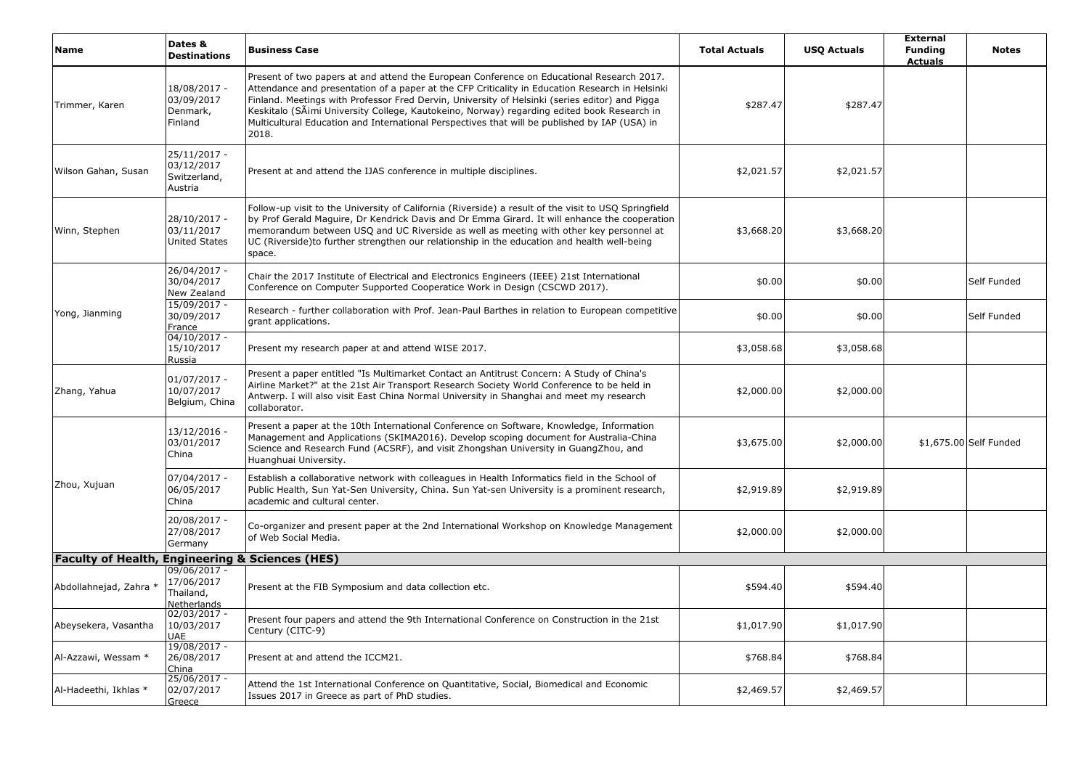| Name                                                       | Dates &<br><b>Destinations</b>                           | <b>Business Case</b>                                                                                                                                                                                                                                                                                                                                                                                                                                                                                   | <b>Total Actuals</b> | <b>USQ Actuals</b> | <b>External</b><br><b>Funding</b><br><b>Actuals</b> | <b>Notes</b>           |
|------------------------------------------------------------|----------------------------------------------------------|--------------------------------------------------------------------------------------------------------------------------------------------------------------------------------------------------------------------------------------------------------------------------------------------------------------------------------------------------------------------------------------------------------------------------------------------------------------------------------------------------------|----------------------|--------------------|-----------------------------------------------------|------------------------|
| Trimmer, Karen                                             | 18/08/2017 -<br>03/09/2017<br>Denmark,<br>Finland        | Present of two papers at and attend the European Conference on Educational Research 2017.<br>Attendance and presentation of a paper at the CFP Criticality in Education Research in Helsinki<br>Finland. Meetings with Professor Fred Dervin, University of Helsinki (series editor) and Pigga<br>Keskitalo (SÄimi University College, Kautokeino, Norway) regarding edited book Research in<br>Multicultural Education and International Perspectives that will be published by IAP (USA) in<br>2018. | \$287.47             | \$287.47           |                                                     |                        |
| Wilson Gahan, Susan                                        | 25/11/2017 -<br>03/12/2017<br>Switzerland,<br>Austria    | Present at and attend the IJAS conference in multiple disciplines.                                                                                                                                                                                                                                                                                                                                                                                                                                     | \$2,021.57           | \$2,021.57         |                                                     |                        |
| Winn, Stephen                                              | 28/10/2017 -<br>03/11/2017<br><b>United States</b>       | Follow-up visit to the University of California (Riverside) a result of the visit to USQ Springfield<br>by Prof Gerald Maguire, Dr Kendrick Davis and Dr Emma Girard. It will enhance the cooperation<br>memorandum between USQ and UC Riverside as well as meeting with other key personnel at<br>UC (Riverside)to further strengthen our relationship in the education and health well-being<br>space.                                                                                               | \$3,668.20           | \$3,668.20         |                                                     |                        |
|                                                            | 26/04/2017 -<br>30/04/2017<br>New Zealand                | Chair the 2017 Institute of Electrical and Electronics Engineers (IEEE) 21st International<br>Conference on Computer Supported Cooperatice Work in Design (CSCWD 2017).                                                                                                                                                                                                                                                                                                                                | \$0.00               | \$0.00             |                                                     | Self Funded            |
| Yong, Jianming                                             | 15/09/2017 -<br>30/09/2017<br>France                     | Research - further collaboration with Prof. Jean-Paul Barthes in relation to European competitive<br>grant applications.                                                                                                                                                                                                                                                                                                                                                                               | \$0.00               | \$0.00             |                                                     | Self Funded            |
|                                                            | $04/10/2017 -$<br>15/10/2017<br>Russia                   | Present my research paper at and attend WISE 2017.                                                                                                                                                                                                                                                                                                                                                                                                                                                     | \$3,058.68           | \$3,058.68         |                                                     |                        |
| Zhang, Yahua                                               | $01/07/2017 -$<br>10/07/2017<br>Belgium, China           | Present a paper entitled "Is Multimarket Contact an Antitrust Concern: A Study of China's<br>Airline Market?" at the 21st Air Transport Research Society World Conference to be held in<br>Antwerp. I will also visit East China Normal University in Shanghai and meet my research<br>collaborator.                                                                                                                                                                                                   | \$2,000.00           | \$2,000.00         |                                                     |                        |
|                                                            | 13/12/2016 -<br>03/01/2017<br>China                      | Present a paper at the 10th International Conference on Software, Knowledge, Information<br>Management and Applications (SKIMA2016). Develop scoping document for Australia-China<br>Science and Research Fund (ACSRF), and visit Zhongshan University in GuangZhou, and<br>Huanghuai University.                                                                                                                                                                                                      | \$3,675.00           | \$2,000.00         |                                                     | \$1,675.00 Self Funded |
| Zhou, Xujuan                                               | 07/04/2017 -<br>06/05/2017<br>China                      | Establish a collaborative network with colleagues in Health Informatics field in the School of<br>Public Health, Sun Yat-Sen University, China. Sun Yat-sen University is a prominent research,<br>academic and cultural center.                                                                                                                                                                                                                                                                       | \$2,919.89           | \$2,919.89         |                                                     |                        |
|                                                            | 20/08/2017 -<br>27/08/2017<br>Germany                    | Co-organizer and present paper at the 2nd International Workshop on Knowledge Management<br>of Web Social Media.                                                                                                                                                                                                                                                                                                                                                                                       | \$2,000.00           | \$2,000.00         |                                                     |                        |
| <b>Faculty of Health, Engineering &amp; Sciences (HES)</b> |                                                          |                                                                                                                                                                                                                                                                                                                                                                                                                                                                                                        |                      |                    |                                                     |                        |
| Abdollahnejad, Zahra *                                     | $09/06/2017 -$<br>17/06/2017<br>Thailand,<br>Netherlands | Present at the FIB Symposium and data collection etc.                                                                                                                                                                                                                                                                                                                                                                                                                                                  | \$594.40             | \$594.40           |                                                     |                        |
| Abeysekera, Vasantha                                       | $02/03/2017 -$<br>10/03/2017<br>UAE                      | Present four papers and attend the 9th International Conference on Construction in the 21st<br>Century (CITC-9)                                                                                                                                                                                                                                                                                                                                                                                        | \$1,017.90           | \$1,017.90         |                                                     |                        |
| Al-Azzawi, Wessam *                                        | 19/08/2017 -<br>26/08/2017<br>China                      | Present at and attend the ICCM21.                                                                                                                                                                                                                                                                                                                                                                                                                                                                      | \$768.84             | \$768.84           |                                                     |                        |
| Al-Hadeethi, Ikhlas *                                      | 25/06/2017 -<br>02/07/2017<br>Greece                     | Attend the 1st International Conference on Quantitative, Social, Biomedical and Economic<br>Issues 2017 in Greece as part of PhD studies.                                                                                                                                                                                                                                                                                                                                                              | \$2,469.57           | \$2,469.57         |                                                     |                        |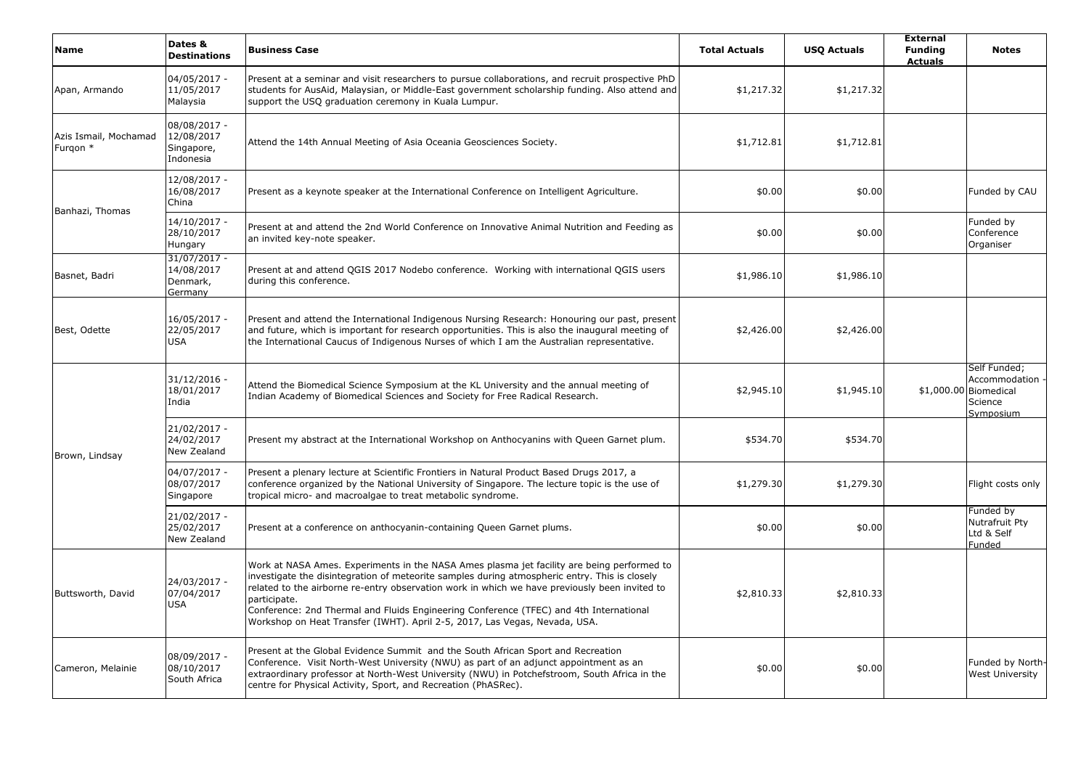| <b>Name</b>                       | Dates &<br><b>Destinations</b>                        | <b>Business Case</b>                                                                                                                                                                                                                                                                                                                                                                                                                                                                 | <b>Total Actuals</b> | <b>USQ Actuals</b> | <b>External</b><br><b>Funding</b><br><b>Actuals</b> | <b>Notes</b>                                                                   |
|-----------------------------------|-------------------------------------------------------|--------------------------------------------------------------------------------------------------------------------------------------------------------------------------------------------------------------------------------------------------------------------------------------------------------------------------------------------------------------------------------------------------------------------------------------------------------------------------------------|----------------------|--------------------|-----------------------------------------------------|--------------------------------------------------------------------------------|
| Apan, Armando                     | 04/05/2017 -<br>11/05/2017<br>Malaysia                | Present at a seminar and visit researchers to pursue collaborations, and recruit prospective PhD<br>students for AusAid, Malaysian, or Middle-East government scholarship funding. Also attend and<br>support the USQ graduation ceremony in Kuala Lumpur.                                                                                                                                                                                                                           | \$1,217.32           | \$1,217.32         |                                                     |                                                                                |
| Azis Ismail, Mochamad<br>Furgon * | 08/08/2017 -<br>12/08/2017<br>Singapore,<br>Indonesia | Attend the 14th Annual Meeting of Asia Oceania Geosciences Society.                                                                                                                                                                                                                                                                                                                                                                                                                  | \$1,712.81           | \$1,712.81         |                                                     |                                                                                |
| Banhazi, Thomas                   | 12/08/2017 -<br>16/08/2017<br>China                   | Present as a keynote speaker at the International Conference on Intelligent Agriculture.                                                                                                                                                                                                                                                                                                                                                                                             | \$0.00               | \$0.00             |                                                     | Funded by CAU                                                                  |
|                                   | 14/10/2017 -<br>28/10/2017<br>Hungary                 | Present at and attend the 2nd World Conference on Innovative Animal Nutrition and Feeding as<br>an invited key-note speaker.                                                                                                                                                                                                                                                                                                                                                         | \$0.00               | \$0.00             |                                                     | Funded by<br>Conference<br>Organiser                                           |
| Basnet, Badri                     | $31/07/2017 -$<br>14/08/2017<br>Denmark,<br>Germany   | Present at and attend QGIS 2017 Nodebo conference. Working with international QGIS users<br>during this conference.                                                                                                                                                                                                                                                                                                                                                                  | \$1,986.10           | \$1,986.10         |                                                     |                                                                                |
| Best, Odette                      | 16/05/2017 -<br>22/05/2017<br><b>USA</b>              | Present and attend the International Indigenous Nursing Research: Honouring our past, present<br>and future, which is important for research opportunities. This is also the inaugural meeting of<br>the International Caucus of Indigenous Nurses of which I am the Australian representative.                                                                                                                                                                                      | \$2,426.00           | \$2,426.00         |                                                     |                                                                                |
|                                   | $31/12/2016 -$<br>18/01/2017<br>India                 | Attend the Biomedical Science Symposium at the KL University and the annual meeting of<br>Indian Academy of Biomedical Sciences and Society for Free Radical Research.                                                                                                                                                                                                                                                                                                               | \$2,945.10           | \$1,945.10         |                                                     | Self Funded;<br>Accommodation<br>\$1,000.00 Biomedical<br>Science<br>Symposium |
| Brown, Lindsay                    | 21/02/2017 -<br>24/02/2017<br>New Zealand             | Present my abstract at the International Workshop on Anthocyanins with Queen Garnet plum.                                                                                                                                                                                                                                                                                                                                                                                            | \$534.70             | \$534.70           |                                                     |                                                                                |
|                                   | 04/07/2017 -<br>08/07/2017<br>Singapore               | Present a plenary lecture at Scientific Frontiers in Natural Product Based Drugs 2017, a<br>conference organized by the National University of Singapore. The lecture topic is the use of<br>tropical micro- and macroalgae to treat metabolic syndrome.                                                                                                                                                                                                                             | \$1,279.30           | \$1,279.30         |                                                     | Flight costs only                                                              |
|                                   | 21/02/2017 -<br>25/02/2017<br>New Zealand             | Present at a conference on anthocyanin-containing Queen Garnet plums.                                                                                                                                                                                                                                                                                                                                                                                                                | \$0.00               | \$0.00             |                                                     | Funded by<br>Nutrafruit Pty<br>Ltd & Self<br>Funded                            |
| Buttsworth, David                 | 24/03/2017 -<br>07/04/2017<br><b>USA</b>              | Work at NASA Ames. Experiments in the NASA Ames plasma jet facility are being performed to<br>investigate the disintegration of meteorite samples during atmospheric entry. This is closely<br>related to the airborne re-entry observation work in which we have previously been invited to<br>participate.<br>Conference: 2nd Thermal and Fluids Engineering Conference (TFEC) and 4th International<br>Workshop on Heat Transfer (IWHT). April 2-5, 2017, Las Vegas, Nevada, USA. | \$2,810.33           | \$2,810.33         |                                                     |                                                                                |
| Cameron, Melainie                 | 08/09/2017 -<br>08/10/2017<br>South Africa            | Present at the Global Evidence Summit and the South African Sport and Recreation<br>Conference. Visit North-West University (NWU) as part of an adjunct appointment as an<br>extraordinary professor at North-West University (NWU) in Potchefstroom, South Africa in the<br>centre for Physical Activity, Sport, and Recreation (PhASRec).                                                                                                                                          | \$0.00               | \$0.00             |                                                     | Funded by North<br>West University                                             |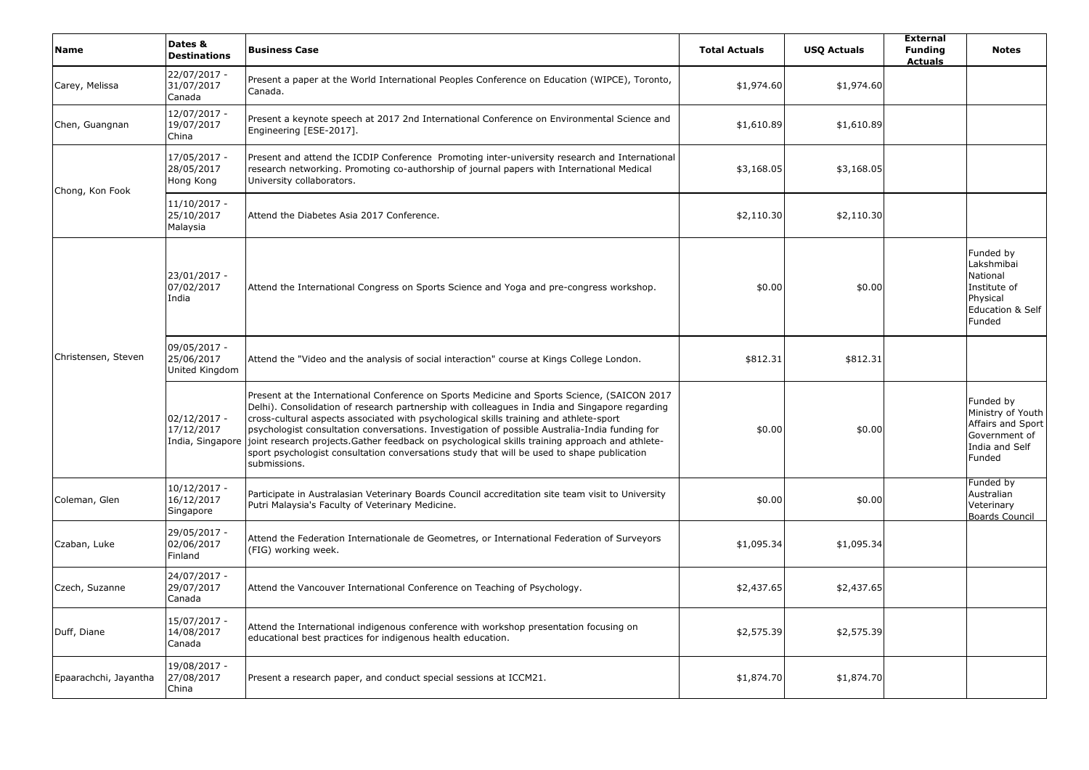| <b>Name</b>           | Dates &<br><b>Destinations</b>                   | <b>Business Case</b>                                                                                                                                                                                                                                                                                                                                                                                                                                                                                                                                                                                      | <b>Total Actuals</b> | <b>USO Actuals</b> | <b>External</b><br><b>Funding</b><br><b>Actuals</b> | <b>Notes</b>                                                                                     |
|-----------------------|--------------------------------------------------|-----------------------------------------------------------------------------------------------------------------------------------------------------------------------------------------------------------------------------------------------------------------------------------------------------------------------------------------------------------------------------------------------------------------------------------------------------------------------------------------------------------------------------------------------------------------------------------------------------------|----------------------|--------------------|-----------------------------------------------------|--------------------------------------------------------------------------------------------------|
| Carey, Melissa        | 22/07/2017 -<br>31/07/2017<br>Canada             | Present a paper at the World International Peoples Conference on Education (WIPCE), Toronto,<br>Canada.                                                                                                                                                                                                                                                                                                                                                                                                                                                                                                   | \$1,974.60           | \$1,974.60         |                                                     |                                                                                                  |
| Chen, Guangnan        | 12/07/2017 -<br>19/07/2017<br>China              | Present a keynote speech at 2017 2nd International Conference on Environmental Science and<br>Engineering [ESE-2017].                                                                                                                                                                                                                                                                                                                                                                                                                                                                                     | \$1,610.89           | \$1,610.89         |                                                     |                                                                                                  |
| Chong, Kon Fook       | 17/05/2017 -<br>28/05/2017<br>Hong Kong          | Present and attend the ICDIP Conference Promoting inter-university research and International<br>research networking. Promoting co-authorship of journal papers with International Medical<br>University collaborators.                                                                                                                                                                                                                                                                                                                                                                                   | \$3,168.05           | \$3,168.05         |                                                     |                                                                                                  |
|                       | $11/10/2017 -$<br>25/10/2017<br>Malaysia         | Attend the Diabetes Asia 2017 Conference.                                                                                                                                                                                                                                                                                                                                                                                                                                                                                                                                                                 | \$2,110.30           | \$2,110.30         |                                                     |                                                                                                  |
| Christensen, Steven   | 23/01/2017 -<br>07/02/2017<br>India              | Attend the International Congress on Sports Science and Yoga and pre-congress workshop.                                                                                                                                                                                                                                                                                                                                                                                                                                                                                                                   | \$0.00               | \$0.00             |                                                     | Funded by<br>Lakshmibai<br>National<br>Institute of<br>Physical<br>Education & Self<br>Funded    |
|                       | 09/05/2017 -<br>25/06/2017<br>United Kingdom     | Attend the "Video and the analysis of social interaction" course at Kings College London.                                                                                                                                                                                                                                                                                                                                                                                                                                                                                                                 | \$812.31             | \$812.31           |                                                     |                                                                                                  |
|                       | $02/12/2017 -$<br>17/12/2017<br>India, Singapore | Present at the International Conference on Sports Medicine and Sports Science, (SAICON 2017<br>Delhi). Consolidation of research partnership with colleagues in India and Singapore regarding<br>cross-cultural aspects associated with psychological skills training and athlete-sport<br>psychologist consultation conversations. Investigation of possible Australia-India funding for<br>joint research projects.Gather feedback on psychological skills training approach and athlete-<br>sport psychologist consultation conversations study that will be used to shape publication<br>submissions. | \$0.00               | \$0.00             |                                                     | Funded by<br>Ministry of Youth<br>Affairs and Sport<br>Government of<br>India and Self<br>Funded |
| Coleman, Glen         | $10/12/2017 -$<br>16/12/2017<br>Singapore        | Participate in Australasian Veterinary Boards Council accreditation site team visit to University<br>Putri Malaysia's Faculty of Veterinary Medicine.                                                                                                                                                                                                                                                                                                                                                                                                                                                     | \$0.00               | \$0.00             |                                                     | Funded by<br>Australian<br>Veterinary<br>Boards Council                                          |
| Czaban, Luke          | 29/05/2017 -<br>02/06/2017<br>Finland            | Attend the Federation Internationale de Geometres, or International Federation of Surveyors<br>(FIG) working week.                                                                                                                                                                                                                                                                                                                                                                                                                                                                                        | \$1,095.34           | \$1,095.34         |                                                     |                                                                                                  |
| Czech, Suzanne        | 24/07/2017 -<br>29/07/2017<br>Canada             | Attend the Vancouver International Conference on Teaching of Psychology.                                                                                                                                                                                                                                                                                                                                                                                                                                                                                                                                  | \$2,437.65           | \$2,437.65         |                                                     |                                                                                                  |
| Duff, Diane           | 15/07/2017 -<br>14/08/2017<br>Canada             | Attend the International indigenous conference with workshop presentation focusing on<br>educational best practices for indigenous health education.                                                                                                                                                                                                                                                                                                                                                                                                                                                      | \$2,575.39           | \$2,575.39         |                                                     |                                                                                                  |
| Epaarachchi, Jayantha | 19/08/2017 -<br>27/08/2017<br>China              | Present a research paper, and conduct special sessions at ICCM21.                                                                                                                                                                                                                                                                                                                                                                                                                                                                                                                                         | \$1,874.70           | \$1,874.70         |                                                     |                                                                                                  |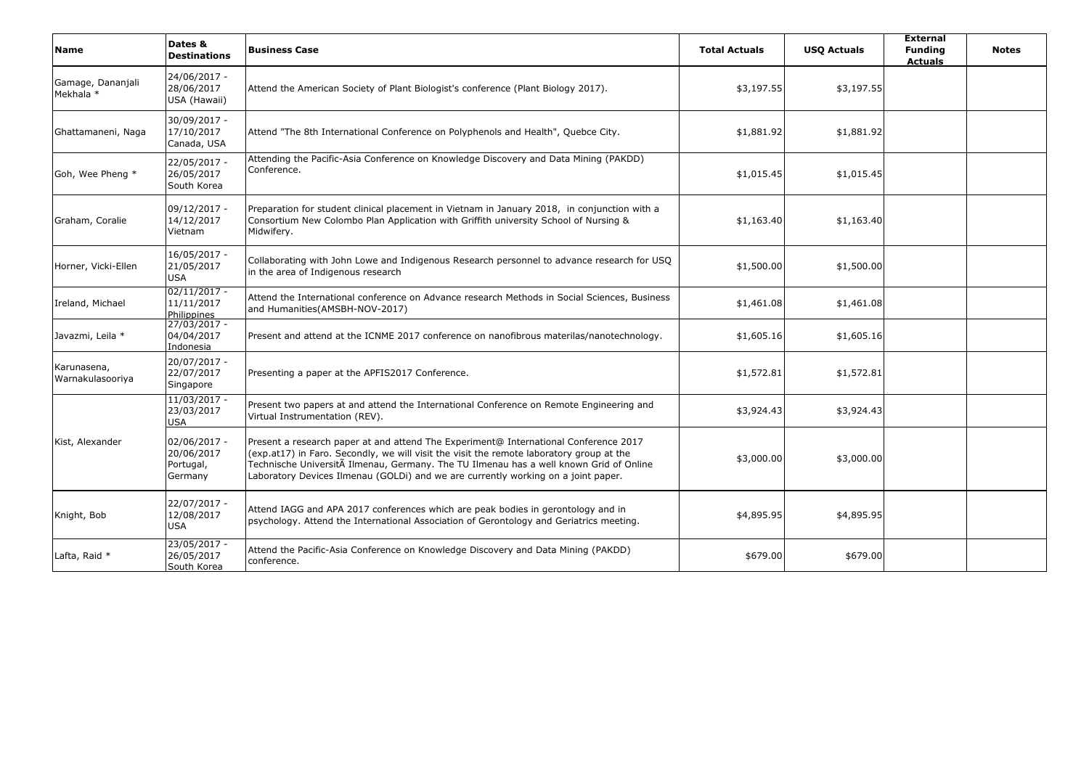| <b>Name</b>                     | Dates &<br><b>Destinations</b>                     | <b>Business Case</b>                                                                                                                                                                                                                                                                                                                                            | <b>Total Actuals</b> | <b>USO Actuals</b> | <b>External</b><br><b>Funding</b><br><b>Actuals</b> | <b>Notes</b> |
|---------------------------------|----------------------------------------------------|-----------------------------------------------------------------------------------------------------------------------------------------------------------------------------------------------------------------------------------------------------------------------------------------------------------------------------------------------------------------|----------------------|--------------------|-----------------------------------------------------|--------------|
| Gamage, Dananjali<br>Mekhala *  | 24/06/2017 -<br>28/06/2017<br>USA (Hawaii)         | Attend the American Society of Plant Biologist's conference (Plant Biology 2017).                                                                                                                                                                                                                                                                               | \$3,197.55           | \$3,197.55         |                                                     |              |
| Ghattamaneni, Naga              | 30/09/2017 -<br>17/10/2017<br>Canada, USA          | Attend "The 8th International Conference on Polyphenols and Health", Quebce City.                                                                                                                                                                                                                                                                               | \$1,881.92           | \$1,881.92         |                                                     |              |
| Goh, Wee Pheng *                | 22/05/2017 -<br>26/05/2017<br>South Korea          | Attending the Pacific-Asia Conference on Knowledge Discovery and Data Mining (PAKDD)<br>Conference.                                                                                                                                                                                                                                                             | \$1,015.45           | \$1,015.45         |                                                     |              |
| Graham, Coralie                 | 09/12/2017 -<br>14/12/2017<br>Vietnam              | Preparation for student clinical placement in Vietnam in January 2018, in conjunction with a<br>Consortium New Colombo Plan Application with Griffith university School of Nursing &<br>Midwifery.                                                                                                                                                              | \$1,163.40           | \$1,163.40         |                                                     |              |
| Horner, Vicki-Ellen             | 16/05/2017 -<br>21/05/2017<br><b>USA</b>           | Collaborating with John Lowe and Indigenous Research personnel to advance research for USQ<br>in the area of Indigenous research                                                                                                                                                                                                                                | \$1,500.00           | \$1,500.00         |                                                     |              |
| Ireland, Michael                | $02/11/2017 -$<br>11/11/2017<br>Philippines        | Attend the International conference on Advance research Methods in Social Sciences, Business<br>and Humanities (AMSBH-NOV-2017)                                                                                                                                                                                                                                 | \$1,461.08           | \$1,461.08         |                                                     |              |
| Javazmi, Leila *                | 27/03/2017 -<br>04/04/2017<br>Indonesia            | Present and attend at the ICNME 2017 conference on nanofibrous materilas/nanotechnology.                                                                                                                                                                                                                                                                        | \$1,605.16           | \$1,605.16         |                                                     |              |
| Karunasena,<br>Warnakulasooriya | 20/07/2017 -<br>22/07/2017<br>Singapore            | Presenting a paper at the APFIS2017 Conference.                                                                                                                                                                                                                                                                                                                 | \$1,572.81           | \$1,572.81         |                                                     |              |
|                                 | $11/03/2017 -$<br>23/03/2017<br><b>USA</b>         | Present two papers at and attend the International Conference on Remote Engineering and<br>Virtual Instrumentation (REV).                                                                                                                                                                                                                                       | \$3,924.43           | \$3,924.43         |                                                     |              |
| Kist, Alexander                 | 02/06/2017 -<br>20/06/2017<br>Portugal,<br>Germany | Present a research paper at and attend The Experiment@ International Conference 2017<br>(exp.at17) in Faro. Secondly, we will visit the visit the remote laboratory group at the<br>Technische UniversitA Ilmenau, Germany. The TU Ilmenau has a well known Grid of Online<br>Laboratory Devices Ilmenau (GOLDi) and we are currently working on a joint paper. | \$3,000.00           | \$3,000.00         |                                                     |              |
| Knight, Bob                     | 22/07/2017 -<br>12/08/2017<br><b>USA</b>           | Attend IAGG and APA 2017 conferences which are peak bodies in gerontology and in<br>psychology. Attend the International Association of Gerontology and Geriatrics meeting.                                                                                                                                                                                     | \$4,895.95           | \$4,895.95         |                                                     |              |
| Lafta, Raid *                   | 23/05/2017 -<br>26/05/2017<br>South Korea          | Attend the Pacific-Asia Conference on Knowledge Discovery and Data Mining (PAKDD)<br>conference.                                                                                                                                                                                                                                                                | \$679.00             | \$679.00           |                                                     |              |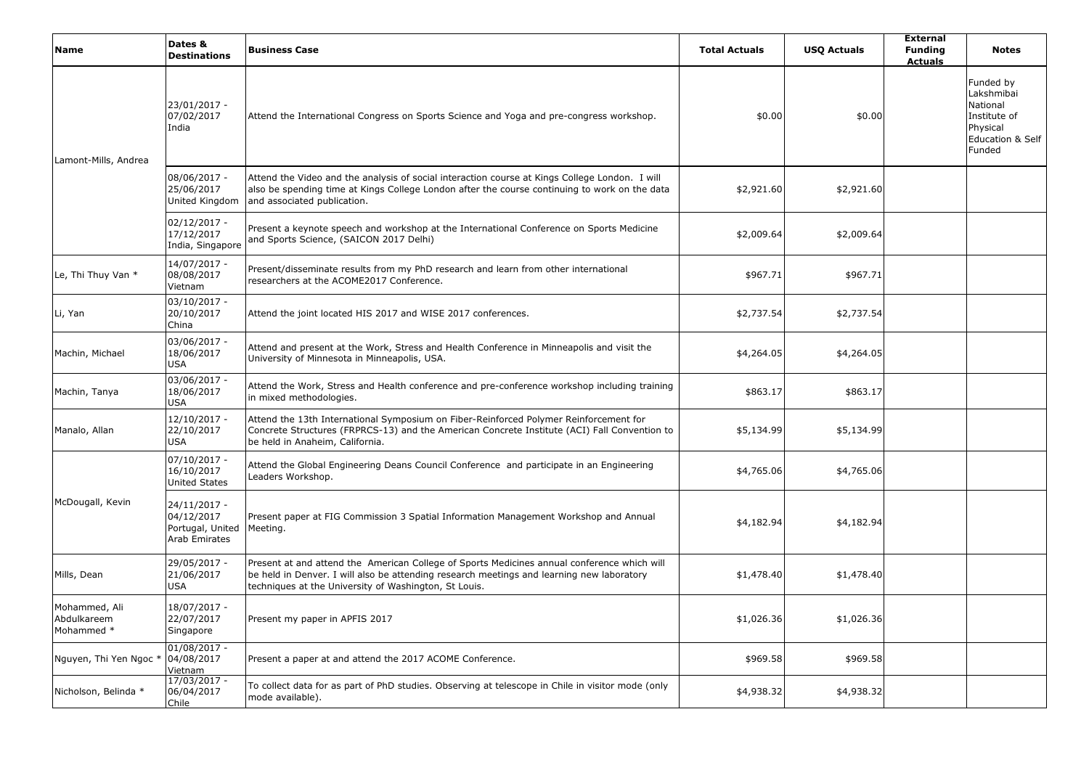| <b>Name</b>                                | Dates &<br><b>Destinations</b>                                  | <b>Business Case</b>                                                                                                                                                                                                                              | <b>Total Actuals</b> | <b>USQ Actuals</b> | <b>External</b><br><b>Funding</b><br><b>Actuals</b> | <b>Notes</b>                                                                                             |
|--------------------------------------------|-----------------------------------------------------------------|---------------------------------------------------------------------------------------------------------------------------------------------------------------------------------------------------------------------------------------------------|----------------------|--------------------|-----------------------------------------------------|----------------------------------------------------------------------------------------------------------|
| Lamont-Mills, Andrea                       | 23/01/2017 -<br>07/02/2017<br>India                             | Attend the International Congress on Sports Science and Yoga and pre-congress workshop.                                                                                                                                                           | \$0.00               | \$0.00             |                                                     | Funded by<br>Lakshmibai<br>National<br>Institute of<br>Physical<br><b>Education &amp; Self</b><br>Funded |
|                                            | 08/06/2017 -<br>25/06/2017<br>United Kingdom                    | Attend the Video and the analysis of social interaction course at Kings College London. I will<br>also be spending time at Kings College London after the course continuing to work on the data<br>and associated publication.                    | \$2,921.60           | \$2,921.60         |                                                     |                                                                                                          |
|                                            | $02/12/2017 -$<br>17/12/2017<br>India, Singapore                | Present a keynote speech and workshop at the International Conference on Sports Medicine<br>and Sports Science, (SAICON 2017 Delhi)                                                                                                               | \$2,009.64           | \$2,009.64         |                                                     |                                                                                                          |
| Le, Thi Thuy Van *                         | 14/07/2017 -<br>08/08/2017<br>Vietnam                           | Present/disseminate results from my PhD research and learn from other international<br>researchers at the ACOME2017 Conference.                                                                                                                   | \$967.71             | \$967.71           |                                                     |                                                                                                          |
| Li, Yan                                    | $03/10/2017 -$<br>20/10/2017<br>China                           | Attend the joint located HIS 2017 and WISE 2017 conferences.                                                                                                                                                                                      | \$2,737.54           | \$2,737.54         |                                                     |                                                                                                          |
| Machin, Michael                            | 03/06/2017 -<br>18/06/2017<br><b>USA</b>                        | Attend and present at the Work, Stress and Health Conference in Minneapolis and visit the<br>University of Minnesota in Minneapolis, USA.                                                                                                         | \$4,264.05           | \$4,264.05         |                                                     |                                                                                                          |
| Machin, Tanya                              | 03/06/2017 -<br>18/06/2017<br>USA                               | Attend the Work, Stress and Health conference and pre-conference workshop including training<br>in mixed methodologies.                                                                                                                           | \$863.17             | \$863.17           |                                                     |                                                                                                          |
| Manalo, Allan                              | 12/10/2017 -<br>22/10/2017<br><b>USA</b>                        | Attend the 13th International Symposium on Fiber-Reinforced Polymer Reinforcement for<br>Concrete Structures (FRPRCS-13) and the American Concrete Institute (ACI) Fall Convention to<br>be held in Anaheim, California.                          | \$5,134.99           | \$5,134.99         |                                                     |                                                                                                          |
|                                            | $07/10/2017 -$<br>16/10/2017<br><b>United States</b>            | Attend the Global Engineering Deans Council Conference and participate in an Engineering<br>Leaders Workshop.                                                                                                                                     | \$4,765.06           | \$4,765.06         |                                                     |                                                                                                          |
| McDougall, Kevin                           | 24/11/2017 -<br>04/12/2017<br>Portugal, United<br>Arab Emirates | Present paper at FIG Commission 3 Spatial Information Management Workshop and Annual<br>Meeting.                                                                                                                                                  | \$4,182.94           | \$4,182.94         |                                                     |                                                                                                          |
| Mills, Dean                                | 29/05/2017 -<br>21/06/2017<br>USA                               | Present at and attend the American College of Sports Medicines annual conference which will<br>be held in Denver. I will also be attending research meetings and learning new laboratory<br>techniques at the University of Washington, St Louis. | \$1,478.40           | \$1,478.40         |                                                     |                                                                                                          |
| Mohammed, Ali<br>Abdulkareem<br>Mohammed * | 18/07/2017 -<br>22/07/2017<br>Singapore                         | Present my paper in APFIS 2017                                                                                                                                                                                                                    | \$1,026.36           | \$1,026.36         |                                                     |                                                                                                          |
| Nguyen, Thi Yen Ngoc *                     | $01/08/2017 -$<br>04/08/2017<br>Vietnam                         | Present a paper at and attend the 2017 ACOME Conference.                                                                                                                                                                                          | \$969.58             | \$969.58           |                                                     |                                                                                                          |
| Nicholson, Belinda *                       | 17/03/2017 -<br>06/04/2017<br>Chile                             | To collect data for as part of PhD studies. Observing at telescope in Chile in visitor mode (only<br>mode available).                                                                                                                             | \$4,938.32           | \$4,938.32         |                                                     |                                                                                                          |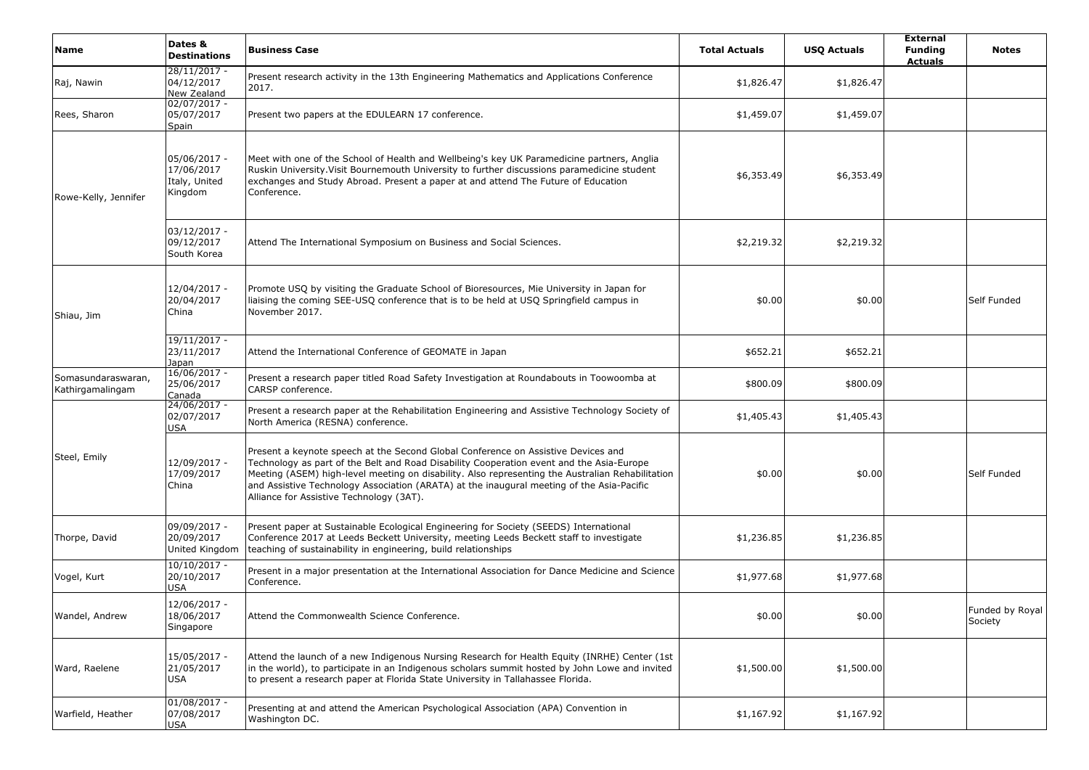| <b>Name</b>                            | Dates &<br><b>Destinations</b>                         | <b>Business Case</b>                                                                                                                                                                                                                                                                                                                                                                                                       | <b>Total Actuals</b> | <b>USQ Actuals</b> | <b>External</b><br><b>Funding</b><br><b>Actuals</b> | <b>Notes</b>               |
|----------------------------------------|--------------------------------------------------------|----------------------------------------------------------------------------------------------------------------------------------------------------------------------------------------------------------------------------------------------------------------------------------------------------------------------------------------------------------------------------------------------------------------------------|----------------------|--------------------|-----------------------------------------------------|----------------------------|
| Raj, Nawin                             | $28/11/2017 -$<br>04/12/2017<br>New Zealand            | Present research activity in the 13th Engineering Mathematics and Applications Conference<br>2017.                                                                                                                                                                                                                                                                                                                         | \$1,826.47           | \$1,826.47         |                                                     |                            |
| Rees, Sharon                           | $02/07/2017 -$<br>05/07/2017<br>Spain                  | Present two papers at the EDULEARN 17 conference.                                                                                                                                                                                                                                                                                                                                                                          | \$1,459.07           | \$1,459.07         |                                                     |                            |
| Rowe-Kelly, Jennifer                   | 05/06/2017 -<br>17/06/2017<br>Italy, United<br>Kingdom | Meet with one of the School of Health and Wellbeing's key UK Paramedicine partners, Anglia<br>Ruskin University. Visit Bournemouth University to further discussions paramedicine student<br>exchanges and Study Abroad. Present a paper at and attend The Future of Education<br>Conference.                                                                                                                              | \$6,353.49           | \$6,353.49         |                                                     |                            |
|                                        | $03/12/2017 -$<br>09/12/2017<br>South Korea            | Attend The International Symposium on Business and Social Sciences.                                                                                                                                                                                                                                                                                                                                                        | \$2,219.32           | \$2,219.32         |                                                     |                            |
| Shiau, Jim                             | 12/04/2017 -<br>20/04/2017<br>China                    | Promote USQ by visiting the Graduate School of Bioresources, Mie University in Japan for<br>liaising the coming SEE-USQ conference that is to be held at USQ Springfield campus in<br>November 2017.                                                                                                                                                                                                                       | \$0.00               | \$0.00             |                                                     | Self Funded                |
|                                        | $19/11/2017 -$<br>23/11/2017<br>Japan                  | Attend the International Conference of GEOMATE in Japan                                                                                                                                                                                                                                                                                                                                                                    | \$652.21             | \$652.21           |                                                     |                            |
| Somasundaraswaran,<br>Kathirgamalingam | $16/06/2017 -$<br>25/06/2017<br><b>Canada</b>          | Present a research paper titled Road Safety Investigation at Roundabouts in Toowoomba at<br>CARSP conference.                                                                                                                                                                                                                                                                                                              | \$800.09             | \$800.09           |                                                     |                            |
|                                        | 24/06/2017 -<br>02/07/2017<br><b>USA</b>               | Present a research paper at the Rehabilitation Engineering and Assistive Technology Society of<br>North America (RESNA) conference.                                                                                                                                                                                                                                                                                        | \$1,405.43           | \$1,405.43         |                                                     |                            |
| Steel, Emily                           | 12/09/2017 -<br>17/09/2017<br>China                    | Present a keynote speech at the Second Global Conference on Assistive Devices and<br>Technology as part of the Belt and Road Disability Cooperation event and the Asia-Europe<br>Meeting (ASEM) high-level meeting on disability. Also representing the Australian Rehabilitation<br>and Assistive Technology Association (ARATA) at the inaugural meeting of the Asia-Pacific<br>Alliance for Assistive Technology (3AT). | \$0.00               | \$0.00             |                                                     | Self Funded                |
| Thorpe, David                          | 09/09/2017 -<br>20/09/2017<br>United Kingdom           | Present paper at Sustainable Ecological Engineering for Society (SEEDS) International<br>Conference 2017 at Leeds Beckett University, meeting Leeds Beckett staff to investigate<br>teaching of sustainability in engineering, build relationships                                                                                                                                                                         | \$1,236.85           | \$1,236.85         |                                                     |                            |
| Vogel, Kurt                            | $10/10/2017 -$<br>20/10/2017<br><b>USA</b>             | Present in a major presentation at the International Association for Dance Medicine and Science<br>Conference.                                                                                                                                                                                                                                                                                                             | \$1,977.68           | \$1,977.68         |                                                     |                            |
| Wandel, Andrew                         | 12/06/2017 -<br>18/06/2017<br>Singapore                | Attend the Commonwealth Science Conference.                                                                                                                                                                                                                                                                                                                                                                                | \$0.00               | \$0.00             |                                                     | Funded by Royal<br>Society |
| Ward, Raelene                          | 15/05/2017 -<br>21/05/2017<br>USA                      | Attend the launch of a new Indigenous Nursing Research for Health Equity (INRHE) Center (1st<br>in the world), to participate in an Indigenous scholars summit hosted by John Lowe and invited<br>to present a research paper at Florida State University in Tallahassee Florida.                                                                                                                                          | \$1,500.00           | \$1,500.00         |                                                     |                            |
| Warfield, Heather                      | $01/08/2017 -$<br>07/08/2017<br><b>USA</b>             | Presenting at and attend the American Psychological Association (APA) Convention in<br>Washington DC.                                                                                                                                                                                                                                                                                                                      | \$1,167.92           | \$1,167.92         |                                                     |                            |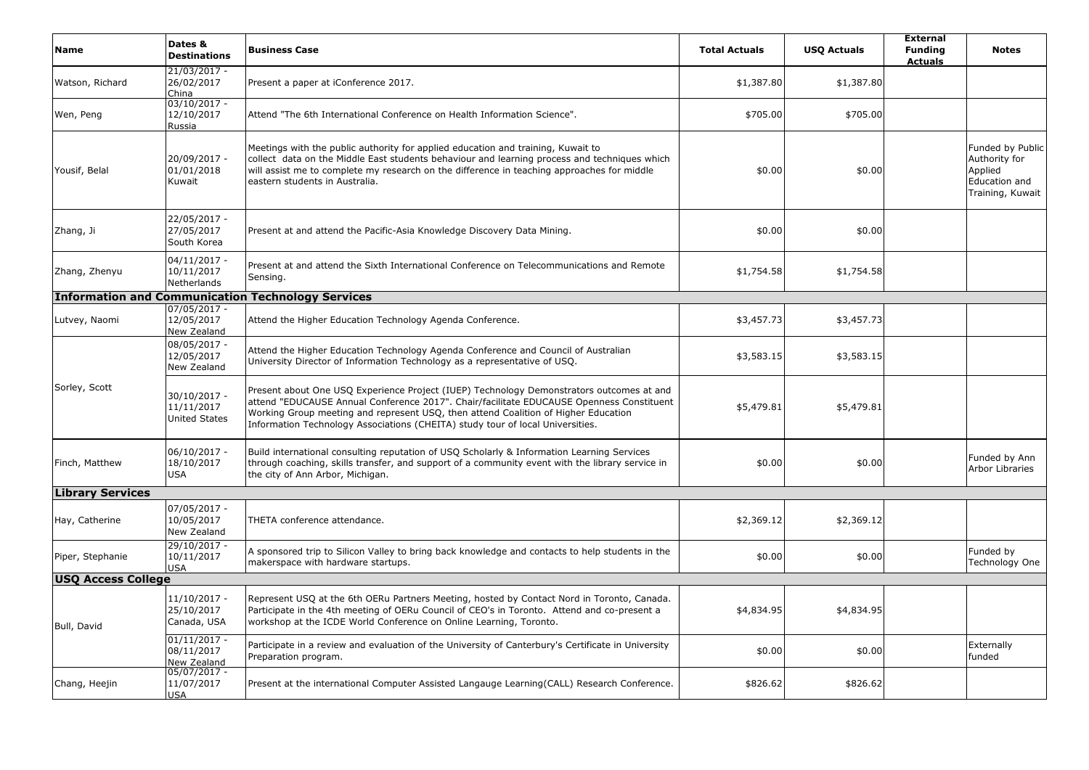| <b>Name</b>               | Dates &<br><b>Destinations</b>                     | <b>Business Case</b>                                                                                                                                                                                                                                                                                                                                         | <b>Total Actuals</b> | <b>USQ Actuals</b> | <b>External</b><br><b>Funding</b><br><b>Actuals</b> | <b>Notes</b>                                                                      |
|---------------------------|----------------------------------------------------|--------------------------------------------------------------------------------------------------------------------------------------------------------------------------------------------------------------------------------------------------------------------------------------------------------------------------------------------------------------|----------------------|--------------------|-----------------------------------------------------|-----------------------------------------------------------------------------------|
| Watson, Richard           | 21/03/2017 -<br>26/02/2017<br>China                | Present a paper at iConference 2017.                                                                                                                                                                                                                                                                                                                         | \$1,387.80           | \$1,387.80         |                                                     |                                                                                   |
| Wen, Peng                 | 03/10/2017 -<br>12/10/2017<br>Russia               | Attend "The 6th International Conference on Health Information Science".                                                                                                                                                                                                                                                                                     | \$705.00             | \$705.00           |                                                     |                                                                                   |
| Yousif, Belal             | 20/09/2017 -<br>01/01/2018<br>Kuwait               | Meetings with the public authority for applied education and training, Kuwait to<br>collect data on the Middle East students behaviour and learning process and techniques which<br>will assist me to complete my research on the difference in teaching approaches for middle<br>eastern students in Australia.                                             | \$0.00               | \$0.00             |                                                     | Funded by Public<br>Authority for<br>Applied<br>Education and<br>Training, Kuwait |
| Zhang, Ji                 | 22/05/2017 -<br>27/05/2017<br>South Korea          | Present at and attend the Pacific-Asia Knowledge Discovery Data Mining.                                                                                                                                                                                                                                                                                      | \$0.00               | \$0.00             |                                                     |                                                                                   |
| Zhang, Zhenyu             | $04/11/2017 -$<br>10/11/2017<br>Netherlands        | Present at and attend the Sixth International Conference on Telecommunications and Remote<br>Sensing.                                                                                                                                                                                                                                                        | \$1,754.58           | \$1,754.58         |                                                     |                                                                                   |
|                           |                                                    | <b>Information and Communication Technology Services</b>                                                                                                                                                                                                                                                                                                     |                      |                    |                                                     |                                                                                   |
| Lutvey, Naomi             | $07/05/2017 -$<br>12/05/2017<br>New Zealand        | Attend the Higher Education Technology Agenda Conference.                                                                                                                                                                                                                                                                                                    | \$3,457.73           | \$3,457.73         |                                                     |                                                                                   |
|                           | 08/05/2017 -<br>12/05/2017<br>New Zealand          | Attend the Higher Education Technology Agenda Conference and Council of Australian<br>University Director of Information Technology as a representative of USQ.                                                                                                                                                                                              | \$3,583.15           | \$3,583.15         |                                                     |                                                                                   |
| Sorley, Scott             | 30/10/2017 -<br>11/11/2017<br><b>United States</b> | Present about One USQ Experience Project (IUEP) Technology Demonstrators outcomes at and<br>attend "EDUCAUSE Annual Conference 2017". Chair/facilitate EDUCAUSE Openness Constituent<br>Working Group meeting and represent USQ, then attend Coalition of Higher Education<br>Information Technology Associations (CHEITA) study tour of local Universities. | \$5,479.81           | \$5,479.81         |                                                     |                                                                                   |
| Finch, Matthew            | 06/10/2017 -<br>18/10/2017<br><b>USA</b>           | Build international consulting reputation of USQ Scholarly & Information Learning Services<br>through coaching, skills transfer, and support of a community event with the library service in<br>the city of Ann Arbor, Michigan.                                                                                                                            | \$0.00               | \$0.00             |                                                     | Funded by Ann<br><b>Arbor Libraries</b>                                           |
| <b>Library Services</b>   |                                                    |                                                                                                                                                                                                                                                                                                                                                              |                      |                    |                                                     |                                                                                   |
| Hay, Catherine            | 07/05/2017 -<br>10/05/2017<br>New Zealand          | THETA conference attendance.                                                                                                                                                                                                                                                                                                                                 | \$2,369.12           | \$2,369.12         |                                                     |                                                                                   |
| Piper, Stephanie          | 29/10/2017 -<br>10/11/2017<br><b>USA</b>           | A sponsored trip to Silicon Valley to bring back knowledge and contacts to help students in the<br>makerspace with hardware startups.                                                                                                                                                                                                                        | \$0.00               | \$0.00             |                                                     | Funded by<br>Technology One                                                       |
| <b>USQ Access College</b> |                                                    |                                                                                                                                                                                                                                                                                                                                                              |                      |                    |                                                     |                                                                                   |
| Bull, David               | 11/10/2017 -<br>25/10/2017<br>Canada, USA          | Represent USQ at the 6th OERu Partners Meeting, hosted by Contact Nord in Toronto, Canada.<br>Participate in the 4th meeting of OERu Council of CEO's in Toronto. Attend and co-present a<br>workshop at the ICDE World Conference on Online Learning, Toronto.                                                                                              | \$4,834.95           | \$4,834.95         |                                                     |                                                                                   |
|                           | $01/11/2017 -$<br>08/11/2017<br>New Zealand        | Participate in a review and evaluation of the University of Canterbury's Certificate in University<br>Preparation program.                                                                                                                                                                                                                                   | \$0.00               | \$0.00             |                                                     | Externally<br>funded                                                              |
| Chang, Heejin             | 05/07/2017 -<br>11/07/2017<br><b>USA</b>           | Present at the international Computer Assisted Langauge Learning (CALL) Research Conference.                                                                                                                                                                                                                                                                 | \$826.62             | \$826.62           |                                                     |                                                                                   |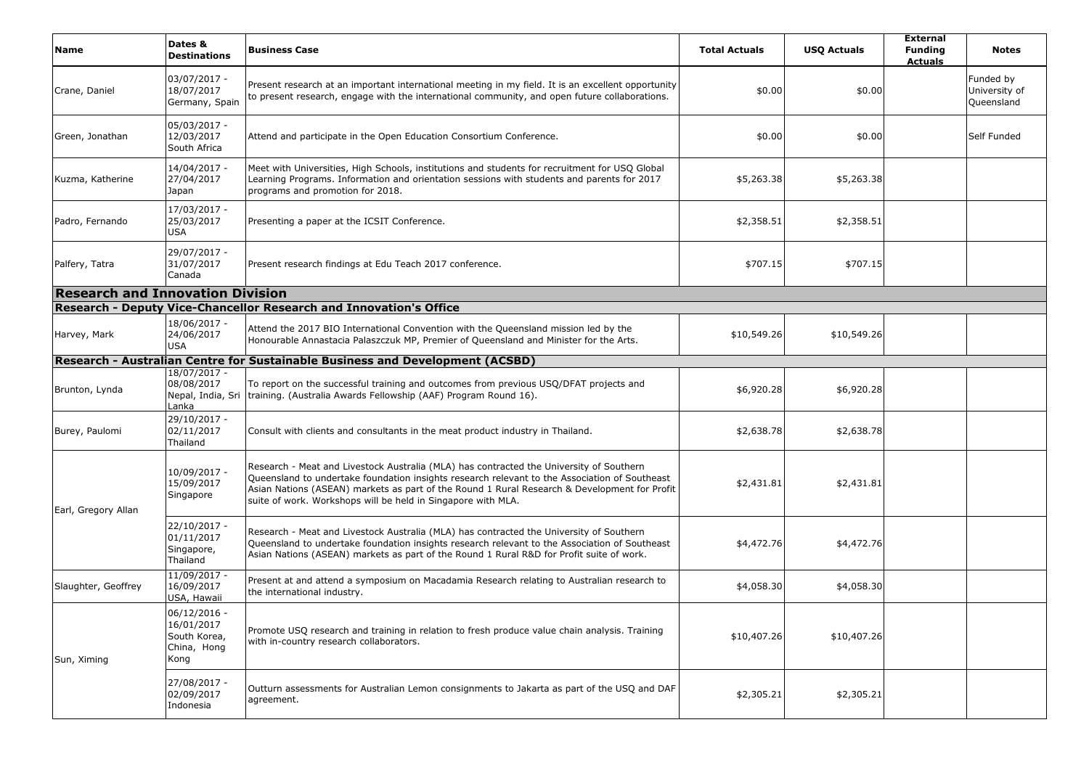| Name                                    | Dates &<br><b>Destinations</b>                                  | <b>Business Case</b>                                                                                                                                                                                                                                                                                                                                     | <b>Total Actuals</b> | <b>USQ Actuals</b> | <b>External</b><br><b>Funding</b><br><b>Actuals</b> | <b>Notes</b>                             |  |  |  |
|-----------------------------------------|-----------------------------------------------------------------|----------------------------------------------------------------------------------------------------------------------------------------------------------------------------------------------------------------------------------------------------------------------------------------------------------------------------------------------------------|----------------------|--------------------|-----------------------------------------------------|------------------------------------------|--|--|--|
| Crane, Daniel                           | 03/07/2017 -<br>18/07/2017<br>Germany, Spain                    | Present research at an important international meeting in my field. It is an excellent opportunity<br>to present research, engage with the international community, and open future collaborations.                                                                                                                                                      | \$0.00               | \$0.00             |                                                     | Funded by<br>University of<br>Queensland |  |  |  |
| Green, Jonathan                         | 05/03/2017 -<br>12/03/2017<br>South Africa                      | Attend and participate in the Open Education Consortium Conference.                                                                                                                                                                                                                                                                                      | \$0.00               | \$0.00             |                                                     | Self Funded                              |  |  |  |
| Kuzma, Katherine                        | 14/04/2017 -<br>27/04/2017<br>Japan                             | Meet with Universities, High Schools, institutions and students for recruitment for USQ Global<br>Learning Programs. Information and orientation sessions with students and parents for 2017<br>programs and promotion for 2018.                                                                                                                         | \$5,263.38           | \$5,263.38         |                                                     |                                          |  |  |  |
| Padro, Fernando                         | 17/03/2017 -<br>25/03/2017<br>USA                               | Presenting a paper at the ICSIT Conference.                                                                                                                                                                                                                                                                                                              | \$2,358.51           | \$2,358.51         |                                                     |                                          |  |  |  |
| Palfery, Tatra                          | 29/07/2017 -<br>31/07/2017<br>Canada                            | Present research findings at Edu Teach 2017 conference.                                                                                                                                                                                                                                                                                                  | \$707.15             | \$707.15           |                                                     |                                          |  |  |  |
| <b>Research and Innovation Division</b> |                                                                 |                                                                                                                                                                                                                                                                                                                                                          |                      |                    |                                                     |                                          |  |  |  |
|                                         |                                                                 | Research - Deputy Vice-Chancellor Research and Innovation's Office                                                                                                                                                                                                                                                                                       |                      |                    |                                                     |                                          |  |  |  |
| Harvey, Mark                            | 18/06/2017 -<br>24/06/2017<br>USA                               | Attend the 2017 BIO International Convention with the Queensland mission led by the<br>Honourable Annastacia Palaszczuk MP, Premier of Queensland and Minister for the Arts.                                                                                                                                                                             | \$10,549.26          | \$10,549.26        |                                                     |                                          |  |  |  |
|                                         |                                                                 | Research - Australian Centre for Sustainable Business and Development (ACSBD)                                                                                                                                                                                                                                                                            |                      |                    |                                                     |                                          |  |  |  |
| Brunton, Lynda                          | 18/07/2017 -<br>08/08/2017<br>Nepal, India, Sri<br>Lanka        | To report on the successful training and outcomes from previous USQ/DFAT projects and<br>training. (Australia Awards Fellowship (AAF) Program Round 16).                                                                                                                                                                                                 | \$6,920.28           | \$6,920.28         |                                                     |                                          |  |  |  |
| Burey, Paulomi                          | 29/10/2017 -<br>02/11/2017<br>Thailand                          | Consult with clients and consultants in the meat product industry in Thailand.                                                                                                                                                                                                                                                                           | \$2,638.78           | \$2,638.78         |                                                     |                                          |  |  |  |
| Earl, Gregory Allan                     | 10/09/2017 -<br>15/09/2017<br>Singapore                         | Research - Meat and Livestock Australia (MLA) has contracted the University of Southern<br>Queensland to undertake foundation insights research relevant to the Association of Southeast<br>Asian Nations (ASEAN) markets as part of the Round 1 Rural Research & Development for Profit<br>suite of work. Workshops will be held in Singapore with MLA. | \$2,431.81           | \$2,431.81         |                                                     |                                          |  |  |  |
|                                         | 22/10/2017 -<br>01/11/2017<br>Singapore,<br>Thailand            | Research - Meat and Livestock Australia (MLA) has contracted the University of Southern<br>Queensland to undertake foundation insights research relevant to the Association of Southeast<br>Asian Nations (ASEAN) markets as part of the Round 1 Rural R&D for Profit suite of work.                                                                     | \$4,472.76           | \$4,472.76         |                                                     |                                          |  |  |  |
| Slaughter, Geoffrey                     | 11/09/2017 -<br>16/09/2017<br>USA, Hawaii                       | Present at and attend a symposium on Macadamia Research relating to Australian research to<br>the international industry.                                                                                                                                                                                                                                | \$4,058.30           | \$4,058.30         |                                                     |                                          |  |  |  |
| Sun, Ximing                             | 06/12/2016<br>16/01/2017<br>South Korea,<br>China, Hong<br>Kong | Promote USQ research and training in relation to fresh produce value chain analysis. Training<br>with in-country research collaborators.                                                                                                                                                                                                                 | \$10,407.26          | \$10,407.26        |                                                     |                                          |  |  |  |
|                                         | 27/08/2017 -<br>02/09/2017<br>Indonesia                         | Outturn assessments for Australian Lemon consignments to Jakarta as part of the USQ and DAF<br>agreement.                                                                                                                                                                                                                                                | \$2,305.21           | \$2,305.21         |                                                     |                                          |  |  |  |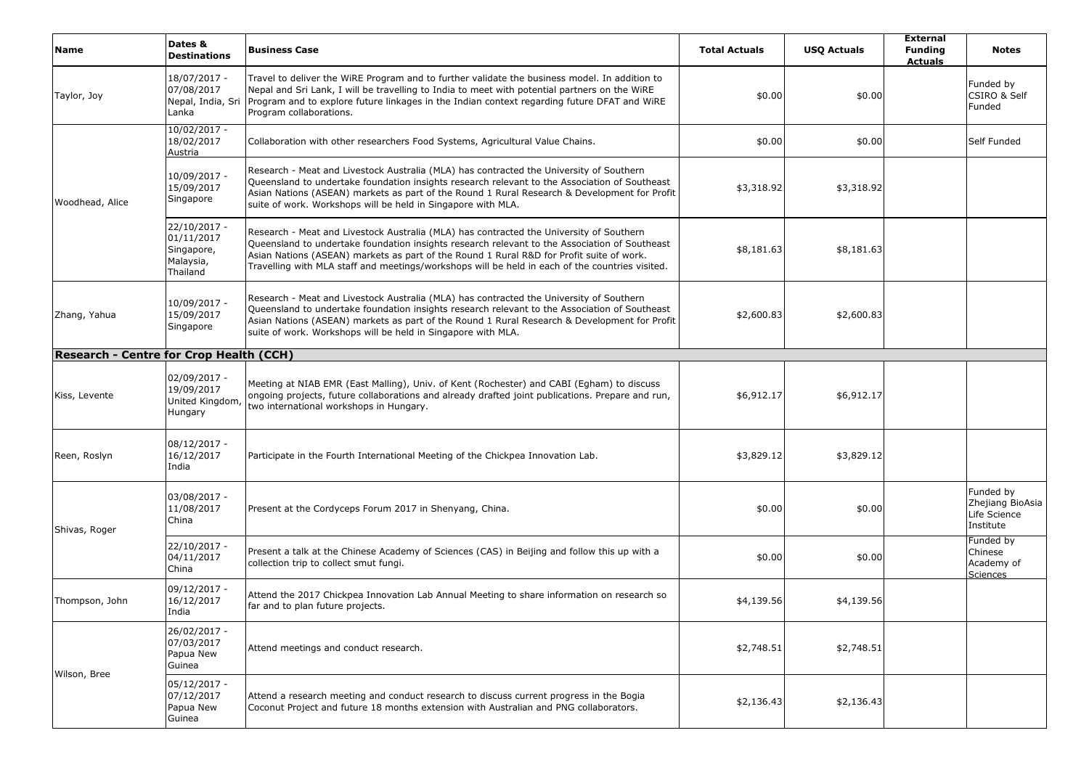| <b>Name</b>                             | Dates &<br><b>Destinations</b>                                    | <b>Business Case</b>                                                                                                                                                                                                                                                                                                                                                                    | <b>Total Actuals</b> | <b>USQ Actuals</b> | <b>External</b><br><b>Funding</b><br><b>Actuals</b> | <b>Notes</b>                                               |
|-----------------------------------------|-------------------------------------------------------------------|-----------------------------------------------------------------------------------------------------------------------------------------------------------------------------------------------------------------------------------------------------------------------------------------------------------------------------------------------------------------------------------------|----------------------|--------------------|-----------------------------------------------------|------------------------------------------------------------|
| Taylor, Joy                             | 18/07/2017 -<br>07/08/2017<br>Nepal, India, Sri<br>Lanka          | Travel to deliver the WiRE Program and to further validate the business model. In addition to<br>Nepal and Sri Lank, I will be travelling to India to meet with potential partners on the WiRE<br>Program and to explore future linkages in the Indian context regarding future DFAT and WIRE<br>Program collaborations.                                                                | \$0.00               | \$0.00             |                                                     | Funded by<br>CSIRO & Self<br>Funded                        |
| Woodhead, Alice                         | $10/02/2017 -$<br>18/02/2017<br>Austria                           | Collaboration with other researchers Food Systems, Agricultural Value Chains.                                                                                                                                                                                                                                                                                                           | \$0.00               | \$0.00             |                                                     | Self Funded                                                |
|                                         | 10/09/2017 -<br>15/09/2017<br>Singapore                           | Research - Meat and Livestock Australia (MLA) has contracted the University of Southern<br>Queensland to undertake foundation insights research relevant to the Association of Southeast<br>Asian Nations (ASEAN) markets as part of the Round 1 Rural Research & Development for Profit<br>suite of work. Workshops will be held in Singapore with MLA.                                | \$3,318.92           | \$3,318.92         |                                                     |                                                            |
|                                         | 22/10/2017 -<br>01/11/2017<br>Singapore,<br>Malaysia,<br>Thailand | Research - Meat and Livestock Australia (MLA) has contracted the University of Southern<br>Queensland to undertake foundation insights research relevant to the Association of Southeast<br>Asian Nations (ASEAN) markets as part of the Round 1 Rural R&D for Profit suite of work.<br>Travelling with MLA staff and meetings/workshops will be held in each of the countries visited. | \$8,181.63           | \$8,181.63         |                                                     |                                                            |
| Zhang, Yahua                            | 10/09/2017 -<br>15/09/2017<br>Singapore                           | Research - Meat and Livestock Australia (MLA) has contracted the University of Southern<br>Queensland to undertake foundation insights research relevant to the Association of Southeast<br>Asian Nations (ASEAN) markets as part of the Round 1 Rural Research & Development for Profit<br>suite of work. Workshops will be held in Singapore with MLA.                                | \$2,600.83           | \$2,600.83         |                                                     |                                                            |
| Research - Centre for Crop Health (CCH) |                                                                   |                                                                                                                                                                                                                                                                                                                                                                                         |                      |                    |                                                     |                                                            |
| Kiss, Levente                           | 02/09/2017 -<br>19/09/2017<br>United Kingdom<br>Hungary           | Meeting at NIAB EMR (East Malling), Univ. of Kent (Rochester) and CABI (Egham) to discuss<br>ongoing projects, future collaborations and already drafted joint publications. Prepare and run,<br>two international workshops in Hungary.                                                                                                                                                | \$6,912.17           | \$6,912.17         |                                                     |                                                            |
| Reen, Roslyn                            | $08/12/2017 -$<br>16/12/2017<br>India                             | Participate in the Fourth International Meeting of the Chickpea Innovation Lab.                                                                                                                                                                                                                                                                                                         | \$3,829.12           | \$3,829.12         |                                                     |                                                            |
| Shivas, Roger                           | 03/08/2017 -<br>11/08/2017<br>China                               | Present at the Cordyceps Forum 2017 in Shenyang, China.                                                                                                                                                                                                                                                                                                                                 | \$0.00               | \$0.00             |                                                     | Funded by<br>Zhejiang BioAsia<br>Life Science<br>Institute |
|                                         | 22/10/2017 -<br>04/11/2017<br>China                               | Present a talk at the Chinese Academy of Sciences (CAS) in Beijing and follow this up with a<br>collection trip to collect smut fungi.                                                                                                                                                                                                                                                  | \$0.00               | \$0.00             |                                                     | Funded by<br>Chinese<br>Academy of<br><u>Sciences</u>      |
| Thompson, John                          | 09/12/2017 -<br>16/12/2017<br>India                               | Attend the 2017 Chickpea Innovation Lab Annual Meeting to share information on research so<br>far and to plan future projects.                                                                                                                                                                                                                                                          | \$4,139.56           | \$4,139.56         |                                                     |                                                            |
|                                         | 26/02/2017 -<br>07/03/2017<br>Papua New<br>Guinea                 | Attend meetings and conduct research.                                                                                                                                                                                                                                                                                                                                                   | \$2,748.51           | \$2,748.51         |                                                     |                                                            |
| Wilson, Bree                            | $05/12/2017 -$<br>07/12/2017<br>Papua New<br>Guinea               | Attend a research meeting and conduct research to discuss current progress in the Bogia<br>Coconut Project and future 18 months extension with Australian and PNG collaborators.                                                                                                                                                                                                        | \$2,136.43           | \$2,136.43         |                                                     |                                                            |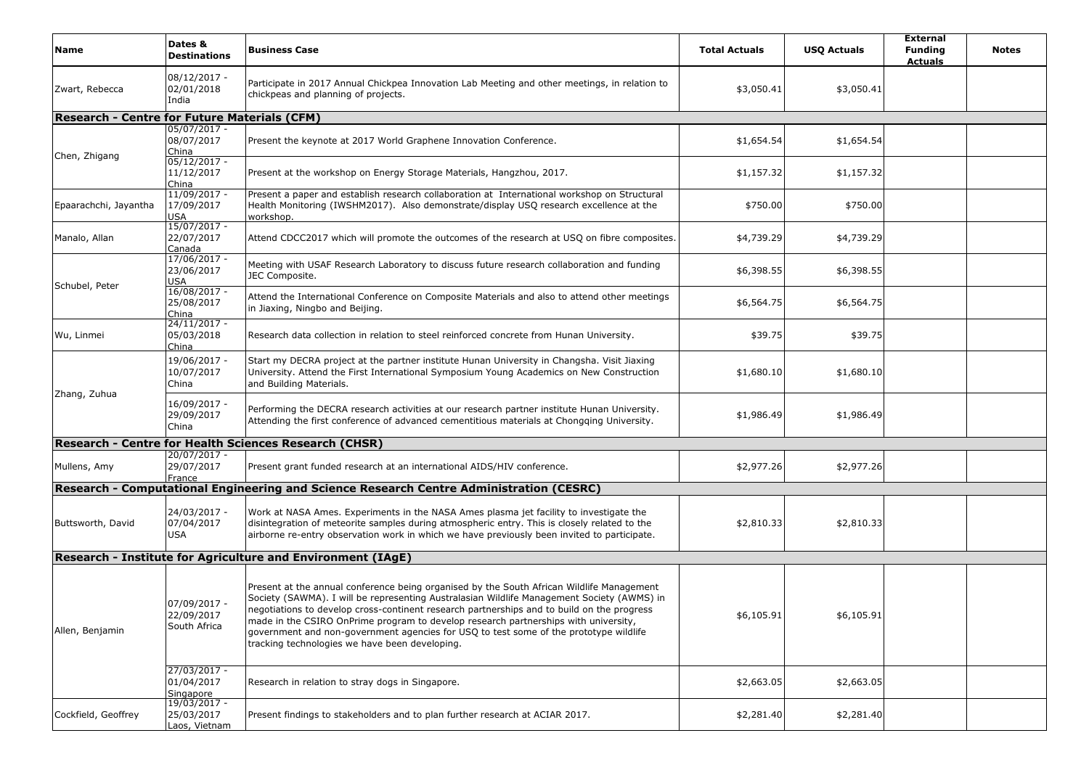| <b>Name</b>                                  | Dates &<br><b>Destinations</b>                 | <b>Business Case</b>                                                                                                                                                                                                                                                                                                                                                                                                                                                                                                    | <b>Total Actuals</b> | <b>USQ Actuals</b> | <b>External</b><br><b>Funding</b><br><b>Actuals</b> | <b>Notes</b> |
|----------------------------------------------|------------------------------------------------|-------------------------------------------------------------------------------------------------------------------------------------------------------------------------------------------------------------------------------------------------------------------------------------------------------------------------------------------------------------------------------------------------------------------------------------------------------------------------------------------------------------------------|----------------------|--------------------|-----------------------------------------------------|--------------|
| Zwart, Rebecca                               | $08/12/2017 -$<br>02/01/2018<br>India          | Participate in 2017 Annual Chickpea Innovation Lab Meeting and other meetings, in relation to<br>chickpeas and planning of projects.                                                                                                                                                                                                                                                                                                                                                                                    | \$3,050.41           | \$3,050.41         |                                                     |              |
| Research - Centre for Future Materials (CFM) |                                                |                                                                                                                                                                                                                                                                                                                                                                                                                                                                                                                         |                      |                    |                                                     |              |
| Chen, Zhigang                                | $05/07/2017 -$<br>08/07/2017<br>China          | Present the keynote at 2017 World Graphene Innovation Conference.                                                                                                                                                                                                                                                                                                                                                                                                                                                       | \$1,654.54           | \$1,654.54         |                                                     |              |
|                                              | $05/12/2017 -$<br>11/12/2017<br>China          | Present at the workshop on Energy Storage Materials, Hangzhou, 2017.                                                                                                                                                                                                                                                                                                                                                                                                                                                    | \$1,157.32           | \$1,157.32         |                                                     |              |
| Epaarachchi, Jayantha                        | 11/09/2017 -<br>17/09/2017<br><b>USA</b>       | Present a paper and establish research collaboration at International workshop on Structural<br>Health Monitoring (IWSHM2017). Also demonstrate/display USQ research excellence at the<br>workshop.                                                                                                                                                                                                                                                                                                                     | \$750.00             | \$750.00           |                                                     |              |
| Manalo, Allan                                | $15/07/2017 -$<br>22/07/2017<br>Canada         | Attend CDCC2017 which will promote the outcomes of the research at USQ on fibre composites.                                                                                                                                                                                                                                                                                                                                                                                                                             | \$4,739.29           | \$4,739.29         |                                                     |              |
| Schubel, Peter                               | 17/06/2017 -<br>23/06/2017<br>USA              | Meeting with USAF Research Laboratory to discuss future research collaboration and funding<br>JEC Composite.                                                                                                                                                                                                                                                                                                                                                                                                            | \$6,398.55           | \$6,398.55         |                                                     |              |
|                                              | $16/08/2017 -$<br>25/08/2017<br>China          | Attend the International Conference on Composite Materials and also to attend other meetings<br>in Jiaxing, Ningbo and Beijing.                                                                                                                                                                                                                                                                                                                                                                                         | \$6,564.75           | \$6,564.75         |                                                     |              |
| Wu, Linmei                                   | $24/11/2017 -$<br>05/03/2018<br>China          | Research data collection in relation to steel reinforced concrete from Hunan University.                                                                                                                                                                                                                                                                                                                                                                                                                                | \$39.75              | \$39.75            |                                                     |              |
|                                              | 19/06/2017 -<br>10/07/2017<br>China            | Start my DECRA project at the partner institute Hunan University in Changsha. Visit Jiaxing<br>University. Attend the First International Symposium Young Academics on New Construction<br>and Building Materials.                                                                                                                                                                                                                                                                                                      | \$1,680.10           | \$1,680.10         |                                                     |              |
| Zhang, Zuhua                                 | 16/09/2017 -<br>29/09/2017<br>China            | Performing the DECRA research activities at our research partner institute Hunan University.<br>Attending the first conference of advanced cementitious materials at Chongqing University.                                                                                                                                                                                                                                                                                                                              | \$1,986.49           | \$1,986.49         |                                                     |              |
|                                              |                                                | Research - Centre for Health Sciences Research (CHSR)                                                                                                                                                                                                                                                                                                                                                                                                                                                                   |                      |                    |                                                     |              |
| Mullens, Amy                                 | 20/07/2017 -<br>29/07/2017<br>France           | Present grant funded research at an international AIDS/HIV conference.                                                                                                                                                                                                                                                                                                                                                                                                                                                  | \$2,977.26           | \$2,977.26         |                                                     |              |
|                                              |                                                | Research - Computational Engineering and Science Research Centre Administration (CESRC)                                                                                                                                                                                                                                                                                                                                                                                                                                 |                      |                    |                                                     |              |
| Buttsworth, David                            | 24/03/2017 -<br>07/04/2017<br><b>USA</b>       | Work at NASA Ames. Experiments in the NASA Ames plasma jet facility to investigate the<br>disintegration of meteorite samples during atmospheric entry. This is closely related to the<br>airborne re-entry observation work in which we have previously been invited to participate.                                                                                                                                                                                                                                   | \$2,810.33           | \$2,810.33         |                                                     |              |
|                                              |                                                | Research - Institute for Agriculture and Environment (IAgE)                                                                                                                                                                                                                                                                                                                                                                                                                                                             |                      |                    |                                                     |              |
| Allen, Benjamin                              | 07/09/2017 -<br>22/09/2017<br>South Africa     | Present at the annual conference being organised by the South African Wildlife Management<br>Society (SAWMA). I will be representing Australasian Wildlife Management Society (AWMS) in<br>negotiations to develop cross-continent research partnerships and to build on the progress<br>made in the CSIRO OnPrime program to develop research partnerships with university,<br>government and non-government agencies for USQ to test some of the prototype wildlife<br>tracking technologies we have been developing. | \$6,105.91           | \$6,105.91         |                                                     |              |
|                                              | 27/03/2017 -<br>01/04/2017<br><b>Singapore</b> | Research in relation to stray dogs in Singapore.                                                                                                                                                                                                                                                                                                                                                                                                                                                                        | \$2,663.05           | \$2,663.05         |                                                     |              |
| Cockfield, Geoffrey                          | $19/03/2017 -$<br>25/03/2017<br>Laos, Vietnam  | Present findings to stakeholders and to plan further research at ACIAR 2017.                                                                                                                                                                                                                                                                                                                                                                                                                                            | \$2,281.40           | \$2,281.40         |                                                     |              |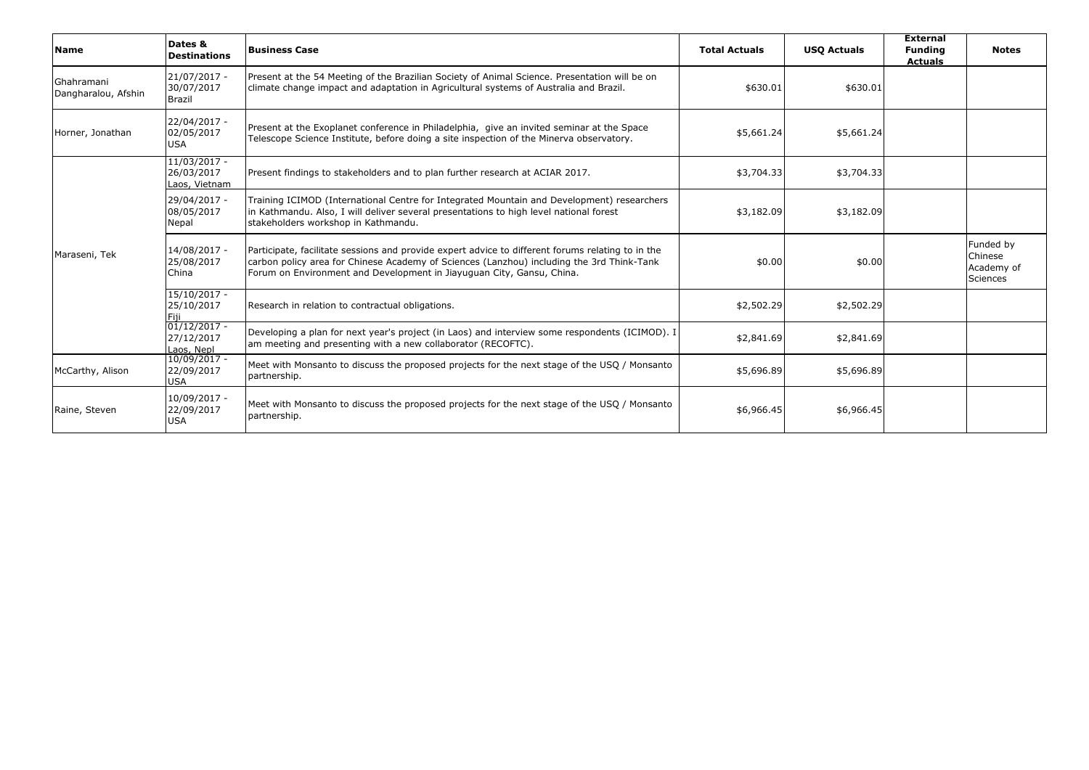| <b>Name</b>                       | Dates &<br><b>Destinations</b>                | <b>Business Case</b>                                                                                                                                                                                                                                                    | <b>Total Actuals</b> | <b>USO Actuals</b> | <b>External</b><br><b>Funding</b><br><b>Actuals</b> | <b>Notes</b>                                          |
|-----------------------------------|-----------------------------------------------|-------------------------------------------------------------------------------------------------------------------------------------------------------------------------------------------------------------------------------------------------------------------------|----------------------|--------------------|-----------------------------------------------------|-------------------------------------------------------|
| Ghahramani<br>Dangharalou, Afshin | 21/07/2017 -<br>30/07/2017<br><b>Brazil</b>   | Present at the 54 Meeting of the Brazilian Society of Animal Science. Presentation will be on<br>climate change impact and adaptation in Agricultural systems of Australia and Brazil.                                                                                  | \$630.01             | \$630.01           |                                                     |                                                       |
| Horner, Jonathan                  | 22/04/2017 -<br>02/05/2017<br><b>USA</b>      | Present at the Exoplanet conference in Philadelphia, give an invited seminar at the Space<br>Telescope Science Institute, before doing a site inspection of the Minerva observatory.                                                                                    | \$5,661.24           | \$5,661.24         |                                                     |                                                       |
|                                   | $11/03/2017 -$<br>26/03/2017<br>Laos, Vietnam | Present findings to stakeholders and to plan further research at ACIAR 2017.                                                                                                                                                                                            | \$3,704.33           | \$3,704.33         |                                                     |                                                       |
|                                   | 29/04/2017 -<br>08/05/2017<br>Nepal           | Training ICIMOD (International Centre for Integrated Mountain and Development) researchers<br>in Kathmandu. Also, I will deliver several presentations to high level national forest<br>stakeholders workshop in Kathmandu.                                             | \$3,182.09           | \$3,182.09         |                                                     |                                                       |
| Maraseni, Tek                     | 14/08/2017 -<br>25/08/2017<br>China           | Participate, facilitate sessions and provide expert advice to different forums relating to in the<br>carbon policy area for Chinese Academy of Sciences (Lanzhou) including the 3rd Think-Tank<br>Forum on Environment and Development in Jiayuguan City, Gansu, China. | \$0.00               | \$0.00             |                                                     | Funded by<br>Chinese<br>Academy of<br><b>Sciences</b> |
|                                   | $15/10/2017 -$<br>25/10/2017                  | Research in relation to contractual obligations.                                                                                                                                                                                                                        | \$2,502.29           | \$2,502.29         |                                                     |                                                       |
|                                   | $01/12/2017 -$<br>27/12/2017<br>Laos, Nepl    | Developing a plan for next year's project (in Laos) and interview some respondents (ICIMOD). I<br>am meeting and presenting with a new collaborator (RECOFTC).                                                                                                          | \$2,841.69           | \$2,841.69         |                                                     |                                                       |
| McCarthy, Alison                  | $10/09/2017 -$<br>22/09/2017<br><b>USA</b>    | Meet with Monsanto to discuss the proposed projects for the next stage of the USQ / Monsanto<br>partnership.                                                                                                                                                            | \$5,696.89           | \$5,696.89         |                                                     |                                                       |
| Raine, Steven                     | 10/09/2017 -<br>22/09/2017<br><b>USA</b>      | Meet with Monsanto to discuss the proposed projects for the next stage of the USQ / Monsanto<br>partnership.                                                                                                                                                            | \$6,966.45           | \$6,966.45         |                                                     |                                                       |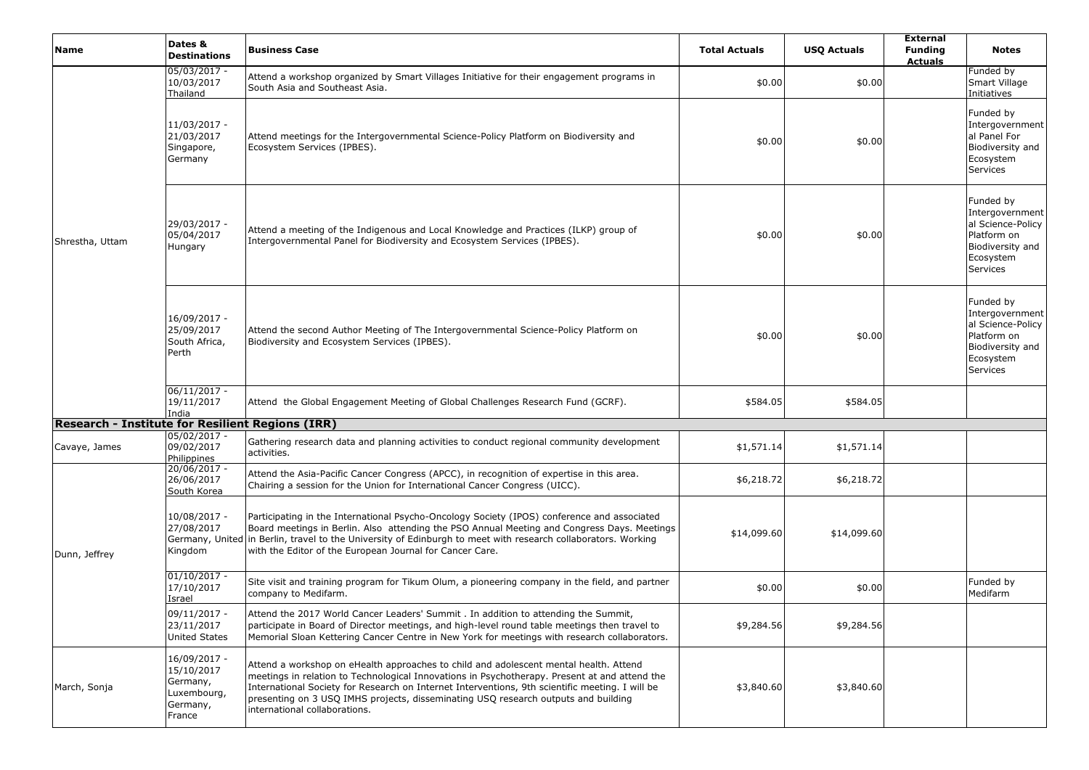| <b>Name</b>                                             | Dates &<br><b>Destinations</b>                                              | <b>Business Case</b>                                                                                                                                                                                                                                                                                                                                                                                             | <b>Total Actuals</b> | <b>USQ Actuals</b> | <b>External</b><br><b>Funding</b><br><b>Actuals</b> | <b>Notes</b>                                                                                                         |
|---------------------------------------------------------|-----------------------------------------------------------------------------|------------------------------------------------------------------------------------------------------------------------------------------------------------------------------------------------------------------------------------------------------------------------------------------------------------------------------------------------------------------------------------------------------------------|----------------------|--------------------|-----------------------------------------------------|----------------------------------------------------------------------------------------------------------------------|
|                                                         | 05/03/2017 -<br>10/03/2017<br>Thailand                                      | Attend a workshop organized by Smart Villages Initiative for their engagement programs in<br>South Asia and Southeast Asia.                                                                                                                                                                                                                                                                                      | \$0.00               | \$0.00             |                                                     | Funded by<br>Smart Village<br>Initiatives                                                                            |
| Shrestha, Uttam                                         | 11/03/2017 -<br>21/03/2017<br>Singapore,<br>Germany                         | Attend meetings for the Intergovernmental Science-Policy Platform on Biodiversity and<br>Ecosystem Services (IPBES).                                                                                                                                                                                                                                                                                             | \$0.00               | \$0.00             |                                                     | Funded by<br>Intergovernment<br>al Panel For<br>Biodiversity and<br>Ecosystem<br><b>Services</b>                     |
|                                                         | 29/03/2017 -<br>05/04/2017<br>Hungary                                       | Attend a meeting of the Indigenous and Local Knowledge and Practices (ILKP) group of<br>Intergovernmental Panel for Biodiversity and Ecosystem Services (IPBES).                                                                                                                                                                                                                                                 | \$0.00               | \$0.00             |                                                     | Funded by<br>Intergovernment<br>al Science-Policy<br>Platform on<br>Biodiversity and<br>Ecosystem<br><b>Services</b> |
|                                                         | 16/09/2017 -<br>25/09/2017<br>South Africa,<br>Perth                        | Attend the second Author Meeting of The Intergovernmental Science-Policy Platform on<br>Biodiversity and Ecosystem Services (IPBES).                                                                                                                                                                                                                                                                             | \$0.00               | \$0.00             |                                                     | Funded by<br>Intergovernment<br>al Science-Policy<br>Platform on<br>Biodiversity and<br>Ecosystem<br><b>Services</b> |
|                                                         | $06/11/2017 -$<br>19/11/2017<br>India                                       | Attend the Global Engagement Meeting of Global Challenges Research Fund (GCRF).                                                                                                                                                                                                                                                                                                                                  | \$584.05             | \$584.05           |                                                     |                                                                                                                      |
| <b>Research - Institute for Resilient Regions (IRR)</b> |                                                                             |                                                                                                                                                                                                                                                                                                                                                                                                                  |                      |                    |                                                     |                                                                                                                      |
| Cavaye, James                                           | $05/02/2017 -$<br>09/02/2017<br>Philippines                                 | Gathering research data and planning activities to conduct regional community development<br>activities.                                                                                                                                                                                                                                                                                                         | \$1,571.14           | \$1,571.14         |                                                     |                                                                                                                      |
|                                                         | 20/06/2017 -<br>26/06/2017<br>South Korea                                   | Attend the Asia-Pacific Cancer Congress (APCC), in recognition of expertise in this area.<br>Chairing a session for the Union for International Cancer Congress (UICC).                                                                                                                                                                                                                                          | \$6,218.72           | \$6,218.72         |                                                     |                                                                                                                      |
| Dunn, Jeffrey                                           | 10/08/2017 -<br>27/08/2017<br>Kingdom                                       | Participating in the International Psycho-Oncology Society (IPOS) conference and associated<br>Board meetings in Berlin. Also attending the PSO Annual Meeting and Congress Days. Meetings<br>Germany, United in Berlin, travel to the University of Edinburgh to meet with research collaborators. Working<br>with the Editor of the European Journal for Cancer Care.                                          | \$14,099.60          | \$14,099.60        |                                                     |                                                                                                                      |
|                                                         | $01/10/2017 -$<br>17/10/2017<br>Israel                                      | Site visit and training program for Tikum Olum, a pioneering company in the field, and partner<br>company to Medifarm.                                                                                                                                                                                                                                                                                           | \$0.00               | \$0.00             |                                                     | Funded by<br>Medifarm                                                                                                |
|                                                         | 09/11/2017 -<br>23/11/2017<br><b>United States</b>                          | Attend the 2017 World Cancer Leaders' Summit . In addition to attending the Summit,<br>participate in Board of Director meetings, and high-level round table meetings then travel to<br>Memorial Sloan Kettering Cancer Centre in New York for meetings with research collaborators.                                                                                                                             | \$9,284.56           | \$9,284.56         |                                                     |                                                                                                                      |
| March, Sonja                                            | 16/09/2017 -<br>15/10/2017<br>Germany,<br>Luxembourg,<br>Germany,<br>France | Attend a workshop on eHealth approaches to child and adolescent mental health. Attend<br>meetings in relation to Technological Innovations in Psychotherapy. Present at and attend the<br>International Society for Research on Internet Interventions, 9th scientific meeting. I will be<br>presenting on 3 USQ IMHS projects, disseminating USQ research outputs and building<br>international collaborations. | \$3,840.60           | \$3,840.60         |                                                     |                                                                                                                      |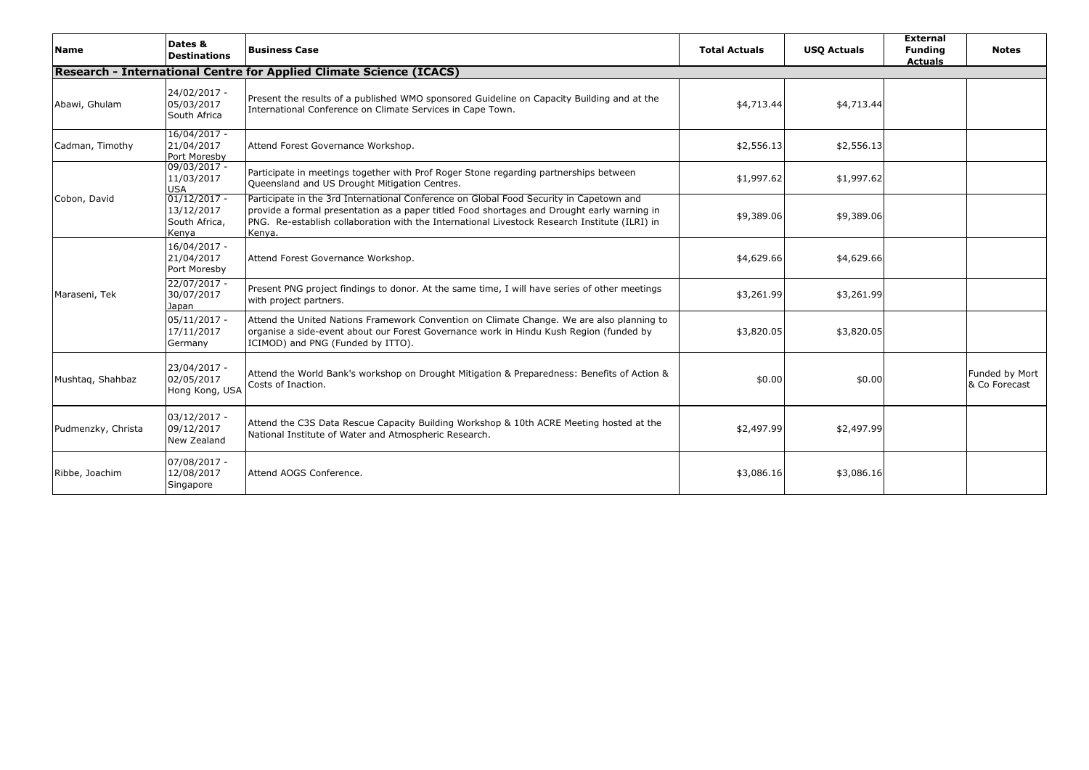| <b>Name</b>        | Dates &<br><b>Destinations</b>                         | <b>Business Case</b>                                                                                                                                                                                                                                                                              | <b>Total Actuals</b> | <b>USO Actuals</b> | <b>External</b><br><b>Funding</b><br><b>Actuals</b> | <b>Notes</b>                    |
|--------------------|--------------------------------------------------------|---------------------------------------------------------------------------------------------------------------------------------------------------------------------------------------------------------------------------------------------------------------------------------------------------|----------------------|--------------------|-----------------------------------------------------|---------------------------------|
|                    |                                                        | Research - International Centre for Applied Climate Science (ICACS)                                                                                                                                                                                                                               |                      |                    |                                                     |                                 |
| Abawi, Ghulam      | 24/02/2017 -<br>05/03/2017<br>South Africa             | Present the results of a published WMO sponsored Guideline on Capacity Building and at the<br>International Conference on Climate Services in Cape Town.                                                                                                                                          | \$4,713.44           | \$4,713.44         |                                                     |                                 |
| Cadman, Timothy    | 16/04/2017 -<br>21/04/2017<br>Port Moresby             | Attend Forest Governance Workshop.                                                                                                                                                                                                                                                                | \$2,556.13           | \$2,556.13         |                                                     |                                 |
| Cobon, David       | 09/03/2017 -<br>11/03/2017<br><b>USA</b>               | Participate in meetings together with Prof Roger Stone regarding partnerships between<br>Queensland and US Drought Mitigation Centres.                                                                                                                                                            | \$1,997.62           | \$1,997.62         |                                                     |                                 |
|                    | $01/12/2017 -$<br>13/12/2017<br>South Africa,<br>Kenva | Participate in the 3rd International Conference on Global Food Security in Capetown and<br>provide a formal presentation as a paper titled Food shortages and Drought early warning in<br>PNG. Re-establish collaboration with the International Livestock Research Institute (ILRI) in<br>Kenya. | \$9,389.06           | \$9,389.06         |                                                     |                                 |
|                    | 16/04/2017 -<br>21/04/2017<br>Port Moresby             | Attend Forest Governance Workshop.                                                                                                                                                                                                                                                                | \$4,629.66           | \$4,629.66         |                                                     |                                 |
| Maraseni, Tek      | 22/07/2017 -<br>30/07/2017<br>Japan                    | Present PNG project findings to donor. At the same time, I will have series of other meetings<br>with project partners.                                                                                                                                                                           | \$3,261.99           | \$3,261.99         |                                                     |                                 |
|                    | $05/11/2017 -$<br>17/11/2017<br>Germany                | Attend the United Nations Framework Convention on Climate Change. We are also planning to<br>organise a side-event about our Forest Governance work in Hindu Kush Region (funded by<br>ICIMOD) and PNG (Funded by ITTO).                                                                          | \$3,820.05           | \$3,820.05         |                                                     |                                 |
| Mushtaq, Shahbaz   | 23/04/2017 -<br>02/05/2017<br>Hong Kong, USA           | Attend the World Bank's workshop on Drought Mitigation & Preparedness: Benefits of Action &<br>Costs of Inaction.                                                                                                                                                                                 | \$0.00               | \$0.00             |                                                     | Funded by Mort<br>& Co Forecast |
| Pudmenzky, Christa | $03/12/2017 -$<br>09/12/2017<br>New Zealand            | Attend the C3S Data Rescue Capacity Building Workshop & 10th ACRE Meeting hosted at the<br>National Institute of Water and Atmospheric Research.                                                                                                                                                  | \$2,497.99           | \$2,497.99         |                                                     |                                 |
| Ribbe, Joachim     | 07/08/2017 -<br>12/08/2017<br>Singapore                | Attend AOGS Conference.                                                                                                                                                                                                                                                                           | \$3,086.16           | \$3,086.16         |                                                     |                                 |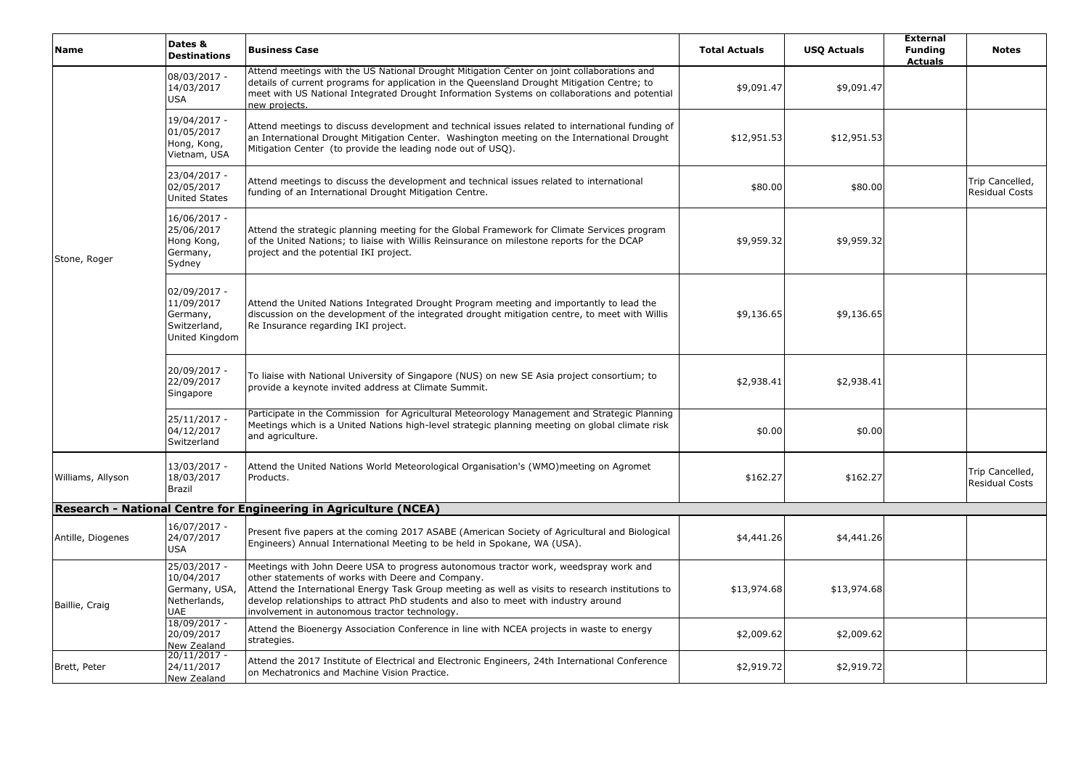| <b>Name</b>       | Dates &<br><b>Destinations</b>                                            | <b>Business Case</b>                                                                                                                                                                                                                                                                                                                                                                  | <b>Total Actuals</b> | <b>USQ Actuals</b> | <b>External</b><br><b>Funding</b><br><b>Actuals</b> | <b>Notes</b>                             |
|-------------------|---------------------------------------------------------------------------|---------------------------------------------------------------------------------------------------------------------------------------------------------------------------------------------------------------------------------------------------------------------------------------------------------------------------------------------------------------------------------------|----------------------|--------------------|-----------------------------------------------------|------------------------------------------|
|                   | 08/03/2017 -<br>14/03/2017<br><b>USA</b>                                  | Attend meetings with the US National Drought Mitigation Center on joint collaborations and<br>details of current programs for application in the Queensland Drought Mitigation Centre; to<br>meet with US National Integrated Drought Information Systems on collaborations and potential<br>new projects.                                                                            | \$9,091.47           | \$9,091.47         |                                                     |                                          |
|                   | 19/04/2017 -<br>01/05/2017<br>Hong, Kong,<br>Vietnam, USA                 | Attend meetings to discuss development and technical issues related to international funding of<br>an International Drought Mitigation Center. Washington meeting on the International Drought<br>Mitigation Center (to provide the leading node out of USQ).                                                                                                                         | \$12,951.53          | \$12,951.53        |                                                     |                                          |
|                   | 23/04/2017 -<br>02/05/2017<br><b>United States</b>                        | Attend meetings to discuss the development and technical issues related to international<br>funding of an International Drought Mitigation Centre.                                                                                                                                                                                                                                    | \$80.00              | \$80.00            |                                                     | Trip Cancelled,<br>Residual Costs        |
| Stone, Roger      | 16/06/2017 -<br>25/06/2017<br>Hong Kong,<br>Germany,<br>Sydney            | Attend the strategic planning meeting for the Global Framework for Climate Services program<br>of the United Nations; to liaise with Willis Reinsurance on milestone reports for the DCAP<br>project and the potential IKI project.                                                                                                                                                   | \$9,959.32           | \$9,959.32         |                                                     |                                          |
|                   | 02/09/2017 -<br>11/09/2017<br>Germany,<br>Switzerland<br>United Kingdom   | Attend the United Nations Integrated Drought Program meeting and importantly to lead the<br>discussion on the development of the integrated drought mitigation centre, to meet with Willis<br>Re Insurance regarding IKI project.                                                                                                                                                     | \$9,136.65           | \$9,136.65         |                                                     |                                          |
|                   | 20/09/2017 -<br>22/09/2017<br>Singapore                                   | To liaise with National University of Singapore (NUS) on new SE Asia project consortium; to<br>provide a keynote invited address at Climate Summit.                                                                                                                                                                                                                                   | \$2,938.41           | \$2,938.41         |                                                     |                                          |
|                   | $25/11/2017 -$<br>04/12/2017<br>Switzerland                               | Participate in the Commission for Agricultural Meteorology Management and Strategic Planning<br>Meetings which is a United Nations high-level strategic planning meeting on global climate risk<br>and agriculture.                                                                                                                                                                   | \$0.00               | \$0.00             |                                                     |                                          |
| Williams, Allyson | 13/03/2017 -<br>18/03/2017<br><b>Brazil</b>                               | Attend the United Nations World Meteorological Organisation's (WMO)meeting on Agromet<br>Products.                                                                                                                                                                                                                                                                                    | \$162.27             | \$162.27           |                                                     | Trip Cancelled,<br><b>Residual Costs</b> |
|                   |                                                                           | Research - National Centre for Engineering in Agriculture (NCEA)                                                                                                                                                                                                                                                                                                                      |                      |                    |                                                     |                                          |
| Antille, Diogenes | 16/07/2017 -<br>24/07/2017<br><b>USA</b>                                  | Present five papers at the coming 2017 ASABE (American Society of Agricultural and Biological<br>Engineers) Annual International Meeting to be held in Spokane, WA (USA).                                                                                                                                                                                                             | \$4,441.26           | \$4,441.26         |                                                     |                                          |
| Baillie, Craig    | 25/03/2017 -<br>10/04/2017<br>Germany, USA,<br>Netherlands,<br><b>UAE</b> | Meetings with John Deere USA to progress autonomous tractor work, weedspray work and<br>other statements of works with Deere and Company.<br>Attend the International Energy Task Group meeting as well as visits to research institutions to<br>develop relationships to attract PhD students and also to meet with industry around<br>involvement in autonomous tractor technology. | \$13,974.68          | \$13,974.68        |                                                     |                                          |
|                   | 18/09/2017 -<br>20/09/2017<br>New Zealand                                 | Attend the Bioenergy Association Conference in line with NCEA projects in waste to energy<br>strategies.                                                                                                                                                                                                                                                                              | \$2,009.62           | \$2,009.62         |                                                     |                                          |
| Brett, Peter      | $20/11/2017 -$<br>24/11/2017<br>New Zealand                               | Attend the 2017 Institute of Electrical and Electronic Engineers, 24th International Conference<br>on Mechatronics and Machine Vision Practice.                                                                                                                                                                                                                                       | \$2,919.72           | \$2,919.72         |                                                     |                                          |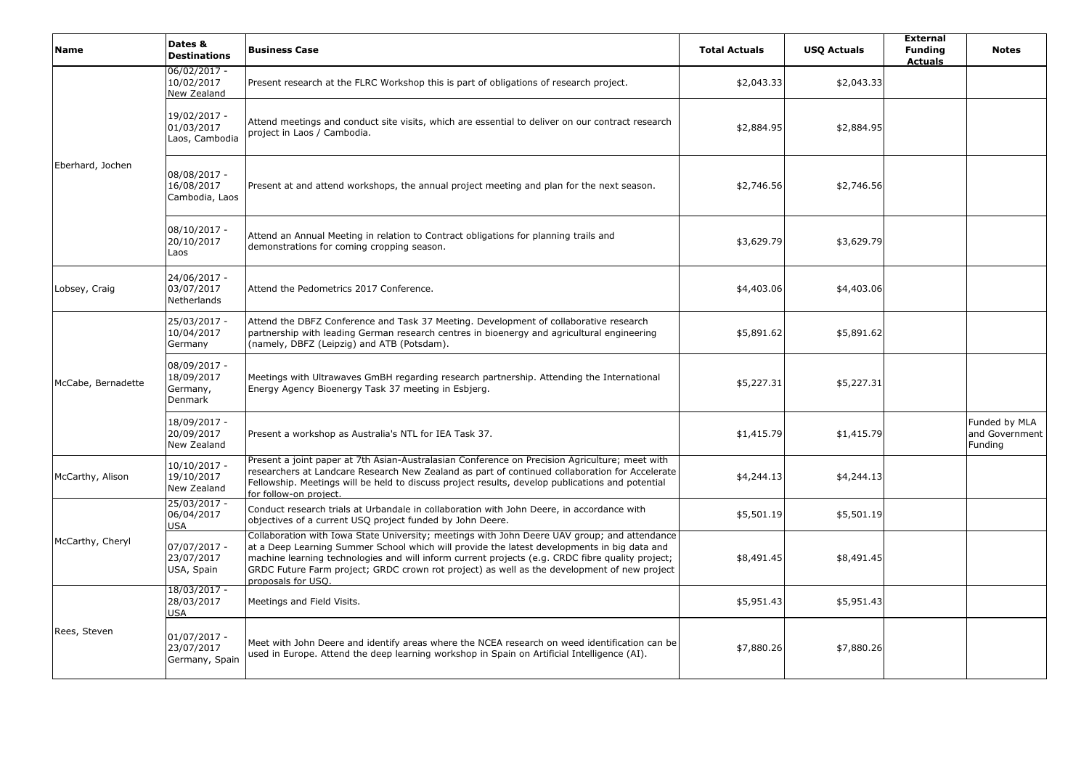| Name               | Dates &<br><b>Destinations</b>                    | <b>Business Case</b>                                                                                                                                                                                                                                                                                                                                                                                                 | <b>Total Actuals</b> | <b>USQ Actuals</b> | <b>External</b><br><b>Funding</b><br><b>Actuals</b> | <b>Notes</b>                               |
|--------------------|---------------------------------------------------|----------------------------------------------------------------------------------------------------------------------------------------------------------------------------------------------------------------------------------------------------------------------------------------------------------------------------------------------------------------------------------------------------------------------|----------------------|--------------------|-----------------------------------------------------|--------------------------------------------|
|                    | $06/02/2017 -$<br>10/02/2017<br>New Zealand       | Present research at the FLRC Workshop this is part of obligations of research project.                                                                                                                                                                                                                                                                                                                               | \$2,043.33           | \$2,043.33         |                                                     |                                            |
|                    | 19/02/2017 -<br>01/03/2017<br>Laos, Cambodia      | Attend meetings and conduct site visits, which are essential to deliver on our contract research<br>project in Laos / Cambodia.                                                                                                                                                                                                                                                                                      | \$2,884.95           | \$2,884.95         |                                                     |                                            |
| Eberhard, Jochen   | 08/08/2017 -<br>16/08/2017<br>Cambodia, Laos      | Present at and attend workshops, the annual project meeting and plan for the next season.                                                                                                                                                                                                                                                                                                                            | \$2,746.56           | \$2,746.56         |                                                     |                                            |
|                    | 08/10/2017 -<br>20/10/2017<br>Laos                | Attend an Annual Meeting in relation to Contract obligations for planning trails and<br>demonstrations for coming cropping season.                                                                                                                                                                                                                                                                                   | \$3,629.79           | \$3,629.79         |                                                     |                                            |
| Lobsey, Craig      | 24/06/2017 -<br>03/07/2017<br>Netherlands         | Attend the Pedometrics 2017 Conference.                                                                                                                                                                                                                                                                                                                                                                              | \$4,403.06           | \$4,403.06         |                                                     |                                            |
|                    | 25/03/2017 -<br>10/04/2017<br>Germany             | Attend the DBFZ Conference and Task 37 Meeting. Development of collaborative research<br>partnership with leading German research centres in bioenergy and agricultural engineering<br>(namely, DBFZ (Leipzig) and ATB (Potsdam).                                                                                                                                                                                    | \$5,891.62           | \$5,891.62         |                                                     |                                            |
| McCabe, Bernadette | 08/09/2017 -<br>18/09/2017<br>Germany,<br>Denmark | Meetings with Ultrawaves GmBH regarding research partnership. Attending the International<br>Energy Agency Bioenergy Task 37 meeting in Esbjerg.                                                                                                                                                                                                                                                                     | \$5,227.31           | \$5,227.31         |                                                     |                                            |
|                    | 18/09/2017 -<br>20/09/2017<br>New Zealand         | Present a workshop as Australia's NTL for IEA Task 37.                                                                                                                                                                                                                                                                                                                                                               | \$1,415.79           | \$1,415.79         |                                                     | Funded by MLA<br>and Government<br>Funding |
| McCarthy, Alison   | 10/10/2017 -<br>19/10/2017<br>New Zealand         | Present a joint paper at 7th Asian-Australasian Conference on Precision Agriculture; meet with<br>researchers at Landcare Research New Zealand as part of continued collaboration for Accelerate<br>Fellowship. Meetings will be held to discuss project results, develop publications and potential<br>for follow-on project.                                                                                       | \$4,244.13           | \$4,244.13         |                                                     |                                            |
|                    | 25/03/2017 -<br>06/04/2017<br><b>USA</b>          | Conduct research trials at Urbandale in collaboration with John Deere, in accordance with<br>objectives of a current USQ project funded by John Deere.                                                                                                                                                                                                                                                               | \$5,501.19           | \$5,501.19         |                                                     |                                            |
| McCarthy, Cheryl   | 07/07/2017 -<br>23/07/2017<br>USA, Spain          | Collaboration with Iowa State University; meetings with John Deere UAV group; and attendance<br>at a Deep Learning Summer School which will provide the latest developments in big data and<br>machine learning technologies and will inform current projects (e.g. CRDC fibre quality project;<br>GRDC Future Farm project; GRDC crown rot project) as well as the development of new project<br>proposals for USQ. | \$8,491.45           | \$8,491.45         |                                                     |                                            |
|                    | 18/03/2017 -<br>28/03/2017<br>USA                 | Meetings and Field Visits.                                                                                                                                                                                                                                                                                                                                                                                           | \$5,951.43           | \$5,951.43         |                                                     |                                            |
| Rees, Steven       | $01/07/2017 -$<br>23/07/2017<br>Germany, Spain    | Meet with John Deere and identify areas where the NCEA research on weed identification can be<br>used in Europe. Attend the deep learning workshop in Spain on Artificial Intelligence (AI).                                                                                                                                                                                                                         | \$7,880.26           | \$7,880.26         |                                                     |                                            |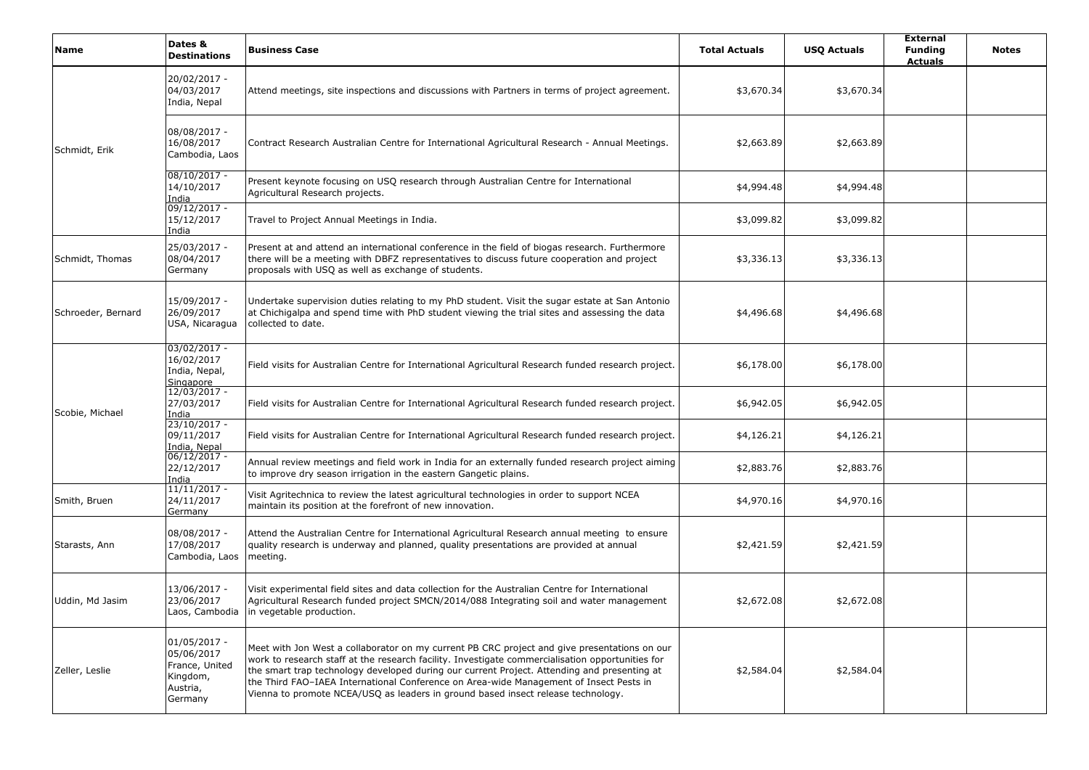| Name               | Dates &<br><b>Destinations</b>                                                  | <b>Business Case</b>                                                                                                                                                                                                                                                                                                                                                                                                                                                          | <b>Total Actuals</b> | <b>USQ Actuals</b> | <b>External</b><br><b>Funding</b><br><b>Actuals</b> | <b>Notes</b> |
|--------------------|---------------------------------------------------------------------------------|-------------------------------------------------------------------------------------------------------------------------------------------------------------------------------------------------------------------------------------------------------------------------------------------------------------------------------------------------------------------------------------------------------------------------------------------------------------------------------|----------------------|--------------------|-----------------------------------------------------|--------------|
|                    | 20/02/2017 -<br>04/03/2017<br>India, Nepal                                      | Attend meetings, site inspections and discussions with Partners in terms of project agreement.                                                                                                                                                                                                                                                                                                                                                                                | \$3,670.34           | \$3,670.34         |                                                     |              |
| Schmidt, Erik      | 08/08/2017 -<br>16/08/2017<br>Cambodia, Laos                                    | Contract Research Australian Centre for International Agricultural Research - Annual Meetings.                                                                                                                                                                                                                                                                                                                                                                                | \$2,663.89           | \$2,663.89         |                                                     |              |
|                    | $08/10/2017 -$<br>14/10/2017<br>India                                           | Present keynote focusing on USQ research through Australian Centre for International<br>Agricultural Research projects.                                                                                                                                                                                                                                                                                                                                                       | \$4,994.48           | \$4,994.48         |                                                     |              |
|                    | 09/12/2017 -<br>15/12/2017<br>India                                             | Travel to Project Annual Meetings in India.                                                                                                                                                                                                                                                                                                                                                                                                                                   | \$3,099.82           | \$3,099.82         |                                                     |              |
| Schmidt, Thomas    | 25/03/2017 -<br>08/04/2017<br>Germany                                           | Present at and attend an international conference in the field of biogas research. Furthermore<br>there will be a meeting with DBFZ representatives to discuss future cooperation and project<br>proposals with USQ as well as exchange of students.                                                                                                                                                                                                                          | \$3,336.13           | \$3,336.13         |                                                     |              |
| Schroeder, Bernard | 15/09/2017 -<br>26/09/2017<br>USA, Nicaragua                                    | Undertake supervision duties relating to my PhD student. Visit the sugar estate at San Antonio<br>at Chichigalpa and spend time with PhD student viewing the trial sites and assessing the data<br>collected to date.                                                                                                                                                                                                                                                         | \$4,496.68           | \$4,496.68         |                                                     |              |
|                    | 03/02/2017 -<br>16/02/2017<br>India, Nepal,<br>Singapore                        | Field visits for Australian Centre for International Agricultural Research funded research project.                                                                                                                                                                                                                                                                                                                                                                           | \$6,178.00           | \$6,178.00         |                                                     |              |
| Scobie, Michael    | 12/03/2017 -<br>27/03/2017<br>India                                             | Field visits for Australian Centre for International Agricultural Research funded research project.                                                                                                                                                                                                                                                                                                                                                                           | \$6,942.05           | \$6,942.05         |                                                     |              |
|                    | 23/10/2017 -<br>09/11/2017<br><u>India, Nepal<br/>06/12/2017 -</u>              | Field visits for Australian Centre for International Agricultural Research funded research project.                                                                                                                                                                                                                                                                                                                                                                           | \$4,126.21           | \$4,126.21         |                                                     |              |
|                    | 22/12/2017<br>India                                                             | Annual review meetings and field work in India for an externally funded research project aiming<br>to improve dry season irrigation in the eastern Gangetic plains.                                                                                                                                                                                                                                                                                                           | \$2,883.76           | \$2,883.76         |                                                     |              |
| Smith, Bruen       | $11/11/2017 -$<br>24/11/2017<br>Germany                                         | Visit Agritechnica to review the latest agricultural technologies in order to support NCEA<br>maintain its position at the forefront of new innovation.                                                                                                                                                                                                                                                                                                                       | \$4,970.16           | \$4,970.16         |                                                     |              |
| Starasts, Ann      | 08/08/2017 -<br>17/08/2017<br>Cambodia, Laos                                    | Attend the Australian Centre for International Agricultural Research annual meeting to ensure<br>quality research is underway and planned, quality presentations are provided at annual<br>meeting.                                                                                                                                                                                                                                                                           | \$2,421.59           | \$2,421.59         |                                                     |              |
| Uddin, Md Jasim    | 13/06/2017 -<br>23/06/2017<br>Laos, Cambodia                                    | Visit experimental field sites and data collection for the Australian Centre for International<br>Agricultural Research funded project SMCN/2014/088 Integrating soil and water management<br>in vegetable production.                                                                                                                                                                                                                                                        | \$2,672.08           | \$2,672.08         |                                                     |              |
| Zeller, Leslie     | 01/05/2017 -<br>05/06/2017<br>France, United<br>Kingdom,<br>Austria,<br>Germany | Meet with Jon West a collaborator on my current PB CRC project and give presentations on our<br>work to research staff at the research facility. Investigate commercialisation opportunities for<br>the smart trap technology developed during our current Project. Attending and presenting at<br>the Third FAO-IAEA International Conference on Area-wide Management of Insect Pests in<br>Vienna to promote NCEA/USQ as leaders in ground based insect release technology. | \$2,584.04           | \$2,584.04         |                                                     |              |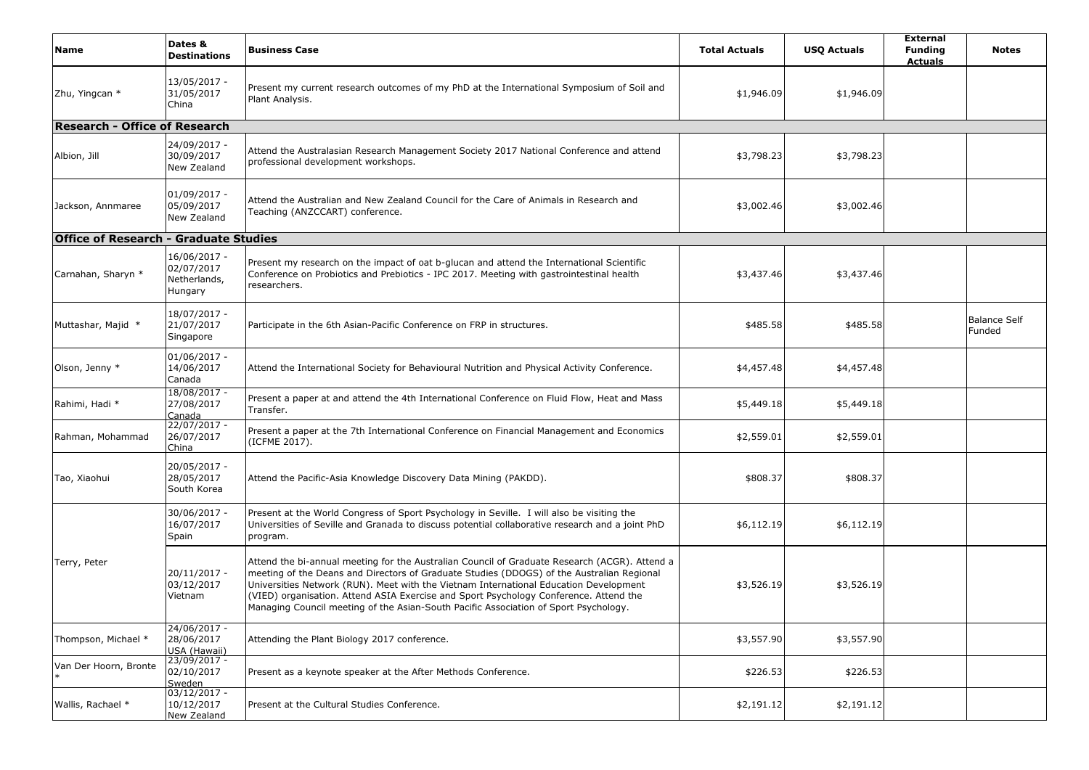| Name                                         | Dates &<br><b>Destinations</b>                        | <b>Business Case</b>                                                                                                                                                                                                                                                                                                                                                                                                                                                 | <b>Total Actuals</b> | <b>USQ Actuals</b> | <b>External</b><br><b>Funding</b><br><b>Actuals</b> | <b>Notes</b>                  |
|----------------------------------------------|-------------------------------------------------------|----------------------------------------------------------------------------------------------------------------------------------------------------------------------------------------------------------------------------------------------------------------------------------------------------------------------------------------------------------------------------------------------------------------------------------------------------------------------|----------------------|--------------------|-----------------------------------------------------|-------------------------------|
| Zhu, Yingcan *                               | 13/05/2017 -<br>31/05/2017<br>China                   | Present my current research outcomes of my PhD at the International Symposium of Soil and<br>Plant Analysis.                                                                                                                                                                                                                                                                                                                                                         | \$1,946.09           | \$1,946.09         |                                                     |                               |
| <b>Research - Office of Research</b>         |                                                       |                                                                                                                                                                                                                                                                                                                                                                                                                                                                      |                      |                    |                                                     |                               |
| Albion, Jill                                 | 24/09/2017 -<br>30/09/2017<br>New Zealand             | Attend the Australasian Research Management Society 2017 National Conference and attend<br>professional development workshops.                                                                                                                                                                                                                                                                                                                                       | \$3,798.23           | \$3,798.23         |                                                     |                               |
| Jackson, Annmaree                            | $01/09/2017 -$<br>05/09/2017<br>New Zealand           | Attend the Australian and New Zealand Council for the Care of Animals in Research and<br>Teaching (ANZCCART) conference.                                                                                                                                                                                                                                                                                                                                             | \$3,002.46           | \$3,002.46         |                                                     |                               |
| <b>Office of Research - Graduate Studies</b> |                                                       |                                                                                                                                                                                                                                                                                                                                                                                                                                                                      |                      |                    |                                                     |                               |
| Carnahan, Sharyn *                           | 16/06/2017 -<br>02/07/2017<br>Netherlands,<br>Hungary | Present my research on the impact of oat b-glucan and attend the International Scientific<br>Conference on Probiotics and Prebiotics - IPC 2017. Meeting with gastrointestinal health<br>researchers.                                                                                                                                                                                                                                                                | \$3,437.46           | \$3,437.46         |                                                     |                               |
| Muttashar, Majid *                           | 18/07/2017 -<br>21/07/2017<br>Singapore               | Participate in the 6th Asian-Pacific Conference on FRP in structures.                                                                                                                                                                                                                                                                                                                                                                                                | \$485.58             | \$485.58           |                                                     | <b>Balance Self</b><br>Funded |
| Olson, Jenny *                               | $01/06/2017 -$<br>14/06/2017<br>Canada                | Attend the International Society for Behavioural Nutrition and Physical Activity Conference.                                                                                                                                                                                                                                                                                                                                                                         | \$4,457.48           | \$4,457.48         |                                                     |                               |
| Rahimi, Hadi *                               | 18/08/2017 -<br>27/08/2017<br>Canada                  | Present a paper at and attend the 4th International Conference on Fluid Flow, Heat and Mass<br>Transfer.                                                                                                                                                                                                                                                                                                                                                             | \$5,449.18           | \$5,449.18         |                                                     |                               |
| Rahman, Mohammad                             | 22/07/2017 -<br>26/07/2017<br>China                   | Present a paper at the 7th International Conference on Financial Management and Economics<br>(ICFME 2017).                                                                                                                                                                                                                                                                                                                                                           | \$2,559.01           | \$2,559.01         |                                                     |                               |
| Tao, Xiaohui                                 | 20/05/2017 -<br>28/05/2017<br>South Korea             | Attend the Pacific-Asia Knowledge Discovery Data Mining (PAKDD).                                                                                                                                                                                                                                                                                                                                                                                                     | \$808.37             | \$808.37           |                                                     |                               |
|                                              | 30/06/2017 -<br>16/07/2017<br>Spain                   | Present at the World Congress of Sport Psychology in Seville. I will also be visiting the<br>Universities of Seville and Granada to discuss potential collaborative research and a joint PhD<br>program.                                                                                                                                                                                                                                                             | \$6,112.19           | \$6,112.19         |                                                     |                               |
| Terry, Peter                                 | 20/11/2017 -<br>03/12/2017<br>Vietnam                 | Attend the bi-annual meeting for the Australian Council of Graduate Research (ACGR). Attend a<br>meeting of the Deans and Directors of Graduate Studies (DDOGS) of the Australian Regional<br>Universities Network (RUN). Meet with the Vietnam International Education Development<br>(VIED) organisation. Attend ASIA Exercise and Sport Psychology Conference. Attend the<br>Managing Council meeting of the Asian-South Pacific Association of Sport Psychology. | \$3,526.19           | \$3,526.19         |                                                     |                               |
| Thompson, Michael *                          | 24/06/2017 -<br>28/06/2017<br>USA (Hawaii)            | Attending the Plant Biology 2017 conference.                                                                                                                                                                                                                                                                                                                                                                                                                         | \$3,557.90           | \$3,557.90         |                                                     |                               |
| Van Der Hoorn, Bronte                        | 23/09/2017 -<br>02/10/2017<br>Sweden                  | Present as a keynote speaker at the After Methods Conference.                                                                                                                                                                                                                                                                                                                                                                                                        | \$226.53             | \$226.53           |                                                     |                               |
| Wallis, Rachael *                            | $03/12/2017 -$<br>10/12/2017<br>New Zealand           | Present at the Cultural Studies Conference.                                                                                                                                                                                                                                                                                                                                                                                                                          | \$2,191.12           | \$2,191.12         |                                                     |                               |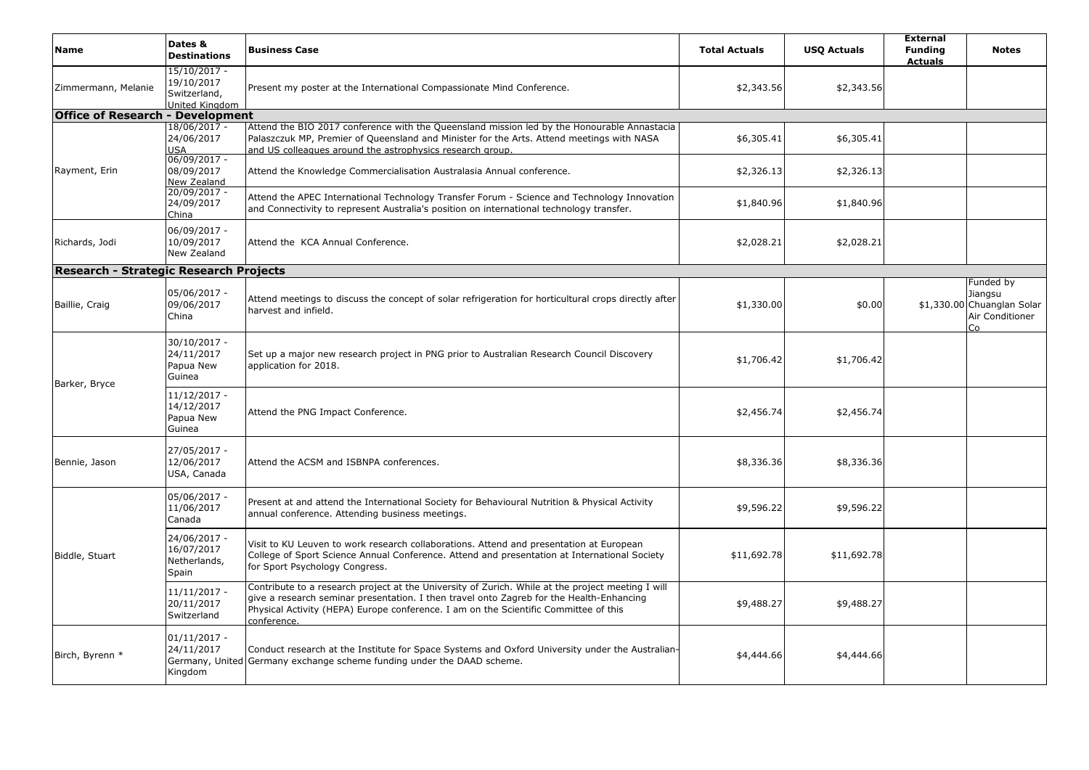| Name                                    | Dates &<br><b>Destinations</b>                               | <b>Business Case</b>                                                                                                                                                                                                                                                                                 | <b>Total Actuals</b> | <b>USQ Actuals</b> | <b>External</b><br><b>Funding</b><br><b>Actuals</b> | <b>Notes</b>                                                                |
|-----------------------------------------|--------------------------------------------------------------|------------------------------------------------------------------------------------------------------------------------------------------------------------------------------------------------------------------------------------------------------------------------------------------------------|----------------------|--------------------|-----------------------------------------------------|-----------------------------------------------------------------------------|
| Zimmermann, Melanie                     | 15/10/2017 -<br>19/10/2017<br>Switzerland,<br>United Kinadom | Present my poster at the International Compassionate Mind Conference.                                                                                                                                                                                                                                | \$2,343.56           | \$2,343.56         |                                                     |                                                                             |
| <b>Office of Research - Development</b> |                                                              |                                                                                                                                                                                                                                                                                                      |                      |                    |                                                     |                                                                             |
|                                         | 18/06/2017 -<br>24/06/2017<br>USA                            | Attend the BIO 2017 conference with the Queensland mission led by the Honourable Annastacia<br>Palaszczuk MP, Premier of Queensland and Minister for the Arts. Attend meetings with NASA<br>and US colleagues around the astrophysics research group.                                                | \$6,305.41           | \$6,305.41         |                                                     |                                                                             |
| Rayment, Erin                           | 06/09/2017 -<br>08/09/2017<br>New Zealand                    | Attend the Knowledge Commercialisation Australasia Annual conference.                                                                                                                                                                                                                                | \$2,326.13           | \$2,326.13         |                                                     |                                                                             |
|                                         | 20/09/2017 -<br>24/09/2017<br>China                          | Attend the APEC International Technology Transfer Forum - Science and Technology Innovation<br>and Connectivity to represent Australia's position on international technology transfer.                                                                                                              | \$1,840.96           | \$1,840.96         |                                                     |                                                                             |
| Richards, Jodi                          | 06/09/2017 -<br>10/09/2017<br>New Zealand                    | Attend the KCA Annual Conference.                                                                                                                                                                                                                                                                    | \$2,028.21           | \$2,028.21         |                                                     |                                                                             |
| Research - Strategic Research Projects  |                                                              |                                                                                                                                                                                                                                                                                                      |                      |                    |                                                     |                                                                             |
| Baillie, Craig                          | 05/06/2017 -<br>09/06/2017<br>China                          | Attend meetings to discuss the concept of solar refrigeration for horticultural crops directly after<br>harvest and infield.                                                                                                                                                                         | \$1,330.00           | \$0.00             |                                                     | Funded by<br>Jiangsu<br>\$1,330.00 Chuanglan Solar<br>Air Conditioner<br>Co |
| Barker, Bryce                           | 30/10/2017 -<br>24/11/2017<br>Papua New<br>Guinea            | Set up a major new research project in PNG prior to Australian Research Council Discovery<br>application for 2018.                                                                                                                                                                                   | \$1,706.42           | \$1,706.42         |                                                     |                                                                             |
|                                         | 11/12/2017 -<br>14/12/2017<br>Papua New<br>Guinea            | Attend the PNG Impact Conference.                                                                                                                                                                                                                                                                    | \$2,456.74           | \$2,456.74         |                                                     |                                                                             |
| Bennie, Jason                           | 27/05/2017 -<br>12/06/2017<br>USA, Canada                    | Attend the ACSM and ISBNPA conferences.                                                                                                                                                                                                                                                              | \$8,336.36           | \$8,336.36         |                                                     |                                                                             |
| Biddle, Stuart                          | 05/06/2017 -<br>11/06/2017<br>Canada                         | Present at and attend the International Society for Behavioural Nutrition & Physical Activity<br>annual conference. Attending business meetings.                                                                                                                                                     | \$9,596.22           | \$9,596.22         |                                                     |                                                                             |
|                                         | 24/06/2017 -<br>16/07/2017<br>Netherlands,<br>Spain          | Visit to KU Leuven to work research collaborations. Attend and presentation at European<br>College of Sport Science Annual Conference. Attend and presentation at International Society<br>for Sport Psychology Congress.                                                                            | \$11,692.78          | \$11,692.78        |                                                     |                                                                             |
|                                         | $11/11/2017 -$<br>20/11/2017<br>Switzerland                  | Contribute to a research project at the University of Zurich. While at the project meeting I will<br>give a research seminar presentation. I then travel onto Zagreb for the Health-Enhancing<br>Physical Activity (HEPA) Europe conference. I am on the Scientific Committee of this<br>conference. | \$9,488.27           | \$9,488.27         |                                                     |                                                                             |
| Birch, Byrenn *                         | $01/11/2017 -$<br>24/11/2017<br>Germany, United<br>Kingdom   | Conduct research at the Institute for Space Systems and Oxford University under the Australian-<br>Germany exchange scheme funding under the DAAD scheme.                                                                                                                                            | \$4,444.66           | \$4,444.66         |                                                     |                                                                             |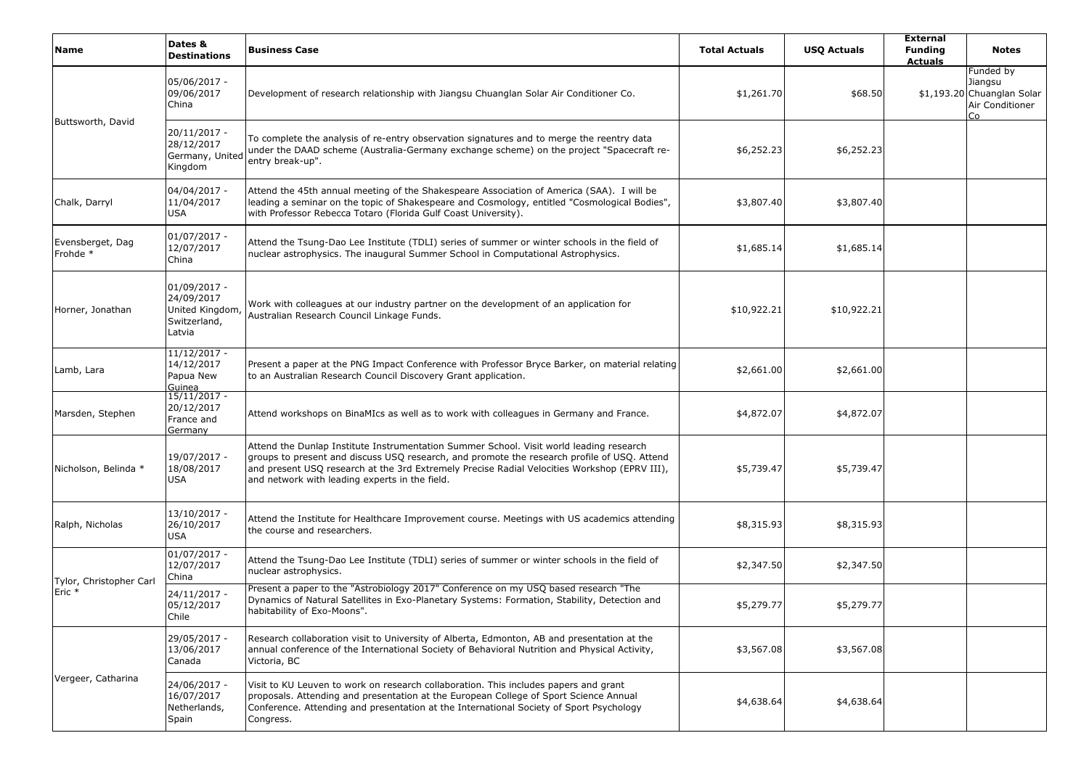| <b>Name</b>                  | Dates &<br><b>Destinations</b>                                           | <b>Business Case</b>                                                                                                                                                                                                                                                                                                                     | <b>Total Actuals</b> | <b>USQ Actuals</b> | <b>External</b><br><b>Funding</b><br><b>Actuals</b> | <b>Notes</b>                                                                |
|------------------------------|--------------------------------------------------------------------------|------------------------------------------------------------------------------------------------------------------------------------------------------------------------------------------------------------------------------------------------------------------------------------------------------------------------------------------|----------------------|--------------------|-----------------------------------------------------|-----------------------------------------------------------------------------|
|                              | 05/06/2017 -<br>09/06/2017<br>China                                      | Development of research relationship with Jiangsu Chuanglan Solar Air Conditioner Co.                                                                                                                                                                                                                                                    | \$1,261.70           | \$68.50            |                                                     | Funded by<br>Jiangsu<br>\$1,193.20 Chuanglan Solar<br>Air Conditioner<br>Co |
| Buttsworth, David            | 20/11/2017 -<br>28/12/2017<br>Germany, United<br>Kingdom                 | To complete the analysis of re-entry observation signatures and to merge the reentry data<br>under the DAAD scheme (Australia-Germany exchange scheme) on the project "Spacecraft re-<br>entry break-up".                                                                                                                                | \$6,252.23           | \$6,252.23         |                                                     |                                                                             |
| Chalk, Darryl                | 04/04/2017 -<br>11/04/2017<br><b>USA</b>                                 | Attend the 45th annual meeting of the Shakespeare Association of America (SAA). I will be<br>leading a seminar on the topic of Shakespeare and Cosmology, entitled "Cosmological Bodies",<br>with Professor Rebecca Totaro (Florida Gulf Coast University).                                                                              | \$3,807.40           | \$3,807.40         |                                                     |                                                                             |
| Evensberget, Dag<br>Frohde * | $01/07/2017 -$<br>12/07/2017<br>China                                    | Attend the Tsung-Dao Lee Institute (TDLI) series of summer or winter schools in the field of<br>nuclear astrophysics. The inaugural Summer School in Computational Astrophysics.                                                                                                                                                         | \$1,685.14           | \$1,685.14         |                                                     |                                                                             |
| Horner, Jonathan             | $01/09/2017 -$<br>24/09/2017<br>United Kingdom<br>Switzerland,<br>Latvia | Work with colleagues at our industry partner on the development of an application for<br>Australian Research Council Linkage Funds.                                                                                                                                                                                                      | \$10,922.21          | \$10,922.21        |                                                     |                                                                             |
| Lamb, Lara                   | $11/12/2017 -$<br>14/12/2017<br>Papua New<br>Guinea                      | Present a paper at the PNG Impact Conference with Professor Bryce Barker, on material relating<br>to an Australian Research Council Discovery Grant application.                                                                                                                                                                         | \$2,661.00           | \$2,661.00         |                                                     |                                                                             |
| Marsden, Stephen             | $15/11/2017 -$<br>20/12/2017<br>France and<br><b>Germany</b>             | Attend workshops on BinaMIcs as well as to work with colleagues in Germany and France.                                                                                                                                                                                                                                                   | \$4,872.07           | \$4,872.07         |                                                     |                                                                             |
| Nicholson, Belinda *         | 19/07/2017 -<br>18/08/2017<br><b>USA</b>                                 | Attend the Dunlap Institute Instrumentation Summer School. Visit world leading research<br>groups to present and discuss USQ research, and promote the research profile of USQ. Attend<br>and present USQ research at the 3rd Extremely Precise Radial Velocities Workshop (EPRV III),<br>and network with leading experts in the field. | \$5,739.47           | \$5,739.47         |                                                     |                                                                             |
| Ralph, Nicholas              | 13/10/2017 -<br>26/10/2017<br><b>USA</b>                                 | Attend the Institute for Healthcare Improvement course. Meetings with US academics attending<br>the course and researchers.                                                                                                                                                                                                              | \$8,315.93           | \$8,315.93         |                                                     |                                                                             |
| Tylor, Christopher Carl      | $01/07/2017 -$<br>12/07/2017<br>China                                    | Attend the Tsung-Dao Lee Institute (TDLI) series of summer or winter schools in the field of<br>nuclear astrophysics.                                                                                                                                                                                                                    | \$2,347.50           | \$2,347.50         |                                                     |                                                                             |
| Eric *                       | 24/11/2017 -<br>05/12/2017<br>Chile                                      | Present a paper to the "Astrobiology 2017" Conference on my USQ based research "The<br>Dynamics of Natural Satellites in Exo-Planetary Systems: Formation, Stability, Detection and<br>habitability of Exo-Moons".                                                                                                                       | \$5,279.77           | \$5,279.77         |                                                     |                                                                             |
| Vergeer, Catharina           | 29/05/2017 -<br>13/06/2017<br>Canada                                     | Research collaboration visit to University of Alberta, Edmonton, AB and presentation at the<br>annual conference of the International Society of Behavioral Nutrition and Physical Activity,<br>Victoria, BC                                                                                                                             | \$3,567.08           | \$3,567.08         |                                                     |                                                                             |
|                              | 24/06/2017 -<br>16/07/2017<br>Netherlands,<br>Spain                      | Visit to KU Leuven to work on research collaboration. This includes papers and grant<br>proposals. Attending and presentation at the European College of Sport Science Annual<br>Conference. Attending and presentation at the International Society of Sport Psychology<br>Congress.                                                    | \$4,638.64           | \$4,638.64         |                                                     |                                                                             |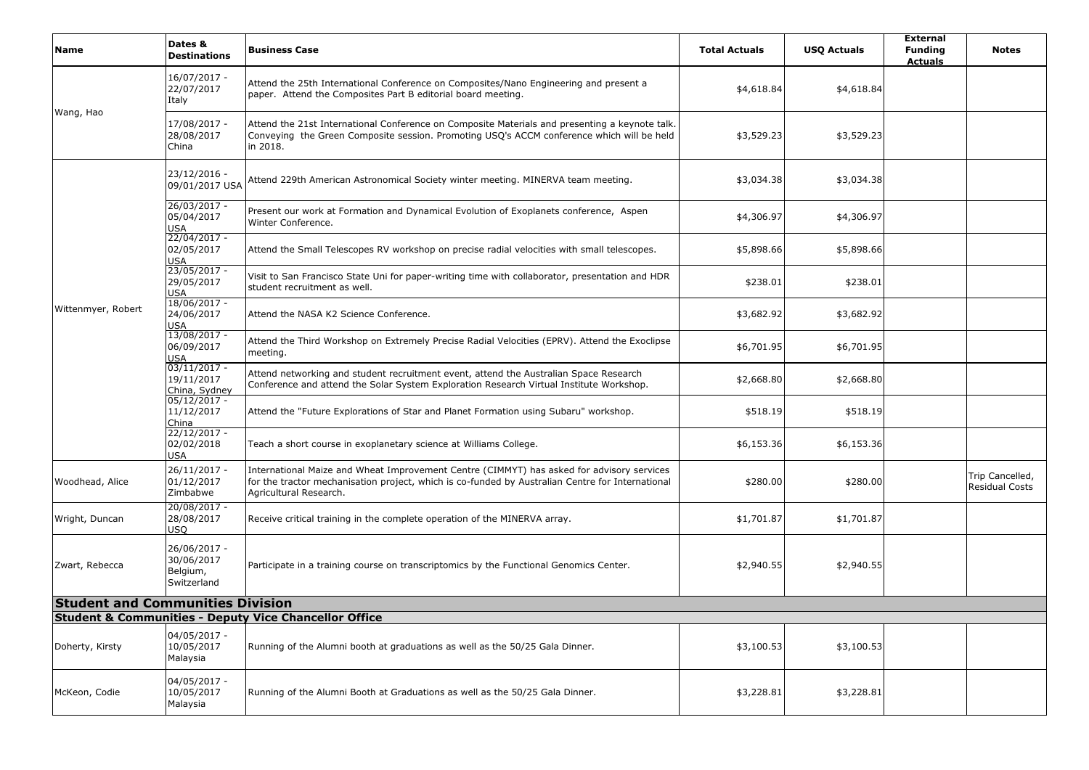| <b>Name</b>                             | Dates &<br><b>Destinations</b>                        | <b>Business Case</b>                                                                                                                                                                                                    | <b>Total Actuals</b> | <b>USQ Actuals</b> | <b>External</b><br><b>Funding</b><br><b>Actuals</b> | <b>Notes</b>                             |
|-----------------------------------------|-------------------------------------------------------|-------------------------------------------------------------------------------------------------------------------------------------------------------------------------------------------------------------------------|----------------------|--------------------|-----------------------------------------------------|------------------------------------------|
| Wang, Hao                               | 16/07/2017 -<br>22/07/2017<br>Italy                   | Attend the 25th International Conference on Composites/Nano Engineering and present a<br>paper. Attend the Composites Part B editorial board meeting.                                                                   | \$4,618.84           | \$4,618.84         |                                                     |                                          |
|                                         | 17/08/2017 -<br>28/08/2017<br>China                   | Attend the 21st International Conference on Composite Materials and presenting a keynote talk.<br>Conveying the Green Composite session. Promoting USQ's ACCM conference which will be held<br>in 2018.                 | \$3,529.23           | \$3,529.23         |                                                     |                                          |
|                                         | 23/12/2016 -<br>09/01/2017 USA                        | Attend 229th American Astronomical Society winter meeting. MINERVA team meeting.                                                                                                                                        | \$3,034.38           | \$3,034.38         |                                                     |                                          |
|                                         | 26/03/2017 -<br>05/04/2017<br><b>USA</b>              | Present our work at Formation and Dynamical Evolution of Exoplanets conference, Aspen<br>Winter Conference.                                                                                                             | \$4,306.97           | \$4,306.97         |                                                     |                                          |
|                                         | $22/04/2017 -$<br>02/05/2017<br><b>USA</b>            | Attend the Small Telescopes RV workshop on precise radial velocities with small telescopes.                                                                                                                             | \$5,898.66           | \$5,898.66         |                                                     |                                          |
|                                         | $23/05/2017 -$<br>29/05/2017<br><b>USA</b>            | Visit to San Francisco State Uni for paper-writing time with collaborator, presentation and HDR<br>student recruitment as well.                                                                                         | \$238.01             | \$238.01           |                                                     |                                          |
| Wittenmyer, Robert                      | $18/06/2017 -$<br>24/06/2017<br><b>USA</b>            | Attend the NASA K2 Science Conference.                                                                                                                                                                                  | \$3,682.92           | \$3,682.92         |                                                     |                                          |
|                                         | 13/08/2017 -<br>06/09/2017<br>USA                     | Attend the Third Workshop on Extremely Precise Radial Velocities (EPRV). Attend the Exoclipse<br>meeting.                                                                                                               | \$6,701.95           | \$6,701.95         |                                                     |                                          |
|                                         | $03/11/2017 -$<br>19/11/2017<br>China, Sydney         | Attend networking and student recruitment event, attend the Australian Space Research<br>Conference and attend the Solar System Exploration Research Virtual Institute Workshop.                                        | \$2,668.80           | \$2,668.80         |                                                     |                                          |
|                                         | $05/12/2017 -$<br>11/12/2017<br>China                 | Attend the "Future Explorations of Star and Planet Formation using Subaru" workshop.                                                                                                                                    | \$518.19             | \$518.19           |                                                     |                                          |
|                                         | $22/12/2017 -$<br>02/02/2018<br>USA                   | Teach a short course in exoplanetary science at Williams College.                                                                                                                                                       | \$6,153.36           | \$6,153.36         |                                                     |                                          |
| Woodhead, Alice                         | 26/11/2017 -<br>01/12/2017<br>Zimbabwe                | International Maize and Wheat Improvement Centre (CIMMYT) has asked for advisory services<br>for the tractor mechanisation project, which is co-funded by Australian Centre for International<br>Agricultural Research. | \$280.00             | \$280.00           |                                                     | Trip Cancelled,<br><b>Residual Costs</b> |
| Wright, Duncan                          | 20/08/2017 -<br>28/08/2017<br>USQ                     | Receive critical training in the complete operation of the MINERVA array.                                                                                                                                               | \$1,701.87           | \$1,701.87         |                                                     |                                          |
| Zwart, Rebecca                          | 26/06/2017 -<br>30/06/2017<br>Belgium,<br>Switzerland | Participate in a training course on transcriptomics by the Functional Genomics Center.                                                                                                                                  | \$2,940.55           | \$2,940.55         |                                                     |                                          |
| <b>Student and Communities Division</b> |                                                       |                                                                                                                                                                                                                         |                      |                    |                                                     |                                          |
|                                         |                                                       | <b>Student &amp; Communities - Deputy Vice Chancellor Office</b>                                                                                                                                                        |                      |                    |                                                     |                                          |
| Doherty, Kirsty                         | 04/05/2017 -<br>10/05/2017<br>Malaysia                | Running of the Alumni booth at graduations as well as the 50/25 Gala Dinner.                                                                                                                                            | \$3,100.53           | \$3,100.53         |                                                     |                                          |
| McKeon, Codie                           | 04/05/2017 -<br>10/05/2017<br>Malaysia                | Running of the Alumni Booth at Graduations as well as the 50/25 Gala Dinner.                                                                                                                                            | \$3,228.81           | \$3,228.81         |                                                     |                                          |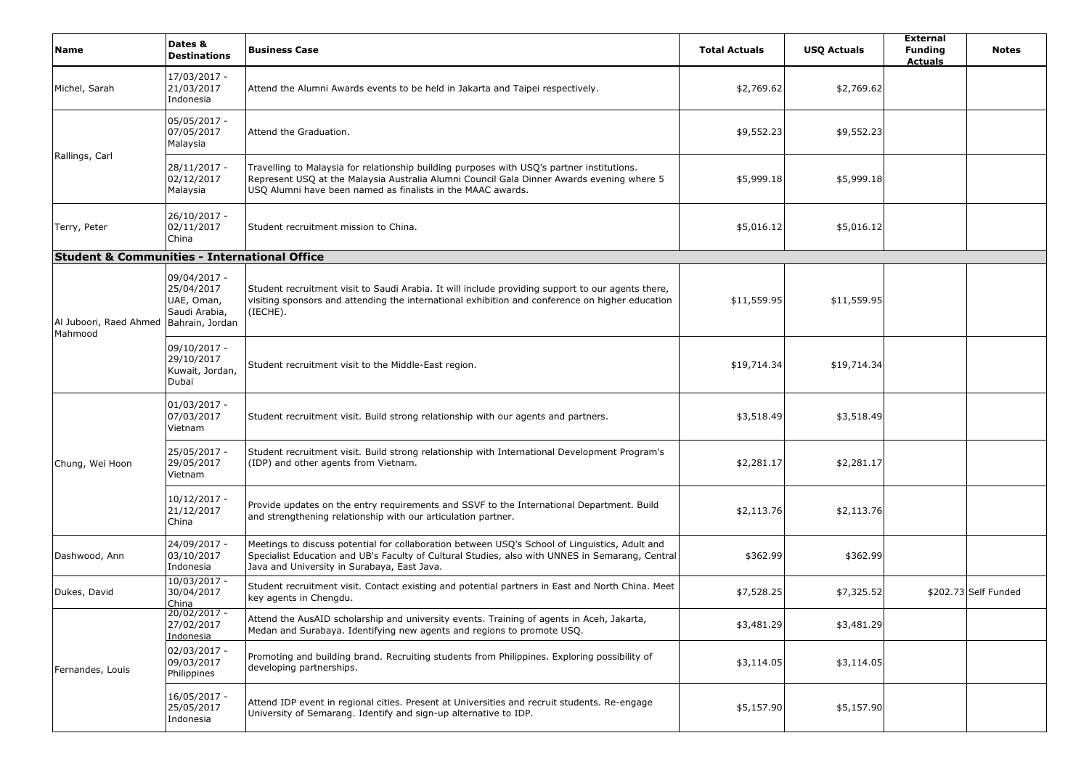| Name                                                    | Dates &<br><b>Destinations</b>                                               | <b>Business Case</b>                                                                                                                                                                                                                                   | <b>Total Actuals</b> | <b>USQ Actuals</b> | <b>External</b><br><b>Funding</b><br><b>Actuals</b> | <b>Notes</b>         |
|---------------------------------------------------------|------------------------------------------------------------------------------|--------------------------------------------------------------------------------------------------------------------------------------------------------------------------------------------------------------------------------------------------------|----------------------|--------------------|-----------------------------------------------------|----------------------|
| Michel, Sarah                                           | 17/03/2017 -<br>21/03/2017<br>Indonesia                                      | Attend the Alumni Awards events to be held in Jakarta and Taipei respectively.                                                                                                                                                                         | \$2,769.62           | \$2,769.62         |                                                     |                      |
| Rallings, Carl                                          | 05/05/2017 -<br>07/05/2017<br>Malaysia                                       | Attend the Graduation.                                                                                                                                                                                                                                 | \$9,552.23           | \$9,552.23         |                                                     |                      |
|                                                         | 28/11/2017 -<br>02/12/2017<br>Malaysia                                       | Travelling to Malaysia for relationship building purposes with USQ's partner institutions.<br>Represent USQ at the Malaysia Australia Alumni Council Gala Dinner Awards evening where 5<br>USQ Alumni have been named as finalists in the MAAC awards. | \$5,999.18           | \$5,999.18         |                                                     |                      |
| Terry, Peter                                            | 26/10/2017 -<br>02/11/2017<br>China                                          | Student recruitment mission to China.                                                                                                                                                                                                                  | \$5,016.12           | \$5,016.12         |                                                     |                      |
| <b>Student &amp; Communities - International Office</b> |                                                                              |                                                                                                                                                                                                                                                        |                      |                    |                                                     |                      |
| Al Juboori, Raed Ahmed<br>Mahmood                       | 09/04/2017 -<br>25/04/2017<br>UAE, Oman,<br>Saudi Arabia,<br>Bahrain, Jordan | Student recruitment visit to Saudi Arabia. It will include providing support to our agents there,<br>visiting sponsors and attending the international exhibition and conference on higher education<br>(IECHE).                                       | \$11,559.95          | \$11,559.95        |                                                     |                      |
|                                                         | 09/10/2017 -<br>29/10/2017<br>Kuwait, Jordan,<br>Dubai                       | Student recruitment visit to the Middle-East region.                                                                                                                                                                                                   | \$19,714.34          | \$19,714.34        |                                                     |                      |
|                                                         | 01/03/2017 -<br>07/03/2017<br>Vietnam                                        | Student recruitment visit. Build strong relationship with our agents and partners.                                                                                                                                                                     | \$3,518.49           | \$3,518.49         |                                                     |                      |
| Chung, Wei Hoon                                         | 25/05/2017 -<br>29/05/2017<br>Vietnam                                        | Student recruitment visit. Build strong relationship with International Development Program's<br>(IDP) and other agents from Vietnam.                                                                                                                  | \$2,281.17           | \$2,281.17         |                                                     |                      |
|                                                         | 10/12/2017 -<br>21/12/2017<br>China                                          | Provide updates on the entry requirements and SSVF to the International Department. Build<br>and strengthening relationship with our articulation partner.                                                                                             | \$2,113.76           | \$2,113.76         |                                                     |                      |
| Dashwood, Ann                                           | 24/09/2017 -<br>03/10/2017<br>Indonesia                                      | Meetings to discuss potential for collaboration between USQ's School of Linguistics, Adult and<br>Specialist Education and UB's Faculty of Cultural Studies, also with UNNES in Semarang, Central<br>Java and University in Surabaya, East Java.       | \$362.99             | \$362.99           |                                                     |                      |
| Dukes, David                                            | 10/03/2017 -<br>30/04/2017<br>China                                          | Student recruitment visit. Contact existing and potential partners in East and North China. Meet<br>key agents in Chengdu.                                                                                                                             | \$7,528.25           | \$7,325.52         |                                                     | \$202.73 Self Funded |
|                                                         | $20/02/2017 -$<br>27/02/2017<br>Indonesia                                    | Attend the AusAID scholarship and university events. Training of agents in Aceh, Jakarta,<br>Medan and Surabaya. Identifying new agents and regions to promote USQ.                                                                                    | \$3,481.29           | \$3,481.29         |                                                     |                      |
| Fernandes, Louis                                        | 02/03/2017 -<br>09/03/2017<br>Philippines                                    | Promoting and building brand. Recruiting students from Philippines. Exploring possibility of<br>developing partnerships.                                                                                                                               | \$3,114.05           | \$3,114.05         |                                                     |                      |
|                                                         | 16/05/2017 -<br>25/05/2017<br>Indonesia                                      | Attend IDP event in regional cities. Present at Universities and recruit students. Re-engage<br>University of Semarang. Identify and sign-up alternative to IDP.                                                                                       | \$5,157.90           | \$5,157.90         |                                                     |                      |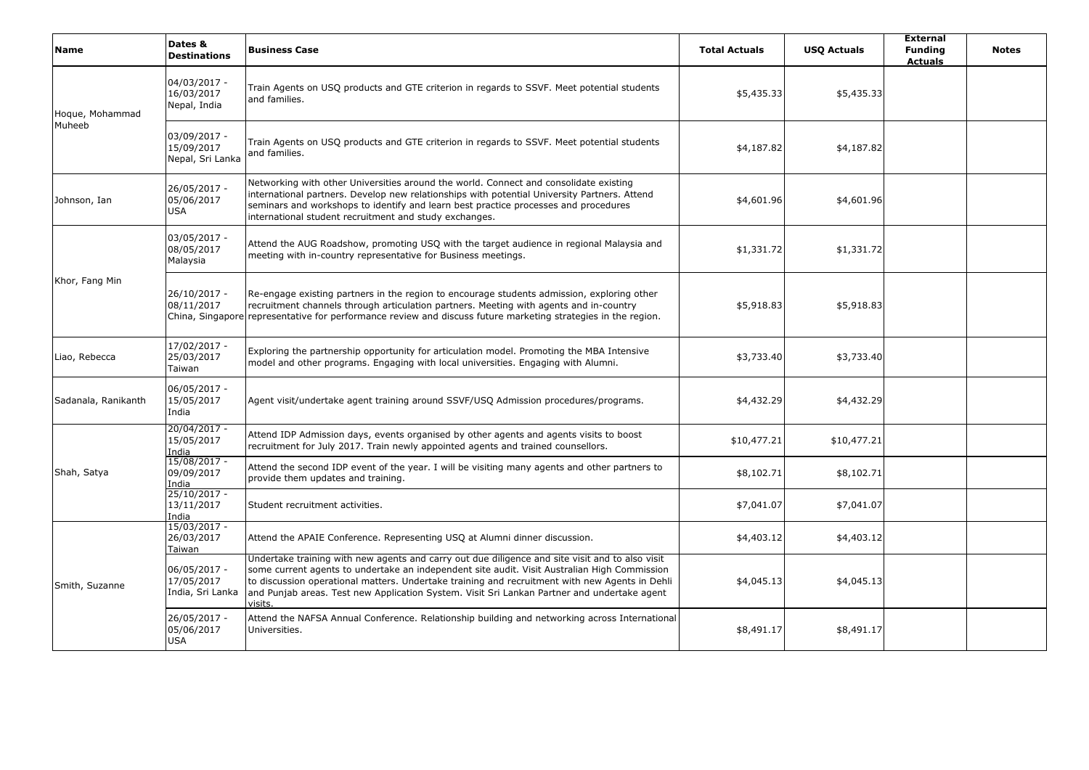| <b>Name</b>               | Dates &<br><b>Destinations</b>                 | <b>Business Case</b>                                                                                                                                                                                                                                                                                                                                                                                              | <b>Total Actuals</b> | <b>USO Actuals</b> | <b>External</b><br><b>Funding</b><br><b>Actuals</b> | <b>Notes</b> |
|---------------------------|------------------------------------------------|-------------------------------------------------------------------------------------------------------------------------------------------------------------------------------------------------------------------------------------------------------------------------------------------------------------------------------------------------------------------------------------------------------------------|----------------------|--------------------|-----------------------------------------------------|--------------|
| Hoque, Mohammad<br>Muheeb | 04/03/2017 -<br>16/03/2017<br>Nepal, India     | Train Agents on USQ products and GTE criterion in regards to SSVF. Meet potential students<br>and families.                                                                                                                                                                                                                                                                                                       | \$5,435.33           | \$5,435.33         |                                                     |              |
|                           | 03/09/2017 -<br>15/09/2017<br>Nepal, Sri Lanka | Train Agents on USQ products and GTE criterion in regards to SSVF. Meet potential students<br>and families.                                                                                                                                                                                                                                                                                                       | \$4,187.82           | \$4,187.82         |                                                     |              |
| Johnson, Ian              | 26/05/2017 -<br>05/06/2017<br><b>USA</b>       | Networking with other Universities around the world. Connect and consolidate existing<br>international partners. Develop new relationships with potential University Partners. Attend<br>seminars and workshops to identify and learn best practice processes and procedures<br>international student recruitment and study exchanges.                                                                            | \$4,601.96           | \$4,601.96         |                                                     |              |
| Khor, Fang Min            | 03/05/2017 -<br>08/05/2017<br>Malaysia         | Attend the AUG Roadshow, promoting USQ with the target audience in regional Malaysia and<br>meeting with in-country representative for Business meetings.                                                                                                                                                                                                                                                         | \$1,331.72           | \$1,331.72         |                                                     |              |
|                           | 26/10/2017 -<br>08/11/2017                     | Re-engage existing partners in the region to encourage students admission, exploring other<br>recruitment channels through articulation partners. Meeting with agents and in-country<br>China, Singapore representative for performance review and discuss future marketing strategies in the region.                                                                                                             | \$5,918.83           | \$5,918.83         |                                                     |              |
| Liao, Rebecca             | 17/02/2017 -<br>25/03/2017<br>Taiwan           | Exploring the partnership opportunity for articulation model. Promoting the MBA Intensive<br>model and other programs. Engaging with local universities. Engaging with Alumni.                                                                                                                                                                                                                                    | \$3,733.40           | \$3,733.40         |                                                     |              |
| Sadanala, Ranikanth       | 06/05/2017 -<br>15/05/2017<br>India            | Agent visit/undertake agent training around SSVF/USQ Admission procedures/programs.                                                                                                                                                                                                                                                                                                                               | \$4,432.29           | \$4,432.29         |                                                     |              |
|                           | $20/04/2017 -$<br>15/05/2017<br>India          | Attend IDP Admission days, events organised by other agents and agents visits to boost<br>recruitment for July 2017. Train newly appointed agents and trained counsellors.                                                                                                                                                                                                                                        | \$10,477.21          | \$10,477.21        |                                                     |              |
| Shah, Satya               | $15/08/2017 -$<br>09/09/2017<br>India          | Attend the second IDP event of the year. I will be visiting many agents and other partners to<br>provide them updates and training.                                                                                                                                                                                                                                                                               | \$8,102.71           | \$8,102.71         |                                                     |              |
|                           | $25/10/2017 -$<br>13/11/2017<br>India          | Student recruitment activities.                                                                                                                                                                                                                                                                                                                                                                                   | \$7,041.07           | \$7,041.07         |                                                     |              |
| Smith, Suzanne            | 15/03/2017 -<br>26/03/2017<br>Taiwan           | Attend the APAIE Conference. Representing USQ at Alumni dinner discussion.                                                                                                                                                                                                                                                                                                                                        | \$4,403.12           | \$4,403.12         |                                                     |              |
|                           | 06/05/2017 -<br>17/05/2017<br>India, Sri Lanka | Undertake training with new agents and carry out due diligence and site visit and to also visit<br>some current agents to undertake an independent site audit. Visit Australian High Commission<br>to discussion operational matters. Undertake training and recruitment with new Agents in Dehli<br>and Punjab areas. Test new Application System. Visit Sri Lankan Partner and undertake agent<br><b>visits</b> | \$4,045.13           | \$4,045.13         |                                                     |              |
|                           | 26/05/2017 -<br>05/06/2017<br><b>USA</b>       | Attend the NAFSA Annual Conference. Relationship building and networking across International<br>Universities.                                                                                                                                                                                                                                                                                                    | \$8,491.17           | \$8,491.17         |                                                     |              |